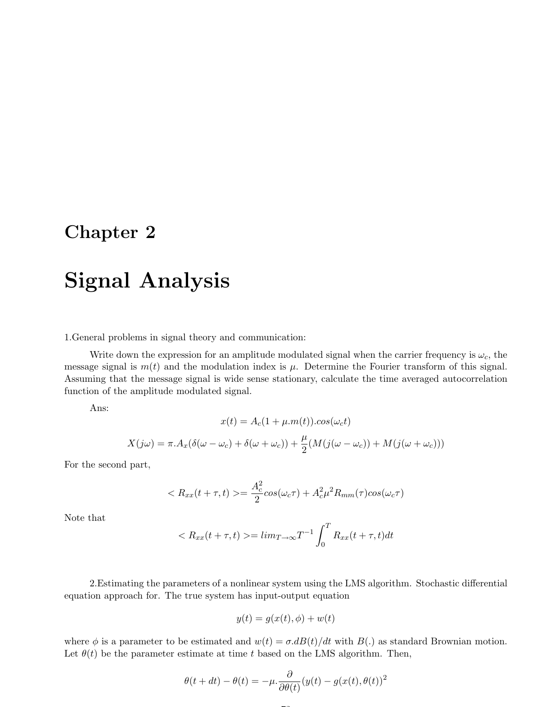### Chapter 2

# Signal Analysis

1.General problems in signal theory and communication:

Write down the expression for an amplitude modulated signal when the carrier frequency is  $\omega_c$ , the message signal is  $m(t)$  and the modulation index is  $\mu$ . Determine the Fourier transform of this signal. Assuming that the message signal is wide sense stationary, calculate the time averaged autocorrelation function of the amplitude modulated signal.

Ans:

$$
x(t) = A_c(1 + \mu.m(t)).cos(\omega_c t)
$$

$$
X(j\omega) = \pi.A_x(\delta(\omega - \omega_c) + \delta(\omega + \omega_c)) + \frac{\mu}{2}(M(j(\omega - \omega_c)) + M(j(\omega + \omega_c)))
$$

For the second part,

$$
\langle R_{xx}(t+\tau,t)\rangle = \frac{A_c^2}{2}\cos(\omega_c \tau) + A_c^2 \mu^2 R_{mm}(\tau)\cos(\omega_c \tau)
$$

Note that

$$
\langle R_{xx}(t+\tau,t) \rangle = \lim_{T \to \infty} T^{-1} \int_0^T R_{xx}(t+\tau,t)dt
$$

2.Estimating the parameters of a nonlinear system using the LMS algorithm. Stochastic differential equation approach for. The true system has input-output equation

$$
y(t) = g(x(t), \phi) + w(t)
$$

where  $\phi$  is a parameter to be estimated and  $w(t) = \sigma \cdot dB(t)/dt$  with  $B(.)$  as standard Brownian motion. Let  $\theta(t)$  be the parameter estimate at time t based on the LMS algorithm. Then,

$$
\theta(t + dt) - \theta(t) = -\mu \cdot \frac{\partial}{\partial \theta(t)} (y(t) - g(x(t), \theta(t)))^2
$$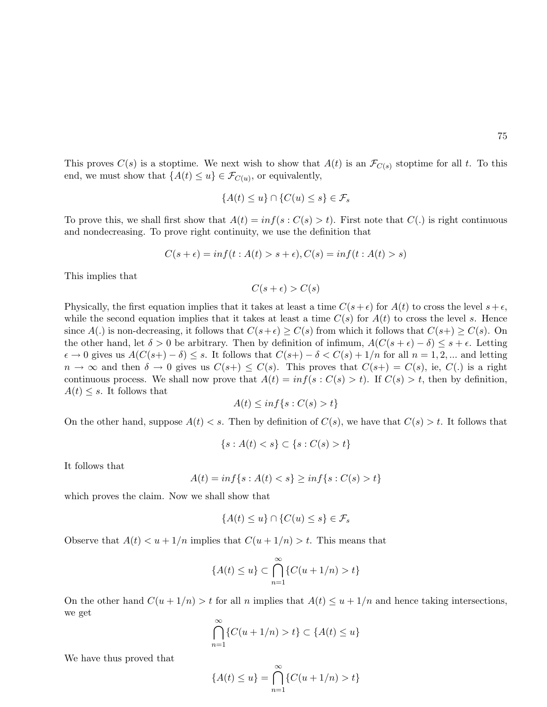This proves  $C(s)$  is a stoptime. We next wish to show that  $A(t)$  is an  $\mathcal{F}_{C(s)}$  stoptime for all t. To this end, we must show that  $\{A(t) \leq u\} \in \mathcal{F}_{C(u)}$ , or equivalently,

$$
\{A(t) \le u\} \cap \{C(u) \le s\} \in \mathcal{F}_s
$$

To prove this, we shall first show that  $A(t) = inf(s : C(s) > t)$ . First note that  $C(.)$  is right continuous and nondecreasing. To prove right continuity, we use the definition that

$$
C(s+\epsilon) = \inf(t : A(t) > s+\epsilon), C(s) = \inf(t : A(t) > s)
$$

This implies that

$$
C(s+\epsilon) > C(s)
$$

Physically, the first equation implies that it takes at least a time  $C(s+\epsilon)$  for  $A(t)$  to cross the level  $s+\epsilon$ , while the second equation implies that it takes at least a time  $C(s)$  for  $A(t)$  to cross the level s. Hence since  $A(.)$  is non-decreasing, it follows that  $C(s+\epsilon) \geq C(s)$  from which it follows that  $C(s+) \geq C(s)$ . On the other hand, let  $\delta > 0$  be arbitrary. Then by definition of infimum,  $A(C(s + \epsilon) - \delta) \leq s + \epsilon$ . Letting  $\epsilon \to 0$  gives us  $A(C(s+)-\delta) \leq s$ . It follows that  $C(s+)-\delta < C(s)+1/n$  for all  $n=1,2,...$  and letting  $n \to \infty$  and then  $\delta \to 0$  gives us  $C(s_+) \leq C(s)$ . This proves that  $C(s_+) = C(s)$ , ie,  $C(.)$  is a right continuous process. We shall now prove that  $A(t) = inf(s : C(s) > t)$ . If  $C(s) > t$ , then by definition,  $A(t) \leq s$ . It follows that

$$
A(t) \le \inf\{s : C(s) > t\}
$$

On the other hand, suppose  $A(t) < s$ . Then by definition of  $C(s)$ , we have that  $C(s) > t$ . It follows that

$$
\{s : A(t) < s\} \subset \{s : C(s) > t\}
$$

It follows that

$$
A(t) = \inf\{s : A(t) < s\} \ge \inf\{s : C(s) > t\}
$$

which proves the claim. Now we shall show that

$$
\{A(t) \le u\} \cap \{C(u) \le s\} \in \mathcal{F}_s
$$

Observe that  $A(t) < u + 1/n$  implies that  $C(u + 1/n) > t$ . This means that

$$
\{A(t)\leq u\}\subset \bigcap_{n=1}^{\infty}\{C(u+1/n)>t\}
$$

On the other hand  $C(u + 1/n) > t$  for all n implies that  $A(t) \le u + 1/n$  and hence taking intersections, we get

$$
\bigcap_{n=1}^{\infty} \{ C(u+1/n) > t \} \subset \{ A(t) \le u \}
$$

We have thus proved that

$$
\{A(t) \le u\} = \bigcap_{n=1}^{\infty} \{C(u+1/n) > t\}
$$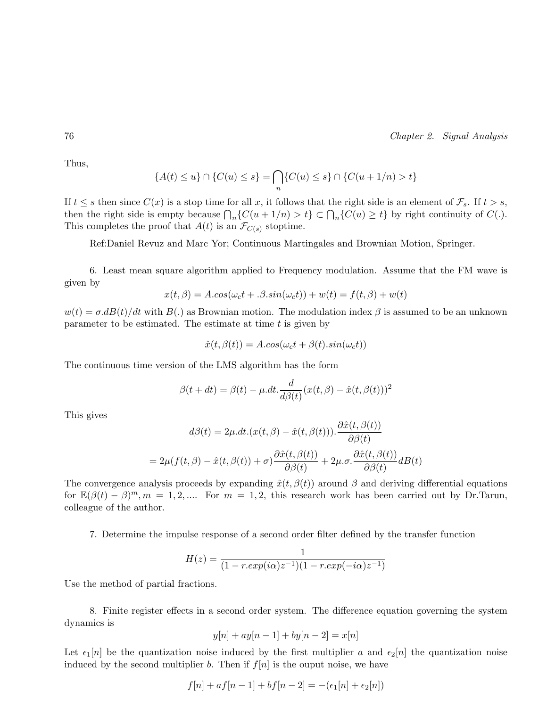Thus,

$$
\{A(t) \le u\} \cap \{C(u) \le s\} = \bigcap_n \{C(u) \le s\} \cap \{C(u+1/n) > t\}
$$

If  $t \leq s$  then since  $C(x)$  is a stop time for all x, it follows that the right side is an element of  $\mathcal{F}_s$ . If  $t > s$ , then the right side is empty because  $\bigcap_n \{C(u+1/n) > t\} \subset \bigcap_n \{C(u) \ge t\}$  by right continuity of  $C(.)$ . This completes the proof that  $A(t)$  is an  $\mathcal{F}_{C(s)}$  stoptime.

Ref:Daniel Revuz and Marc Yor; Continuous Martingales and Brownian Motion, Springer.

6. Least mean square algorithm applied to Frequency modulation. Assume that the FM wave is given by

$$
x(t, \beta) = A \cdot \cos(\omega_c t + \beta \cdot \sin(\omega_c t)) + w(t) = f(t, \beta) + w(t)
$$

 $w(t) = \sigma d(t)/dt$  with  $B(.)$  as Brownian motion. The modulation index  $\beta$  is assumed to be an unknown parameter to be estimated. The estimate at time  $t$  is given by

$$
\hat{x}(t, \beta(t)) = A \cdot \cos(\omega_c t + \beta(t) \cdot \sin(\omega_c t))
$$

The continuous time version of the LMS algorithm has the form

$$
\beta(t+dt) = \beta(t) - \mu \cdot dt \cdot \frac{d}{d\beta(t)} (x(t,\beta) - \hat{x}(t,\beta(t)))^2
$$

This gives

$$
d\beta(t) = 2\mu \cdot dt \cdot (x(t, \beta) - \hat{x}(t, \beta(t))). \frac{\partial \hat{x}(t, \beta(t))}{\partial \beta(t)}
$$

$$
= 2\mu(f(t, \beta) - \hat{x}(t, \beta(t)) + \sigma) \frac{\partial \hat{x}(t, \beta(t))}{\partial \beta(t)} + 2\mu \cdot \sigma \cdot \frac{\partial \hat{x}(t, \beta(t))}{\partial \beta(t)} dB(t)
$$

The convergence analysis proceeds by expanding  $\hat{x}(t, \beta(t))$  around  $\beta$  and deriving differential equations for  $\mathbb{E}(\beta(t) - \beta)^m$ ,  $m = 1, 2, ...$  For  $m = 1, 2$ , this research work has been carried out by Dr.Tarun, colleague of the author.

7. Determine the impulse response of a second order filter defined by the transfer function

$$
H(z) = \frac{1}{(1 - r. exp(i\alpha)z^{-1})(1 - r. exp(-i\alpha)z^{-1})}
$$

Use the method of partial fractions.

8. Finite register effects in a second order system. The difference equation governing the system dynamics is

$$
y[n] + ay[n-1] + by[n-2] = x[n]
$$

Let  $\epsilon_1[n]$  be the quantization noise induced by the first multiplier a and  $\epsilon_2[n]$  the quantization noise induced by the second multiplier b. Then if  $f[n]$  is the ouput noise, we have

$$
f[n] + af[n-1] + bf[n-2] = -(\epsilon_1[n] + \epsilon_2[n])
$$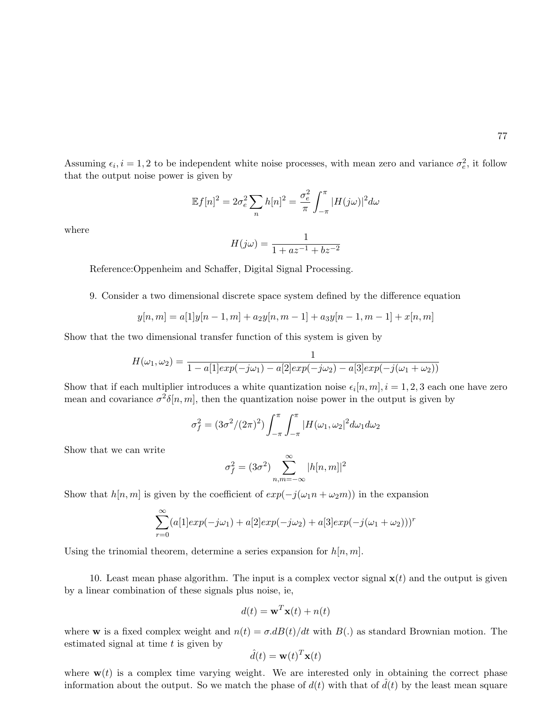Assuming  $\epsilon_i$ ,  $i = 1, 2$  to be independent white noise processes, with mean zero and variance  $\sigma_e^2$ , it follow that the output noise power is given by

$$
\mathbb{E}f[n]^2 = 2\sigma_e^2 \sum_n h[n]^2 = \frac{\sigma_e^2}{\pi} \int_{-\pi}^{\pi} |H(j\omega)|^2 d\omega
$$

where

$$
H(j\omega) = \frac{1}{1 + az^{-1} + bz^{-2}}
$$

Reference:Oppenheim and Schaffer, Digital Signal Processing.

9. Consider a two dimensional discrete space system defined by the difference equation

$$
y[n,m] = a[1]y[n-1,m] + a_2y[n,m-1] + a_3y[n-1,m-1] + x[n,m]
$$

Show that the two dimensional transfer function of this system is given by

$$
H(\omega_1, \omega_2) = \frac{1}{1 - a[1]exp(-j\omega_1) - a[2]exp(-j\omega_2) - a[3]exp(-j(\omega_1 + \omega_2))}
$$

Show that if each multiplier introduces a white quantization noise  $\epsilon_i[n,m], i = 1, 2, 3$  each one have zero mean and covariance  $\sigma^2 \delta[n,m]$ , then the quantization noise power in the output is given by

$$
\sigma_f^2 = (3\sigma^2/(2\pi)^2) \int_{-\pi}^{\pi} \int_{-\pi}^{\pi} |H(\omega_1, \omega_2)|^2 d\omega_1 d\omega_2
$$

Show that we can write

$$
\sigma_f^2 = (3\sigma^2) \sum_{n,m=-\infty}^{\infty} |h[n,m]|^2
$$

Show that  $h[n,m]$  is given by the coefficient of  $exp(-j(\omega_1 n + \omega_2 m))$  in the expansion

$$
\sum_{r=0}^{\infty} (a[1]exp(-j\omega_1) + a[2]exp(-j\omega_2) + a[3]exp(-j(\omega_1 + \omega_2)))^r
$$

Using the trinomial theorem, determine a series expansion for  $h[n, m]$ .

10. Least mean phase algorithm. The input is a complex vector signal  $x(t)$  and the output is given by a linear combination of these signals plus noise, ie,

$$
d(t) = \mathbf{w}^T \mathbf{x}(t) + n(t)
$$

where **w** is a fixed complex weight and  $n(t) = \sigma \cdot dB(t)/dt$  with  $B(.)$  as standard Brownian motion. The estimated signal at time  $t$  is given by

$$
\hat{d}(t) = \mathbf{w}(t)^T \mathbf{x}(t)
$$

where  $w(t)$  is a complex time varying weight. We are interested only in obtaining the correct phase information about the output. So we match the phase of  $d(t)$  with that of  $\tilde{d}(t)$  by the least mean square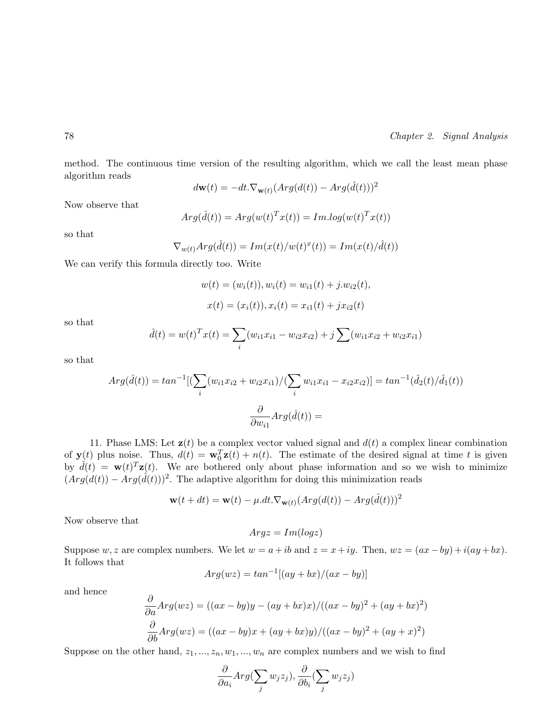method. The continuous time version of the resulting algorithm, which we call the least mean phase algorithm reads

$$
d\mathbf{w}(t) = -dt \cdot \nabla_{\mathbf{w}(t)} (Arg(d(t)) - Arg(\hat{d}(t)))^2
$$

Now observe that

$$
Arg(\hat{d}(t)) = Arg(w(t)^T x(t)) = Im.log(w(t)^T x(t))
$$

so that

$$
\nabla_{w(t)} Arg(\hat{d}(t)) = Im(x(t)/w(t)^{x}(t)) = Im(x(t)/\hat{d}(t))
$$

We can verify this formula directly too. Write

$$
w(t) = (w_i(t)), w_i(t) = w_{i1}(t) + j.w_{i2}(t),
$$
  

$$
x(t) = (x_i(t)), x_i(t) = x_{i1}(t) + jx_{i2}(t)
$$

so that

$$
\hat{d}(t) = w(t)^T x(t) = \sum_i (w_{i1} x_{i1} - w_{i2} x_{i2}) + j \sum (w_{i1} x_{i2} + w_{i2} x_{i1})
$$

so that

$$
Arg(\hat{d}(t)) = \tan^{-1}[(\sum_{i} (w_{i1}x_{i2} + w_{i2}x_{i1}) / (\sum_{i} w_{i1}x_{i1} - x_{i2}x_{i2})] = \tan^{-1}(\hat{d}_{2}(t) / \hat{d}_{1}(t))
$$

$$
\frac{\partial}{\partial w_{i1}} Arg(\hat{d}(t)) =
$$

11. Phase LMS: Let  $z(t)$  be a complex vector valued signal and  $d(t)$  a complex linear combination of  $\mathbf{y}(t)$  plus noise. Thus,  $d(t) = \mathbf{w}_0^T \mathbf{z}(t) + n(t)$ . The estimate of the desired signal at time t is given by  $\hat{d}(t) = \mathbf{w}(t)^T \mathbf{z}(t)$ . We are bothered only about phase information and so we wish to minimize  $(Arg(d(t)) - Arg(\hat{d}(t)))^2$ . The adaptive algorithm for doing this minimization reads

$$
\mathbf{w}(t+dt) = \mathbf{w}(t) - \mu \cdot dt \cdot \nabla_{\mathbf{w}(t)} (Arg(d(t)) - Arg(\hat{d}(t)))^2
$$

Now observe that

$$
Arg z = Im(log z)
$$

Suppose w, z are complex numbers. We let  $w = a + ib$  and  $z = x + iy$ . Then,  $wz = (ax - by) + i(ay + bx)$ . It follows that

$$
Arg(wz) = \tan^{-1}[(ay + bx)/(ax - by)]
$$

and hence

$$
\frac{\partial}{\partial a} Arg(wz) = ((ax - by)y - (ay + bx)x) / ((ax - by)^2 + (ay + bx)^2)
$$

$$
\frac{\partial}{\partial b} Arg(wz) = ((ax - by)x + (ay + bx)y) / ((ax - by)^2 + (ay + x)^2)
$$

Suppose on the other hand,  $z_1, ..., z_n, w_1, ..., w_n$  are complex numbers and we wish to find

$$
\frac{\partial}{\partial a_i} Arg(\sum_j w_j z_j), \frac{\partial}{\partial b_i}(\sum_j w_j z_j)
$$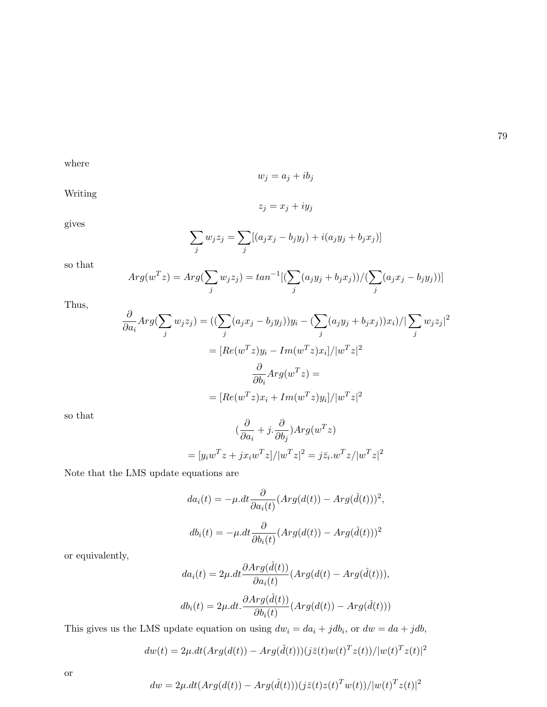where

 $w_j = a_j + ib_j$ 

Writing

$$
z_j = x_j + iy_j
$$

gives

$$
\sum_{j} w_j z_j = \sum_{j} [(a_j x_j - b_j y_j) + i(a_j y_j + b_j x_j)]
$$

so that

$$
Arg(w^T z) = Arg(\sum_j w_j z_j) = tan^{-1}[(\sum_j (a_j y_j + b_j x_j))/(\sum_j (a_j x_j - b_j y_j))]
$$

Thus,

$$
\frac{\partial}{\partial a_i} Arg(\sum_j w_j z_j) = ((\sum_j (a_j x_j - b_j y_j))y_i - (\sum_j (a_j y_j + b_j x_j))x_i) / |\sum_j w_j z_j|^2
$$

$$
= [Re(w^T z)y_i - Im(w^T z)x_i] / |w^T z|^2
$$

$$
\frac{\partial}{\partial b_i} Arg(w^T z) =
$$

$$
= [Re(w^T z)x_i + Im(w^T z)y_i] / |w^T z|^2
$$

so that

$$
(\frac{\partial}{\partial a_i} + j \cdot \frac{\partial}{\partial b_j}) Arg(w^T z)
$$
  
=  $[y_i w^T z + j x_i w^T z]/|w^T z|^2 = j \bar{z}_i w^T z / |w^T z|^2$ 

Note that the LMS update equations are

$$
da_i(t) = -\mu \cdot dt \frac{\partial}{\partial a_i(t)} (Arg(d(t)) - Arg(\hat{d}(t)))^2,
$$
  

$$
db_i(t) = -\mu \cdot dt \frac{\partial}{\partial b_i(t)} (Arg(d(t)) - Arg(\hat{d}(t)))^2
$$

or equivalently,

$$
da_i(t) = 2\mu \cdot dt \frac{\partial Arg(\hat{d}(t))}{\partial a_i(t)} (Arg(d(t) - Arg(\hat{d}(t))),
$$
  

$$
db_i(t) = 2\mu \cdot dt \cdot \frac{\partial Arg(\hat{d}(t))}{\partial b_i(t)} (Arg(d(t)) - Arg(\hat{d}(t)))
$$

This gives us the LMS update equation on using  $dw_i = da_i + jdb_i$ , or  $dw = da + jdb$ ,

$$
dw(t) = 2\mu \cdot dt \left( Arg(d(t)) - Arg(\hat{d}(t))\right) \left(j\bar{z}(t)w(t)^{T}z(t)\right) / |w(t)^{T}z(t)|^{2}
$$

or

$$
dw = 2\mu \cdot dt (Arg(d(t)) - Arg(\hat{d}(t)))(j\bar{z}(t)z(t)^Tw(t))/|w(t)^T z(t)|^2
$$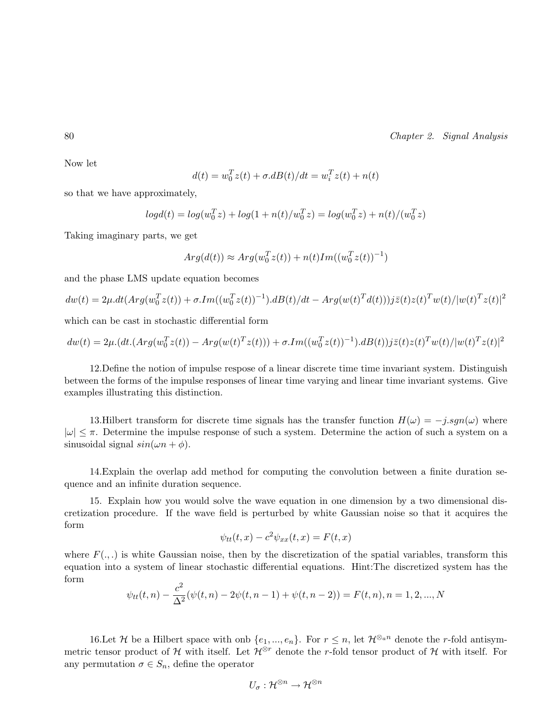Now let

$$
d(t)=w_0^Tz(t)+\sigma.dB(t)/dt=w_i^Tz(t)+n(t)
$$

so that we have approximately,

$$
log d(t) = log(w_0^T z) + log(1 + n(t)/w_0^T z) = log(w_0^T z) + n(t)/(w_0^T z)
$$

Taking imaginary parts, we get

$$
Arg(d(t)) \approx Arg(w_0^T z(t)) + n(t)Im((w_0^T z(t))^{-1})
$$

and the phase LMS update equation becomes

$$
dw(t) = 2\mu \cdot dt (Arg(w_0^T z(t)) + \sigma \cdot Im((w_0^T z(t))^{-1}) \cdot dB(t)/dt - Arg(w(t)^T d(t)))j\bar{z}(t)z(t)^T w(t)/|w(t)^T z(t)|^2
$$

which can be cast in stochastic differential form

$$
dw(t) = 2\mu \cdot (dt \cdot (Arg(w_0^T z(t)) - Arg(w(t)^T z(t))) + \sigma \cdot Im((w_0^T z(t))^{-1}) \cdot dB(t))j\bar{z}(t)z(t)^T w(t)/|w(t)^T z(t)|^2
$$

12.Define the notion of impulse respose of a linear discrete time time invariant system. Distinguish between the forms of the impulse responses of linear time varying and linear time invariant systems. Give examples illustrating this distinction.

13.Hilbert transform for discrete time signals has the transfer function  $H(\omega) = -j \nsqcap (\omega)$  where  $|\omega| \leq \pi$ . Determine the impulse response of such a system. Determine the action of such a system on a sinusoidal signal  $sin(\omega n + \phi)$ .

14.Explain the overlap add method for computing the convolution between a finite duration sequence and an infinite duration sequence.

15. Explain how you would solve the wave equation in one dimension by a two dimensional discretization procedure. If the wave field is perturbed by white Gaussian noise so that it acquires the form

$$
\psi_{tt}(t,x) - c^2 \psi_{xx}(t,x) = F(t,x)
$$

where  $F(\ldots)$  is white Gaussian noise, then by the discretization of the spatial variables, transform this equation into a system of linear stochastic differential equations. Hint:The discretized system has the form

$$
\psi_{tt}(t,n) - \frac{c^2}{\Delta^2}(\psi(t,n) - 2\psi(t,n-1) + \psi(t,n-2)) = F(t,n), n = 1, 2, ..., N
$$

16.Let H be a Hilbert space with onb  $\{e_1, ..., e_n\}$ . For  $r \leq n$ , let  $\mathcal{H}^{\otimes_a n}$  denote the r-fold antisymmetric tensor product of H with itself. Let  $\mathcal{H}^{\otimes r}$  denote the r-fold tensor product of H with itself. For any permutation  $\sigma \in S_n$ , define the operator

$$
U_\sigma:\mathcal{H}^{\otimes n}\to\mathcal{H}^{\otimes n}
$$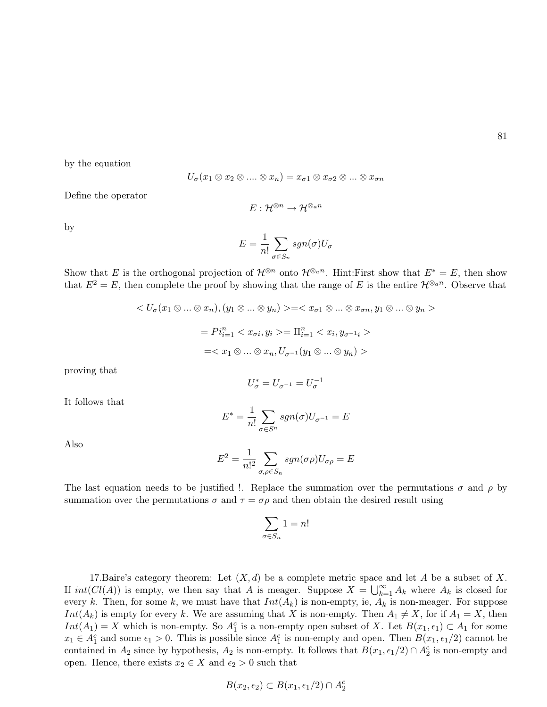by the equation

$$
U_{\sigma}(x_1 \otimes x_2 \otimes \ldots \otimes x_n) = x_{\sigma 1} \otimes x_{\sigma 2} \otimes \ldots \otimes x_{\sigma n}
$$

Define the operator

$$
E:\mathcal{H}^{\otimes n}\rightarrow \mathcal{H}^{\otimes_{a}n}
$$

by

$$
E = \frac{1}{n!} \sum_{\sigma \in S_n} sgn(\sigma) U_{\sigma}
$$

Show that E is the orthogonal projection of  $\mathcal{H}^{\otimes n}$  onto  $\mathcal{H}^{\otimes n}$ . Hint:First show that  $E^* = E$ , then show that  $E^2 = E$ , then complete the proof by showing that the range of E is the entire  $\mathcal{H}^{\otimes_a n}$ . Observe that

$$
\langle U_{\sigma}(x_1 \otimes \ldots \otimes x_n), (y_1 \otimes \ldots \otimes y_n) \rangle = \langle x_{\sigma 1} \otimes \ldots \otimes x_{\sigma n}, y_1 \otimes \ldots \otimes y_n \rangle
$$

$$
= Pi_{i=1}^n \langle x_{\sigma i}, y_i \rangle = \Pi_{i=1}^n \langle x_i, y_{\sigma^{-1} i} \rangle
$$

$$
= \langle x_1 \otimes \ldots \otimes x_n, U_{\sigma^{-1}}(y_1 \otimes \ldots \otimes y_n) \rangle
$$

proving that

$$
U_\sigma^*=U_{\sigma^{-1}}=U_\sigma^{-1}
$$

It follows that

$$
E^* = \frac{1}{n!} \sum_{\sigma \in S^n} sgn(\sigma) U_{\sigma^{-1}} = E
$$

Also

$$
E^{2} = \frac{1}{n!^{2}} \sum_{\sigma,\rho \in S_{n}} sgn(\sigma \rho) U_{\sigma \rho} = E
$$

The last equation needs to be justified !. Replace the summation over the permutations  $\sigma$  and  $\rho$  by summation over the permutations  $\sigma$  and  $\tau = \sigma \rho$  and then obtain the desired result using

$$
\sum_{\sigma \in S_n} 1 = n!
$$

17.Baire's category theorem: Let  $(X, d)$  be a complete metric space and let A be a subset of X. If interesting is empty, we then say that A is meager. Suppose  $X = \bigcup_{k=1}^{\infty}$  $\sum_{k=1}^{\infty} A_k$  where  $A_k$  is closed for every k. Then, for some k, we must have that  $Int(A_k)$  is non-empty, ie,  $A_k$  is non-meager. For suppose  $Int(A_k)$  is empty for every k. We are assuming that X is non-empty. Then  $A_1 \neq X$ , for if  $A_1 = X$ , then  $Int(A_1) = X$  which is non-empty. So  $A_1^c$  is a non-empty open subset of X. Let  $B(x_1, \epsilon_1) \subset A_1$  for some  $x_1 \in A_1^c$  and some  $\epsilon_1 > 0$ . This is possible since  $A_1^c$  is non-empty and open. Then  $B(x_1, \epsilon_1/2)$  cannot be contained in  $A_2$  since by hypothesis,  $A_2$  is non-empty. It follows that  $B(x_1, \epsilon_1/2) \cap A_2^c$  is non-empty and open. Hence, there exists  $x_2 \in X$  and  $\epsilon_2 > 0$  such that

$$
B(x_2, \epsilon_2) \subset B(x_1, \epsilon_1/2) \cap A_2^c
$$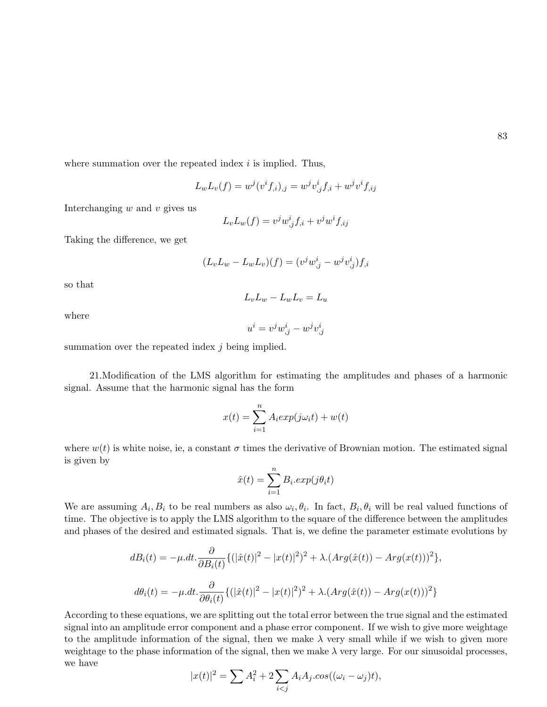where summation over the repeated index  $i$  is implied. Thus,

$$
L_w L_v(f) = w^j (v^i f_{,i})_{,j} = w^j v^i_{,j} f_{,i} + w^j v^i f_{,ij}
$$

Interchanging  $w$  and  $v$  gives us

$$
L_v L_w(f) = v^j w^i_{,j} f_{,i} + v^j w^i f_{,ij}
$$

Taking the difference, we get

$$
(L_v L_w - L_w L_v)(f) = (v^j w^i_{,j} - w^j v^i_{,j}) f_{,i}
$$

so that

$$
L_v L_w - L_w L_v = L_u
$$

where

$$
u^i = v^j w^i_{,j} - w^j v^i_{,j}
$$

summation over the repeated index  $i$  being implied.

21.Modification of the LMS algorithm for estimating the amplitudes and phases of a harmonic signal. Assume that the harmonic signal has the form

$$
x(t) = \sum_{i=1}^{n} A_i exp(j\omega_i t) + w(t)
$$

where  $w(t)$  is white noise, ie, a constant  $\sigma$  times the derivative of Brownian motion. The estimated signal is given by

$$
\hat{x}(t) = \sum_{i=1}^{n} B_i \cdot exp(j\theta_i t)
$$

We are assuming  $A_i, B_i$  to be real numbers as also  $\omega_i, \theta_i$ . In fact,  $B_i, \theta_i$  will be real valued functions of time. The objective is to apply the LMS algorithm to the square of the difference between the amplitudes and phases of the desired and estimated signals. That is, we define the parameter estimate evolutions by

$$
dB_i(t) = -\mu dt \cdot \frac{\partial}{\partial B_i(t)} \{ (|\hat{x}(t)|^2 - |x(t)|^2)^2 + \lambda (Arg(\hat{x}(t)) - Arg(x(t)))^2 \},
$$
  

$$
d\theta_i(t) = -\mu dt \cdot \frac{\partial}{\partial \theta_i(t)} \{ (|\hat{x}(t)|^2 - |x(t)|^2)^2 + \lambda (Arg(\hat{x}(t)) - Arg(x(t)))^2 \}
$$

According to these equations, we are splitting out the total error between the true signal and the estimated signal into an amplitude error component and a phase error component. If we wish to give more weightage to the amplitude information of the signal, then we make  $\lambda$  very small while if we wish to given more weightage to the phase information of the signal, then we make  $\lambda$  very large. For our sinusoidal processes, we have

$$
|x(t)|^2 = \sum A_i^2 + 2 \sum_{i < j} A_i A_j \cdot \cos((\omega_i - \omega_j)t),
$$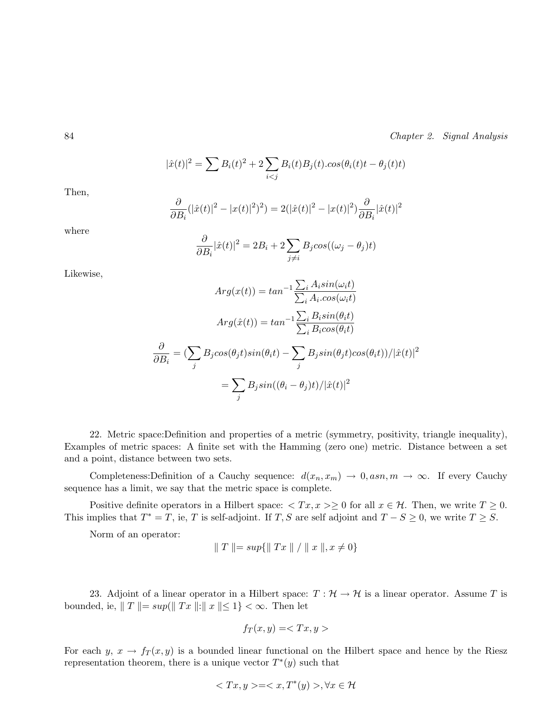$$
|\hat{x}(t)|^2 = \sum B_i(t)^2 + 2 \sum_{i < j} B_i(t) B_j(t) \cdot \cos(\theta_i(t)t - \theta_j(t)t)
$$

Then,

$$
\frac{\partial}{\partial B_i} (|\hat{x}(t)|^2 - |x(t)|^2)^2) = 2(|\hat{x}(t)|^2 - |x(t)|^2) \frac{\partial}{\partial B_i} |\hat{x}(t)|^2
$$

where

$$
\frac{\partial}{\partial B_i}|\hat{x}(t)|^2 = 2B_i + 2\sum_{j \neq i} B_j cos((\omega_j - \theta_j)t)
$$

Likewise,

$$
Arg(x(t)) = \tan^{-1} \frac{\sum_{i} A_i \sin(\omega_i t)}{\sum_{i} A_i \cos(\omega_i t)}
$$

$$
Arg(\hat{x}(t)) = \tan^{-1} \frac{\sum_{i} B_i \sin(\theta_i t)}{\sum_{i} B_i \cos(\theta_i t)}
$$

$$
\frac{\partial}{\partial B_i} = \left(\sum_{j} B_j \cos(\theta_j t) \sin(\theta_i t) - \sum_{j} B_j \sin(\theta_j t) \cos(\theta_i t)\right) / |\hat{x}(t)|^2
$$

$$
= \sum_{j} B_j \sin((\theta_i - \theta_j)t) / |\hat{x}(t)|^2
$$

22. Metric space:Definition and properties of a metric (symmetry, positivity, triangle inequality), Examples of metric spaces: A finite set with the Hamming (zero one) metric. Distance between a set and a point, distance between two sets.

Completeness:Definition of a Cauchy sequence:  $d(x_n, x_m) \to 0$ , asn,  $m \to \infty$ . If every Cauchy sequence has a limit, we say that the metric space is complete.

Positive definite operators in a Hilbert space:  $\langle Tx, x \rangle \geq 0$  for all  $x \in \mathcal{H}$ . Then, we write  $T \geq 0$ . This implies that  $T^* = T$ , ie, T is self-adjoint. If T, S are self adjoint and  $T - S \ge 0$ , we write  $T \ge S$ .

Norm of an operator:

$$
|| T || = sup{ || Tx || / || x ||, x \neq 0 }
$$

23. Adjoint of a linear operator in a Hilbert space:  $T : \mathcal{H} \to \mathcal{H}$  is a linear operator. Assume T is bounded, ie,  $||T|| = \sup(||Tx||:||x|| \leq 1) < \infty$ . Then let

$$
f_T(x,y) =
$$

For each  $y, x \to f_T(x, y)$  is a bounded linear functional on the Hilbert space and hence by the Riesz representation theorem, there is a unique vector  $T^*(y)$  such that

$$
\langle Tx, y \rangle = \langle x, T^*(y) \rangle, \forall x \in \mathcal{H}
$$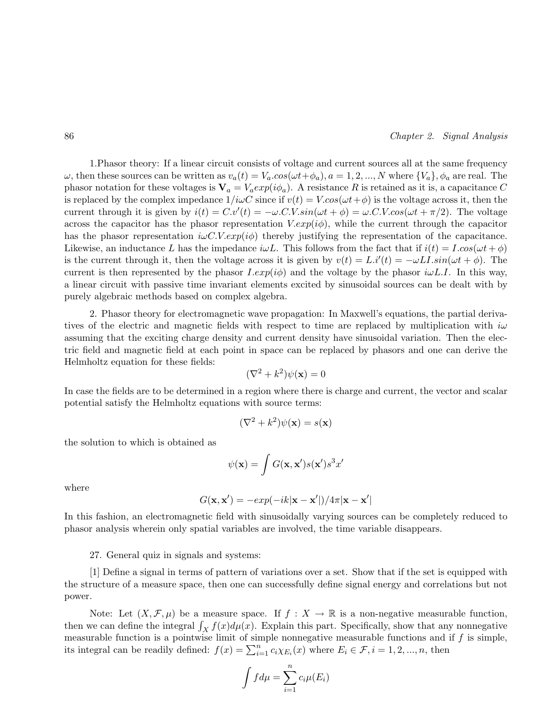1.Phasor theory: If a linear circuit consists of voltage and current sources all at the same frequency  $ω$ , then these sources can be written as  $v_a(t) = V_a \cdot cos(\omega t + \phi_a)$ ,  $a = 1, 2, ..., N$  where  $\{V_a\}$ ,  $\phi_a$  are real. The phasor notation for these voltages is  $V_a = V_a exp(i\phi_a)$ . A resistance R is retained as it is, a capacitance C is replaced by the complex impedance  $1/i\omega C$  since if  $v(t) = V\cos(\omega t + \phi)$  is the voltage across it, then the current through it is given by  $i(t) = C.v'(t) = -\omega.C.V.\sin(\omega t + \phi) = \omega.C.V.\cos(\omega t + \pi/2)$ . The voltage across the capacitor has the phasor representation  $V.\exp(i\phi)$ , while the current through the capacitor has the phasor representation  $i\omega C.V. exp(i\phi)$  thereby justifying the representation of the capacitance. Likewise, an inductance L has the impedance  $i\omega L$ . This follows from the fact that if  $i(t) = I \cdot cos(\omega t + \phi)$ is the current through it, then the voltage across it is given by  $v(t) = L i'(t) = -\omega L I \sin(\omega t + \phi)$ . The current is then represented by the phasor  $I.exp(i\phi)$  and the voltage by the phasor  $i\omega L.I$ . In this way, a linear circuit with passive time invariant elements excited by sinusoidal sources can be dealt with by purely algebraic methods based on complex algebra.

2. Phasor theory for electromagnetic wave propagation: In Maxwell's equations, the partial derivatives of the electric and magnetic fields with respect to time are replaced by multiplication with  $i\omega$ assuming that the exciting charge density and current density have sinusoidal variation. Then the electric field and magnetic field at each point in space can be replaced by phasors and one can derive the Helmholtz equation for these fields:

$$
(\nabla^2 + k^2)\psi(\mathbf{x}) = 0
$$

In case the fields are to be determined in a region where there is charge and current, the vector and scalar potential satisfy the Helmholtz equations with source terms:

$$
(\nabla^2 + k^2)\psi(\mathbf{x}) = s(\mathbf{x})
$$

the solution to which is obtained as

$$
\psi(\mathbf{x}) = \int G(\mathbf{x}, \mathbf{x}') s(\mathbf{x}') s^3 x'
$$

where

$$
G(\mathbf{x}, \mathbf{x}') = -exp(-ik|\mathbf{x} - \mathbf{x}'|)/4\pi|\mathbf{x} - \mathbf{x}'|
$$

In this fashion, an electromagnetic field with sinusoidally varying sources can be completely reduced to phasor analysis wherein only spatial variables are involved, the time variable disappears.

27. General quiz in signals and systems:

[1] Define a signal in terms of pattern of variations over a set. Show that if the set is equipped with the structure of a measure space, then one can successfully define signal energy and correlations but not power.

Note: Let  $(X, \mathcal{F}, \mu)$  be a measure space. If  $f : X \to \mathbb{R}$  is a non-negative measurable function, Note: Let  $(X, \mathcal{F}, \mu)$  be a measure space. If  $f: X \to \mathbb{R}$  is a non-negative measurable function,<br>then we can define the integral  $\int_X f(x) d\mu(x)$ . Explain this part. Specifically, show that any nonnegative measurable function is a pointwise limit of simple nonnegative measurable functions and if  $f$  is simple, its integral can be readily defined:  $f(x) = \sum_{i=1}^{n} c_i \chi_{E_i}(x)$  where  $E_i \in \mathcal{F}, i = 1, 2, ..., n$ , then

$$
\int f d\mu = \sum_{i=1}^n c_i \mu(E_i)
$$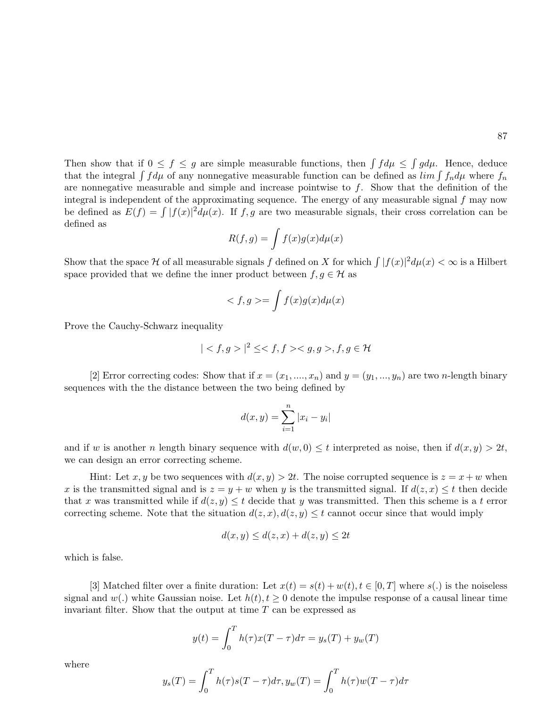Then show that if  $0 \leq f \leq g$  are simple measurable functions, then  $\int f d\mu \leq$ R  $gd\mu$ . Hence, deduce Then show that if  $0 \le f \le g$  are simple measurable functions, then  $\int f d\mu$ . Thence, deduce<br>that the integral  $\int f d\mu$  of any nonnegative measurable function can be defined as  $\lim \int f_n d\mu$  where  $f_n$ are nonnegative measurable and simple and increase pointwise to  $f$ . Show that the definition of the integral is independent of the approximating sequence. The energy of any measurable signal  $f$  may now megral is independent of the approximating sequence. The energy of any measurable signal f may now<br>be defined as  $E(f) = \int |f(x)|^2 d\mu(x)$ . If f, g are two measurable signals, their cross correlation can be defined as

$$
R(f,g) = \int f(x)g(x)d\mu(x)
$$

Show that the space H of all measurable signals f defined on X for which  $\int |f(x)|^2 d\mu(x) < \infty$  is a Hilbert space provided that we define the inner product between  $f, g \in \mathcal{H}$  as

$$
\langle f, g \rangle = \int f(x)g(x)d\mu(x)
$$

Prove the Cauchy-Schwarz inequality

$$
| < f, g > |^2 \leq , f, g \in \mathcal{H}
$$

[2] Error correcting codes: Show that if  $x = (x_1, ..., x_n)$  and  $y = (y_1, ..., y_n)$  are two *n*-length binary sequences with the the distance between the two being defined by

$$
d(x, y) = \sum_{i=1}^{n} |x_i - y_i|
$$

and if w is another n length binary sequence with  $d(w, 0) \leq t$  interpreted as noise, then if  $d(x, y) > 2t$ , we can design an error correcting scheme.

Hint: Let x, y be two sequences with  $d(x, y) > 2t$ . The noise corrupted sequence is  $z = x + w$  when x is the transmitted signal and is  $z = y + w$  when y is the transmitted signal. If  $d(z, x) \leq t$  then decide that x was transmitted while if  $d(z, y) \leq t$  decide that y was transmitted. Then this scheme is a t error correcting scheme. Note that the situation  $d(z, x), d(z, y) \leq t$  cannot occur since that would imply

$$
d(x, y) \le d(z, x) + d(z, y) \le 2t
$$

which is false.

[3] Matched filter over a finite duration: Let  $x(t) = s(t) + w(t), t \in [0, T]$  where  $s(.)$  is the noiseless signal and  $w(.)$  white Gaussian noise. Let  $h(t), t \geq 0$  denote the impulse response of a causal linear time invariant filter. Show that the output at time  $T$  can be expressed as

$$
y(t) = \int_0^T h(\tau)x(T-\tau)d\tau = y_s(T) + y_w(T)
$$

where

$$
y_s(T) = \int_0^T h(\tau)s(T-\tau)d\tau, y_w(T) = \int_0^T h(\tau)w(T-\tau)d\tau
$$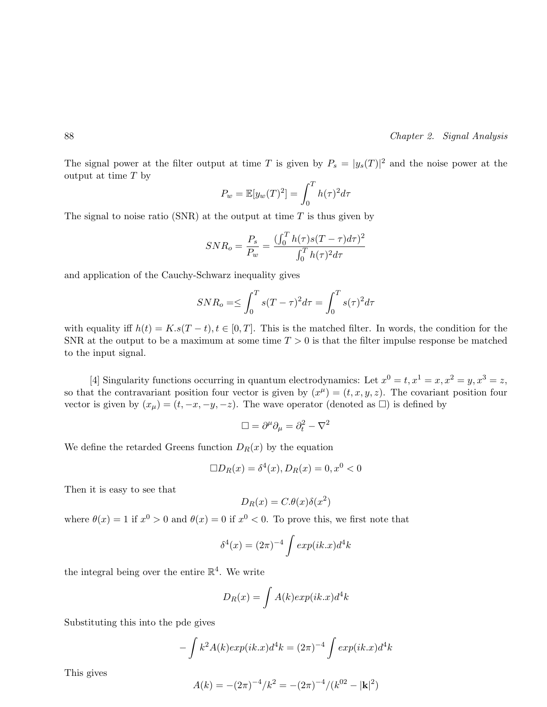The signal power at the filter output at time T is given by  $P_s = |y_s(T)|^2$  and the noise power at the output at time  $T$  by

$$
P_w = \mathbb{E}[y_w(T)^2] = \int_0^T h(\tau)^2 d\tau
$$

The signal to noise ratio (SNR) at the output at time  $T$  is thus given by

$$
SNR_o = \frac{P_s}{P_w} = \frac{(\int_0^T h(\tau)s(T-\tau)d\tau)^2}{\int_0^T h(\tau)^2 d\tau}
$$

and application of the Cauchy-Schwarz inequality gives

$$
SNR_o \equiv \leq \int_0^T s(T-\tau)^2 d\tau = \int_0^T s(\tau)^2 d\tau
$$

with equality iff  $h(t) = K \cdot s(T - t), t \in [0, T]$ . This is the matched filter. In words, the condition for the SNR at the output to be a maximum at some time  $T > 0$  is that the filter impulse response be matched to the input signal.

[4] Singularity functions occurring in quantum electrodynamics: Let  $x^0 = t, x^1 = x, x^2 = y, x^3 = z$ , so that the contravariant position four vector is given by  $(x^{\mu}) = (t, x, y, z)$ . The covariant position four vector is given by  $(x_u) = (t, -x, -y, -z)$ . The wave operator (denoted as  $\Box$ ) is defined by

$$
\Box = \partial^{\mu} \partial_{\mu} = \partial_t^2 - \nabla^2
$$

We define the retarded Greens function  $D_R(x)$  by the equation

$$
\Box D_R(x) = \delta^4(x), D_R(x) = 0, x^0 < 0
$$

Then it is easy to see that

$$
D_R(x) = C.\theta(x)\delta(x^2)
$$

where  $\theta(x) = 1$  if  $x^0 > 0$  and  $\theta(x) = 0$  if  $x^0 < 0$ . To prove this, we first note that

$$
\delta^4(x) = (2\pi)^{-4} \int exp(ik.x) d^4k
$$

the integral being over the entire  $\mathbb{R}^4$ . We write

$$
D_R(x) = \int A(k) exp(ik.x) d^4k
$$

Substituting this into the pde gives

$$
-\int k^2 A(k) exp(ik.x) d^4k = (2\pi)^{-4} \int exp(ik.x) d^4k
$$

This gives

$$
A(k) = -(2\pi)^{-4}/k^2 = -(2\pi)^{-4}/(k^{02} - |\mathbf{k}|^2)
$$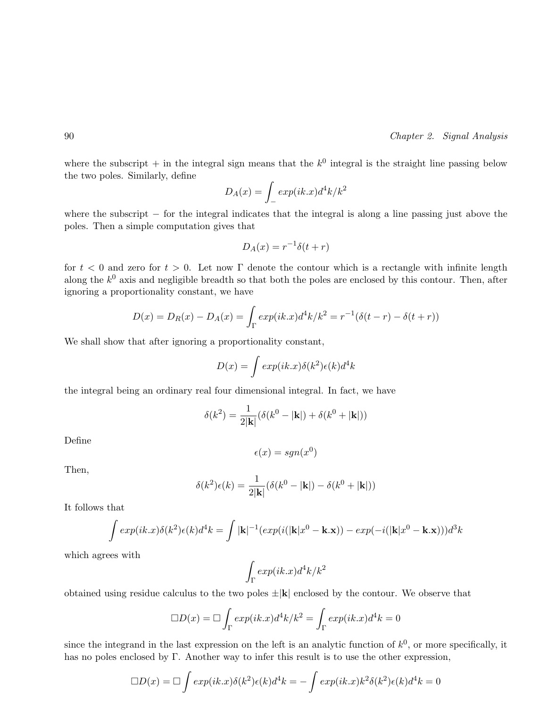where the subscript  $+$  in the integral sign means that the  $k^0$  integral is the straight line passing below the two poles. Similarly, define

$$
D_A(x) = \int_{-}^{\infty} exp(ik.x)d^4k/k^2
$$

where the subscript  $-$  for the integral indicates that the integral is along a line passing just above the poles. Then a simple computation gives that

$$
D_A(x) = r^{-1}\delta(t+r)
$$

for  $t < 0$  and zero for  $t > 0$ . Let now Γ denote the contour which is a rectangle with infinite length along the  $k^0$  axis and negligible breadth so that both the poles are enclosed by this contour. Then, after ignoring a proportionality constant, we have

$$
D(x) = D_R(x) - D_A(x) = \int_{\Gamma} exp(ik.x) d^4k / k^2 = r^{-1}(\delta(t - r) - \delta(t + r))
$$

We shall show that after ignoring a proportionality constant,

$$
D(x) = \int exp(ik.x)\delta(k^2)\epsilon(k)d^4k
$$

the integral being an ordinary real four dimensional integral. In fact, we have

$$
\delta(k^2) = \frac{1}{2|\mathbf{k}|} (\delta(k^0 - |\mathbf{k}|) + \delta(k^0 + |\mathbf{k}|))
$$

Define

$$
\epsilon(x) = sgn(x^0)
$$

Then,

$$
\delta(k^2)\epsilon(k) = \frac{1}{2|\mathbf{k}|}(\delta(k^0 - |\mathbf{k}|) - \delta(k^0 + |\mathbf{k}|))
$$

It follows that

$$
\int exp(ik \cdot x) \delta(k^2) \epsilon(k) d^4 k = \int |\mathbf{k}|^{-1} (exp(i(|\mathbf{k}|x^0 - \mathbf{k} \cdot \mathbf{x})) - exp(-i(|\mathbf{k}|x^0 - \mathbf{k} \cdot \mathbf{x}))) d^3 k
$$

which agrees with

$$
\int_{\Gamma} \exp(ik.x) d^4k/k^2
$$

obtained using residue calculus to the two poles  $\pm |{\bf k}|$  enclosed by the contour. We observe that

$$
\Box D(x) = \Box \int_{\Gamma} exp(ik.x) d^4k / k^2 = \int_{\Gamma} exp(ik.x) d^4k = 0
$$

since the integrand in the last expression on the left is an analytic function of  $k^0$ , or more specifically, it has no poles enclosed by Γ. Another way to infer this result is to use the other expression,

$$
\Box D(x) = \Box \int exp(ik.x)\delta(k^2)\epsilon(k)d^4k = -\int exp(ik.x)k^2\delta(k^2)\epsilon(k)d^4k = 0
$$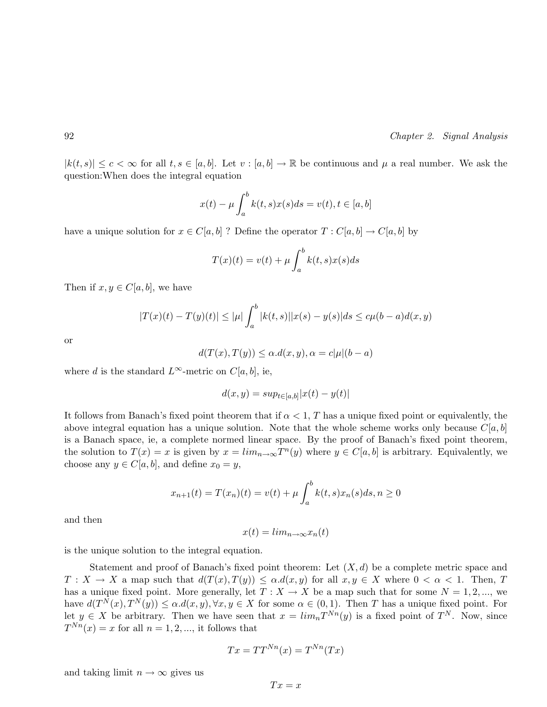$|k(t,s)| \leq c \leq \infty$  for all  $t,s \in [a,b]$ . Let  $v : [a,b] \to \mathbb{R}$  be continuous and  $\mu$  a real number. We ask the question:When does the integral equation

$$
x(t) - \mu \int_a^b k(t, s) x(s) ds = v(t), t \in [a, b]
$$

have a unique solution for  $x \in C[a, b]$ ? Define the operator  $T : C[a, b] \to C[a, b]$  by

$$
T(x)(t) = v(t) + \mu \int_a^b k(t,s)x(s)ds
$$

Then if  $x, y \in C[a, b]$ , we have

$$
|T(x)(t) - T(y)(t)| \le |\mu| \int_a^b |k(t,s)| |x(s) - y(s)| ds \le c\mu(b-a)d(x,y)
$$

or

$$
d(T(x), T(y)) \le \alpha.d(x, y), \alpha = c|\mu|(b - a)
$$

where d is the standard  $L^{\infty}$ -metric on  $C[a, b]$ , ie,

$$
d(x, y) = \sup_{t \in [a, b]} |x(t) - y(t)|
$$

It follows from Banach's fixed point theorem that if  $\alpha < 1$ , T has a unique fixed point or equivalently, the above integral equation has a unique solution. Note that the whole scheme works only because  $C[a, b]$ is a Banach space, ie, a complete normed linear space. By the proof of Banach's fixed point theorem, the solution to  $T(x) = x$  is given by  $x = \lim_{n \to \infty} T^n(y)$  where  $y \in C[a, b]$  is arbitrary. Equivalently, we choose any  $y \in C[a, b]$ , and define  $x_0 = y$ ,

$$
x_{n+1}(t) = T(x_n)(t) = v(t) + \mu \int_a^b k(t,s)x_n(s)ds, n \ge 0
$$

and then

$$
x(t) = lim_{n \to \infty} x_n(t)
$$

is the unique solution to the integral equation.

Statement and proof of Banach's fixed point theorem: Let  $(X, d)$  be a complete metric space and  $T: X \to X$  a map such that  $d(T(x), T(y)) \leq \alpha \cdot d(x, y)$  for all  $x, y \in X$  where  $0 < \alpha < 1$ . Then, T has a unique fixed point. More generally, let  $T : X \to X$  be a map such that for some  $N = 1, 2, ...,$  we have  $d(T^N(x), T^N(y)) \leq \alpha.d(x, y), \forall x, y \in X$  for some  $\alpha \in (0, 1)$ . Then T has a unique fixed point. For let  $y \in X$  be arbitrary. Then we have seen that  $x = \lim_{n} T^{N_n}(y)$  is a fixed point of  $T^N$ . Now, since  $T^{Nn}(x) = x$  for all  $n = 1, 2, \dots$ , it follows that

$$
Tx = TT^{Nn}(x) = T^{Nn}(Tx)
$$

and taking limit  $n \to \infty$  gives us

$$
Tx = x
$$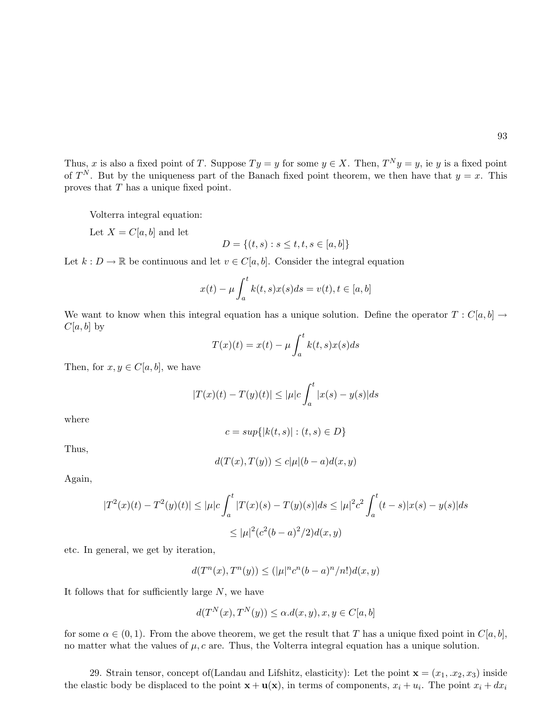Thus, x is also a fixed point of T. Suppose  $Ty = y$  for some  $y \in X$ . Then,  $T^N y = y$ , ie y is a fixed point of  $T^N$ . But by the uniqueness part of the Banach fixed point theorem, we then have that  $y = x$ . This proves that T has a unique fixed point.

Volterra integral equation:

Let  $X = C[a, b]$  and let

$$
D = \{(t, s) : s \le t, t, s \in [a, b]\}
$$

Let  $k : D \to \mathbb{R}$  be continuous and let  $v \in C[a, b]$ . Consider the integral equation

$$
x(t) - \mu \int_a^t k(t, s) x(s) ds = v(t), t \in [a, b]
$$

We want to know when this integral equation has a unique solution. Define the operator  $T : C[a, b] \rightarrow$  $C[a, b]$  by

$$
T(x)(t) = x(t) - \mu \int_a^t k(t, s) x(s) ds
$$

Then, for  $x, y \in C[a, b]$ , we have

$$
|T(x)(t) - T(y)(t)| \le |\mu|c \int_a^t |x(s) - y(s)| ds
$$

where

$$
c=sup\{|k(t,s)|:(t,s)\in D\}
$$

Thus,

$$
d(T(x), T(y)) \le c|\mu|(b-a)d(x,y)
$$

Again,

$$
|T^{2}(x)(t) - T^{2}(y)(t)| \leq |\mu|c \int_{a}^{t} |T(x)(s) - T(y)(s)|ds \leq |\mu|^{2}c^{2} \int_{a}^{t} (t - s)|x(s) - y(s)|ds
$$
  

$$
\leq |\mu|^{2}(c^{2}(b - a)^{2}/2)d(x, y)
$$

etc. In general, we get by iteration,

$$
d(T^n(x),T^n(y))\leq (|\mu|^nc^n(b-a)^n/n!)d(x,y)
$$

It follows that for sufficiently large  $N$ , we have

$$
d(T^{N}(x),T^{N}(y)) \leq \alpha.d(x,y), x,y \in C[a,b]
$$

for some  $\alpha \in (0,1)$ . From the above theorem, we get the result that T has a unique fixed point in  $C[a, b]$ , no matter what the values of  $\mu$ , c are. Thus, the Volterra integral equation has a unique solution.

29. Strain tensor, concept of (Landau and Lifshitz, elasticity): Let the point  $\mathbf{x} = (x_1, x_2, x_3)$  inside the elastic body be displaced to the point  $\mathbf{x} + \mathbf{u}(\mathbf{x})$ , in terms of components,  $x_i + u_i$ . The point  $x_i + dx_i$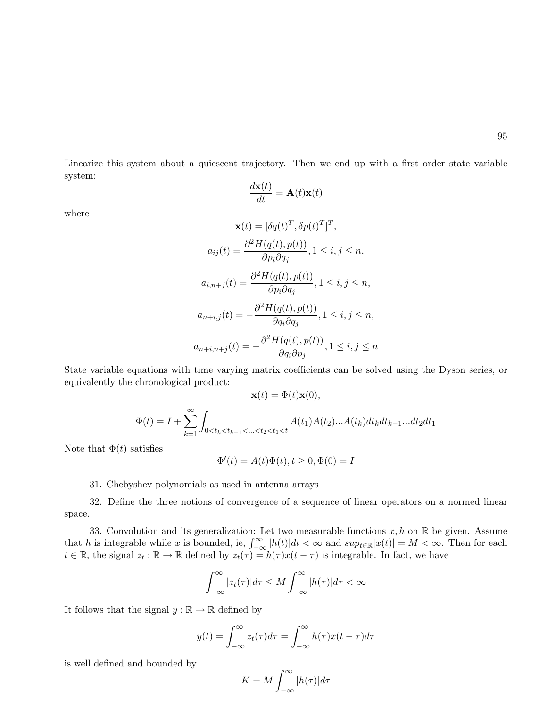Linearize this system about a quiescent trajectory. Then we end up with a first order state variable system:

$$
\frac{d\mathbf{x}(t)}{dt} = \mathbf{A}(t)\mathbf{x}(t)
$$

where

$$
\mathbf{x}(t) = [\delta q(t)^T, \delta p(t)^T]^T,
$$
  
\n
$$
a_{ij}(t) = \frac{\partial^2 H(q(t), p(t))}{\partial p_i \partial q_j}, 1 \le i, j \le n,
$$
  
\n
$$
a_{i,n+j}(t) = \frac{\partial^2 H(q(t), p(t))}{\partial p_i \partial q_j}, 1 \le i, j \le n,
$$
  
\n
$$
a_{n+i,j}(t) = -\frac{\partial^2 H(q(t), p(t))}{\partial q_i \partial q_j}, 1 \le i, j \le n,
$$
  
\n
$$
a_{n+i,n+j}(t) = -\frac{\partial^2 H(q(t), p(t))}{\partial q_i \partial p_j}, 1 \le i, j \le n
$$

State variable equations with time varying matrix coefficients can be solved using the Dyson series, or equivalently the chronological product:

$$
\mathbf{x}(t) = \Phi(t)\mathbf{x}(0),
$$

$$
\Phi(t) = I + \sum_{k=1}^{\infty} \int_{0 < t_k < t_{k-1} < ... < t_2 < t_1 < t} A(t_1) A(t_2) ... A(t_k) dt_k dt_{k-1} ... dt_2 dt_1
$$

Note that  $\Phi(t)$  satisfies

$$
\Phi'(t) = A(t)\Phi(t), t \ge 0, \Phi(0) = I
$$

31. Chebyshev polynomials as used in antenna arrays

32. Define the three notions of convergence of a sequence of linear operators on a normed linear space.

33. Convolution and its generalization: Let two measurable functions  $x, h$  on  $\mathbb{R}$  be given. Assume so. Convolution and its generalization: Let two measurable functions x, n on  $\mathbb{R}$  be given. Assume<br>that h is integrable while x is bounded, ie,  $\int_{-\infty}^{\infty} |h(t)| dt < \infty$  and  $sup_{t \in \mathbb{R}} |x(t)| = M < \infty$ . Then for each  $t \in \mathbb{R}$ , the signal  $z_t : \mathbb{R} \to \mathbb{R}$  defined by  $z_t(\tau) = h(\tau)x(t - \tau)$  is integrable. In fact, we have

$$
\int_{-\infty}^{\infty} |z_t(\tau)| d\tau \le M \int_{-\infty}^{\infty} |h(\tau)| d\tau < \infty
$$

It follows that the signal  $y : \mathbb{R} \to \mathbb{R}$  defined by

$$
y(t) = \int_{-\infty}^{\infty} z_t(\tau) d\tau = \int_{-\infty}^{\infty} h(\tau) x(t - \tau) d\tau
$$

is well defined and bounded by

$$
K = M \int_{-\infty}^{\infty} |h(\tau)| d\tau
$$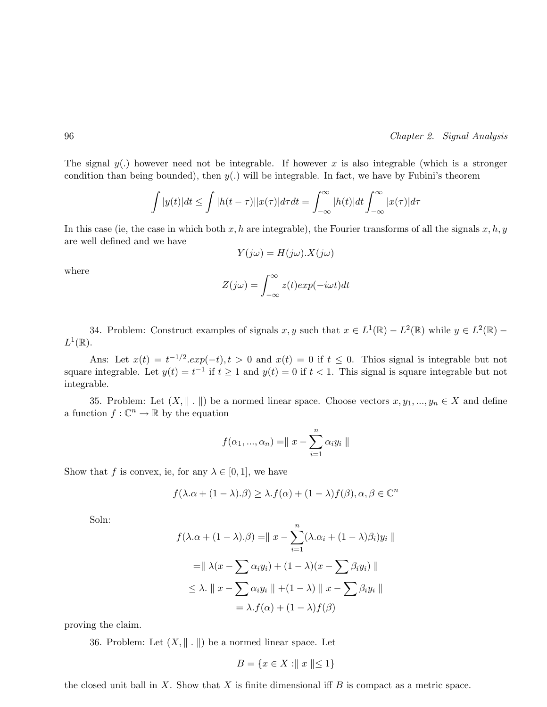The signal  $y(.)$  however need not be integrable. If however x is also integrable (which is a stronger condition than being bounded), then  $y(.)$  will be integrable. In fact, we have by Fubini's theorem

$$
\int |y(t)|dt \leq \int |h(t-\tau)||x(\tau)|d\tau dt = \int_{-\infty}^{\infty} |h(t)|dt \int_{-\infty}^{\infty} |x(\tau)|d\tau
$$

In this case (ie, the case in which both x, h are integrable), the Fourier transforms of all the signals  $x, h, y$ are well defined and we have

$$
Y(j\omega) = H(j\omega) \cdot X(j\omega)
$$

where

$$
Z(j\omega) = \int_{-\infty}^{\infty} z(t)exp(-i\omega t)dt
$$

34. Problem: Construct examples of signals  $x, y$  such that  $x \in L^1(\mathbb{R}) - L^2(\mathbb{R})$  while  $y \in L^2(\mathbb{R})$  –  $L^1(\mathbb{R})$ .

Ans: Let  $x(t) = t^{-1/2} \cdot exp(-t)$ ,  $t > 0$  and  $x(t) = 0$  if  $t \le 0$ . This signal is integrable but not square integrable. Let  $y(t) = t^{-1}$  if  $t \ge 1$  and  $y(t) = 0$  if  $t < 1$ . This signal is square integrable but not integrable.

35. Problem: Let  $(X, \| \cdot \|)$  be a normed linear space. Choose vectors  $x, y_1, ..., y_n \in X$  and define a function  $f: \mathbb{C}^n \to \mathbb{R}$  by the equation

$$
f(\alpha_1, ..., \alpha_n) = ||x - \sum_{i=1}^n \alpha_i y_i||
$$

Show that f is convex, ie, for any  $\lambda \in [0,1]$ , we have

$$
f(\lambda.\alpha + (1 - \lambda).\beta) \ge \lambda.f(\alpha) + (1 - \lambda)f(\beta), \alpha, \beta \in \mathbb{C}^n
$$

Soln:

$$
f(\lambda \cdot \alpha + (1 - \lambda) \cdot \beta) = || x - \sum_{i=1}^{n} (\lambda \cdot \alpha_i + (1 - \lambda) \beta_i) y_i ||
$$
  

$$
= || \lambda (x - \sum \alpha_i y_i) + (1 - \lambda) (x - \sum \beta_i y_i) ||
$$
  

$$
\leq \lambda \cdot || x - \sum \alpha_i y_i || + (1 - \lambda) || x - \sum \beta_i y_i ||
$$
  

$$
= \lambda \cdot f(\alpha) + (1 - \lambda) f(\beta)
$$

proving the claim.

36. Problem: Let  $(X, \|\cdot\|)$  be a normed linear space. Let

$$
B = \{ x \in X : || x || \le 1 \}
$$

the closed unit ball in X. Show that X is finite dimensional iff  $B$  is compact as a metric space.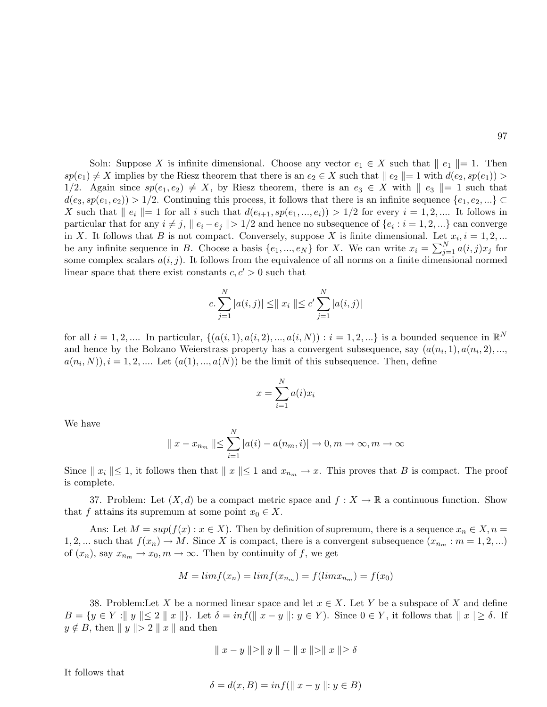Soln: Suppose X is infinite dimensional. Choose any vector  $e_1 \in X$  such that  $||e_1|| = 1$ . Then  $sp(e_1) \neq X$  implies by the Riesz theorem that there is an  $e_2 \in X$  such that  $||e_2|| = 1$  with  $d(e_2, sp(e_1)) >$ 1/2. Again since  $sp(e_1, e_2) \neq X$ , by Riesz theorem, there is an  $e_3 \in X$  with  $\|e_3\| = 1$  such that  $d(e_3, sp(e_1, e_2)) > 1/2$ . Continuing this process, it follows that there is an infinite sequence  $\{e_1, e_2, ...\} \subset$ X such that  $||e_i|| = 1$  for all i such that  $d(e_{i+1}, sp(e_1, ..., e_i)) > 1/2$  for every  $i = 1, 2, ...$  It follows in particular that for any  $i \neq j$ ,  $||e_i - e_j|| > 1/2$  and hence no subsequence of  $\{e_i : i = 1, 2, ...\}$  can converge in X. It follows that B is not compact. Conversely, suppose X is finite dimensional. Let  $x_i$ ,  $i = 1, 2, ...$ be any infinite sequence in B. Choose a basis  $\{e_1, ..., e_N\}$  for X. We can write  $x_i = \sum_{i=1}^{N}$  $\sum_{j=1}^N a(i,j)x_j$  for some complex scalars  $a(i, j)$ . It follows from the equivalence of all norms on a finite dimensional normed linear space that there exist constants  $c, c' > 0$  such that

$$
c. \sum_{j=1}^{N} |a(i,j)| \leq ||x_i|| \leq c' \sum_{j=1}^{N} |a(i,j)|
$$

for all  $i = 1, 2, ...$  In particular,  $\{(a(i, 1), a(i, 2), ..., a(i, N)) : i = 1, 2, ...\}$  is a bounded sequence in  $\mathbb{R}^N$ and hence by the Bolzano Weierstrass property has a convergent subsequence, say  $(a(n_i, 1), a(n_i, 2), ...,$  $a(n_i, N), i = 1, 2, \dots$  Let  $(a(1), ..., a(N))$  be the limit of this subsequence. Then, define

$$
x = \sum_{i=1}^{N} a(i)x_i
$$

We have

$$
\|x - x_{n_m}\| \leq \sum_{i=1}^{N} |a(i) - a(n_m, i)| \to 0, m \to \infty, m \to \infty
$$

Since  $\|x_i\| \leq 1$ , it follows then that  $\|x\| \leq 1$  and  $x_{n_m} \to x$ . This proves that B is compact. The proof is complete.

37. Problem: Let  $(X, d)$  be a compact metric space and  $f : X \to \mathbb{R}$  a continuous function. Show that f attains its supremum at some point  $x_0 \in X$ .

Ans: Let  $M = \sup(f(x) : x \in X)$ . Then by definition of supremum, there is a sequence  $x_n \in X, n =$ 1, 2, ... such that  $f(x_n) \to M$ . Since X is compact, there is a convergent subsequence  $(x_{n_m} : m = 1, 2, ...)$ of  $(x_n)$ , say  $x_{n_m} \to x_0, m \to \infty$ . Then by continuity of f, we get

$$
M = \lim f(x_n) = \lim f(x_{n_m}) = f(\lim x_{n_m}) = f(x_0)
$$

38. Problem:Let X be a normed linear space and let  $x \in X$ . Let Y be a subspace of X and define  $B = \{y \in Y : ||y|| \leq 2 ||x|| \}$ . Let  $\delta = inf(||x - y|| : y \in Y)$ . Since  $0 \in Y$ , it follows that  $||x|| \geq \delta$ . If  $y \notin B$ , then  $||y|| > 2 ||x||$  and then

$$
\parallel x - y \parallel \geq \parallel y \parallel - \parallel x \parallel > \parallel x \parallel \geq \delta
$$

It follows that

$$
\delta = d(x, B) = \inf(||x - y||; y \in B)
$$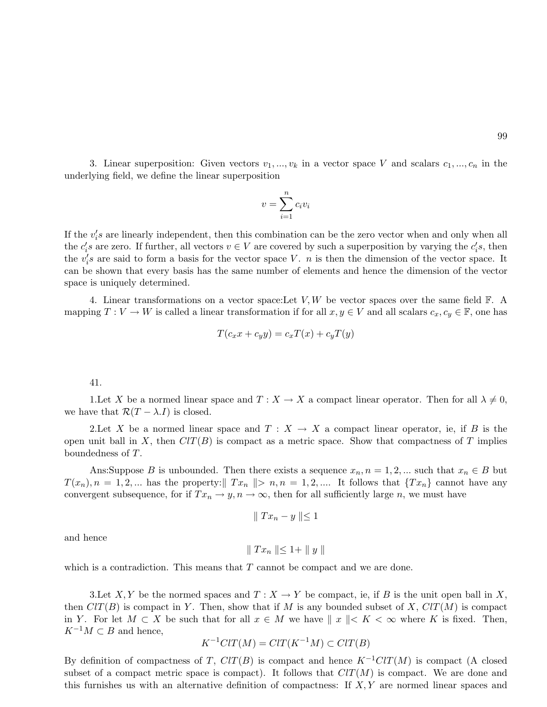3. Linear superposition: Given vectors  $v_1, ..., v_k$  in a vector space V and scalars  $c_1, ..., c_n$  in the underlying field, we define the linear superposition

$$
v = \sum_{i=1}^{n} c_i v_i
$$

If the  $v_i$ 's are linearly independent, then this combination can be the zero vector when and only when all the  $c_i$ 's are zero. If further, all vectors  $v \in V$  are covered by such a superposition by varying the  $c_i$ 's, then the  $v_i$ 's are said to form a basis for the vector space V. n is then the dimension of the vector space. It can be shown that every basis has the same number of elements and hence the dimension of the vector space is uniquely determined.

4. Linear transformations on a vector space: Let  $V, W$  be vector spaces over the same field  $\mathbb{F}$ . A mapping  $T: V \to W$  is called a linear transformation if for all  $x, y \in V$  and all scalars  $c_x, c_y \in \mathbb{F}$ , one has

$$
T(c_x x + c_y y) = c_x T(x) + c_y T(y)
$$

#### 41.

1. Let X be a normed linear space and  $T : X \to X$  a compact linear operator. Then for all  $\lambda \neq 0$ , we have that  $\mathcal{R}(T - \lambda I)$  is closed.

2. Let X be a normed linear space and  $T : X \to X$  a compact linear operator, ie, if B is the open unit ball in X, then  $ClT(B)$  is compact as a metric space. Show that compactness of T implies boundedness of T.

Ans:Suppose B is unbounded. Then there exists a sequence  $x_n, n = 1, 2, ...$  such that  $x_n \in B$  but  $T(x_n), n = 1, 2, ...$  has the property:  $\parallel Tx_n \parallel > n, n = 1, 2, ...$  It follows that  $\{Tx_n\}$  cannot have any convergent subsequence, for if  $Tx_n \to y$ ,  $n \to \infty$ , then for all sufficiently large n, we must have

$$
\parallel Tx_n - y \parallel \leq 1
$$

and hence

$$
\parallel Tx_n \parallel \leq 1 + \parallel y \parallel
$$

which is a contradiction. This means that  $T$  cannot be compact and we are done.

3. Let X, Y be the normed spaces and  $T : X \to Y$  be compact, ie, if B is the unit open ball in X, then  $ClT(B)$  is compact in Y. Then, show that if M is any bounded subset of X,  $ClT(M)$  is compact in Y. For let  $M \subset X$  be such that for all  $x \in M$  we have  $\|x\| < K < \infty$  where K is fixed. Then,  $K^{-1}M\subset B$  and hence,

$$
K^{-1}ClT(M) = ClT(K^{-1}M) \subset ClT(B)
$$

By definition of compactness of T,  $CIT(B)$  is compact and hence  $K^{-1}CIT(M)$  is compact (A closed subset of a compact metric space is compact). It follows that  $ClT(M)$  is compact. We are done and this furnishes us with an alternative definition of compactness: If  $X, Y$  are normed linear spaces and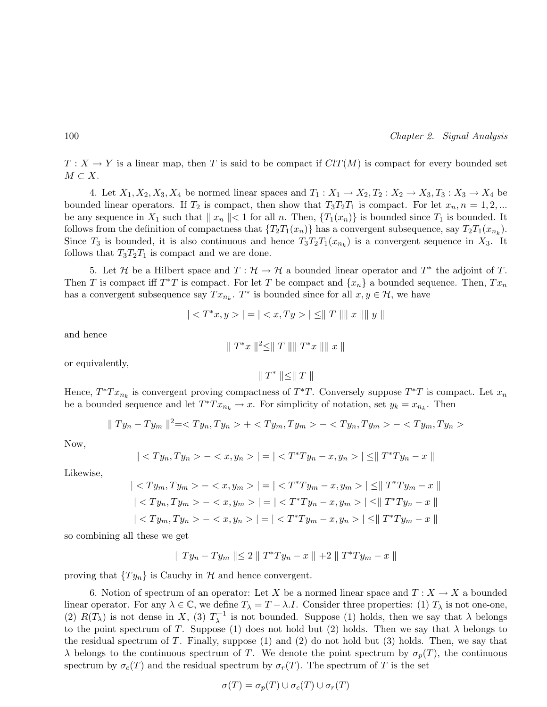$T: X \to Y$  is a linear map, then T is said to be compact if  $ClT(M)$  is compact for every bounded set  $M \subset X$ .

4. Let  $X_1, X_2, X_3, X_4$  be normed linear spaces and  $T_1: X_1 \to X_2, T_2: X_2 \to X_3, T_3: X_3 \to X_4$  be bounded linear operators. If  $T_2$  is compact, then show that  $T_3T_2T_1$  is compact. For let  $x_n, n = 1, 2, ...$ be any sequence in  $X_1$  such that  $\|x_n\| < 1$  for all n. Then,  $\{T_1(x_n)\}\$ is bounded since  $T_1$  is bounded. It follows from the definition of compactness that  $\{T_2T_1(x_n)\}\$  has a convergent subsequence, say  $T_2T_1(x_{n_k})$ . Since  $T_3$  is bounded, it is also continuous and hence  $T_3T_2T_1(x_{n_k})$  is a convergent sequence in  $X_3$ . It follows that  $T_3T_2T_1$  is compact and we are done.

5. Let H be a Hilbert space and  $T: \mathcal{H} \to \mathcal{H}$  a bounded linear operator and  $T^*$  the adjoint of T. Then T is compact iff  $T^*T$  is compact. For let T be compact and  $\{x_n\}$  a bounded sequence. Then,  $Tx_n$ has a convergent subsequence say  $Tx_{n_k}$ .  $T^*$  is bounded since for all  $x, y \in \mathcal{H}$ , we have

$$
|| = || \leq ||T|| ||x|| ||y||
$$

and hence

$$
\parallel T^*x \parallel^2 \leq \parallel T \parallel \parallel T^*x \parallel \parallel x \parallel
$$

or equivalently,

 $\parallel T^* \parallel \leq \parallel T \parallel$ 

Hence,  $T^*Tx_{n_k}$  is convergent proving compactness of  $T^*T$ . Conversely suppose  $T^*T$  is compact. Let  $x_n$ be a bounded sequence and let  $T^*Tx_{n_k} \to x$ . For simplicity of notation, set  $y_k = x_{n_k}$ . Then

$$
\|Ty_n-Ty_m\|^2=+--
$$

Now,

$$
| - | = || \leq ||T^*Ty_n - x||
$$

Likewise,

$$
| - | = || \le ||T^*Ty_m - x||
$$
  

$$
| - | = || \le ||T^*Ty_n - x||
$$
  

$$
| - | = || \le ||T^*Ty_m - x||
$$

so combining all these we get

$$
\parallel Ty_n-Ty_m\parallel \leq 2\parallel T^*Ty_n-x\parallel +2\parallel T^*Ty_m-x\parallel
$$

proving that  $\{Ty_n\}$  is Cauchy in H and hence convergent.

6. Notion of spectrum of an operator: Let X be a normed linear space and  $T: X \to X$  a bounded linear operator. For any  $\lambda \in \mathbb{C}$ , we define  $T_{\lambda} = T - \lambda I$ . Consider three properties: (1)  $T_{\lambda}$  is not one-one, (2)  $R(T_\lambda)$  is not dense in X, (3)  $T_\lambda^{-1}$  $\lambda^{-1}$  is not bounded. Suppose (1) holds, then we say that  $\lambda$  belongs to the point spectrum of T. Suppose (1) does not hold but (2) holds. Then we say that  $\lambda$  belongs to the residual spectrum of T. Finally, suppose  $(1)$  and  $(2)$  do not hold but  $(3)$  holds. Then, we say that  $\lambda$  belongs to the continuous spectrum of T. We denote the point spectrum by  $\sigma_p(T)$ , the continuous spectrum by  $\sigma_c(T)$  and the residual spectrum by  $\sigma_r(T)$ . The spectrum of T is the set

$$
\sigma(T) = \sigma_p(T) \cup \sigma_c(T) \cup \sigma_r(T)
$$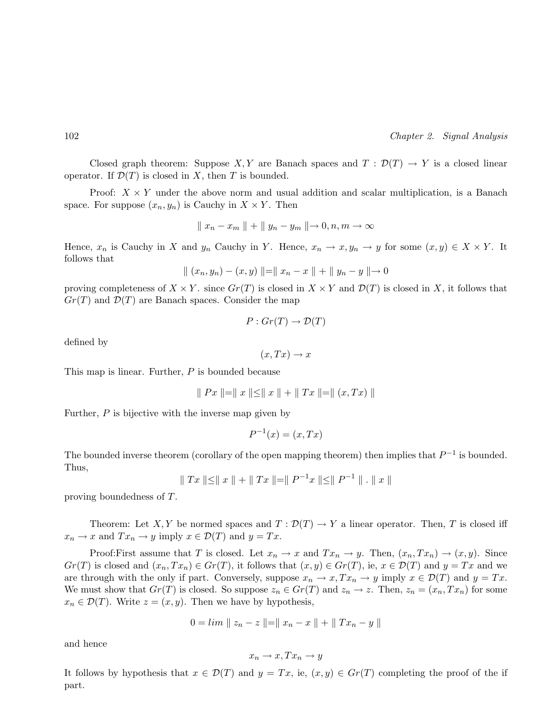Closed graph theorem: Suppose X, Y are Banach spaces and  $T : \mathcal{D}(T) \to Y$  is a closed linear operator. If  $\mathcal{D}(T)$  is closed in X, then T is bounded.

Proof:  $X \times Y$  under the above norm and usual addition and scalar multiplication, is a Banach space. For suppose  $(x_n, y_n)$  is Cauchy in  $X \times Y$ . Then

$$
\parallel x_n - x_m \parallel + \parallel y_n - y_m \parallel \rightarrow 0, n, m \rightarrow \infty
$$

Hence,  $x_n$  is Cauchy in X and  $y_n$  Cauchy in Y. Hence,  $x_n \to x, y_n \to y$  for some  $(x, y) \in X \times Y$ . It follows that

$$
\| (x_n, y_n) - (x, y) \| = \| x_n - x \| + \| y_n - y \| \to 0
$$

proving completeness of  $X \times Y$ . since  $Gr(T)$  is closed in  $X \times Y$  and  $\mathcal{D}(T)$  is closed in X, it follows that  $Gr(T)$  and  $\mathcal{D}(T)$  are Banach spaces. Consider the map

$$
P: Gr(T) \to \mathcal{D}(T)
$$

defined by

 $(x, Tx) \rightarrow x$ 

This map is linear. Further, P is bounded because

$$
\| Px \| = \| x \| \le \| x \| + \| Tx \| = \| (x, Tx) \|
$$

Further, P is bijective with the inverse map given by

$$
P^{-1}(x) = (x, Tx)
$$

The bounded inverse theorem (corollary of the open mapping theorem) then implies that  $P^{-1}$  is bounded. Thus,

$$
\parallel Tx \parallel \leq \parallel x \parallel + \parallel Tx \parallel = \parallel P^{-1}x \parallel \leq \parallel P^{-1} \parallel . \parallel x \parallel
$$

proving boundedness of T.

Theorem: Let X, Y be normed spaces and  $T: \mathcal{D}(T) \to Y$  a linear operator. Then, T is closed iff  $x_n \to x$  and  $Tx_n \to y$  imply  $x \in \mathcal{D}(T)$  and  $y = Tx$ .

Proof:First assume that T is closed. Let  $x_n \to x$  and  $Tx_n \to y$ . Then,  $(x_n, Tx_n) \to (x, y)$ . Since  $Gr(T)$  is closed and  $(x_n, Tx_n) \in Gr(T)$ , it follows that  $(x, y) \in Gr(T)$ , ie,  $x \in \mathcal{D}(T)$  and  $y = Tx$  and we are through with the only if part. Conversely, suppose  $x_n \to x$ ,  $Tx_n \to y$  imply  $x \in \mathcal{D}(T)$  and  $y = Tx$ . We must show that  $Gr(T)$  is closed. So suppose  $z_n \in Gr(T)$  and  $z_n \to z$ . Then,  $z_n = (x_n, Tx_n)$  for some  $x_n \in \mathcal{D}(T)$ . Write  $z = (x, y)$ . Then we have by hypothesis,

$$
0 = \lim \| z_n - z \| = \| x_n - x \| + \| Tx_n - y \|
$$

and hence

$$
x_n \to x, Tx_n \to y
$$

It follows by hypothesis that  $x \in \mathcal{D}(T)$  and  $y = Tx$ , ie,  $(x, y) \in Gr(T)$  completing the proof of the if part.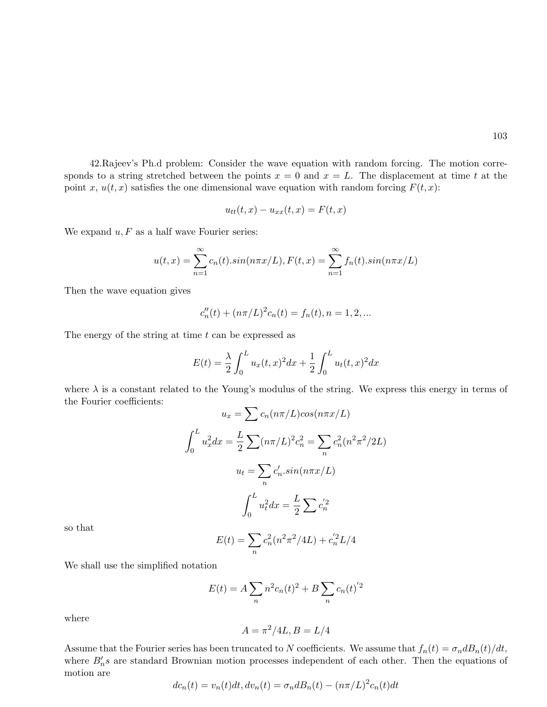42.Rajeev's Ph.d problem: Consider the wave equation with random forcing. The motion corresponds to a string stretched between the points  $x = 0$  and  $x = L$ . The displacement at time t at the point x,  $u(t, x)$  satisfies the one dimensional wave equation with random forcing  $F(t, x)$ :

$$
u_{tt}(t,x) - u_{xx}(t,x) = F(t,x)
$$

We expand  $u, F$  as a half wave Fourier series:

$$
u(t,x) = \sum_{n=1}^{\infty} c_n(t).sin(n\pi x/L), F(t,x) = \sum_{n=1}^{\infty} f_n(t).sin(n\pi x/L)
$$

Then the wave equation gives

$$
c''_n(t) + (n\pi/L)^2 c_n(t) = f_n(t), n = 1, 2, ...
$$

The energy of the string at time  $t$  can be expressed as

$$
E(t) = \frac{\lambda}{2} \int_0^L u_x(t, x)^2 dx + \frac{1}{2} \int_0^L u_t(t, x)^2 dx
$$

where  $\lambda$  is a constant related to the Young's modulus of the string. We express this energy in terms of the Fourier coefficients:

$$
u_x = \sum c_n (n\pi/L) \cos(n\pi x/L)
$$

$$
\int_0^L u_x^2 dx = \frac{L}{2} \sum (n\pi/L)^2 c_n^2 = \sum_n c_n^2 (n^2 \pi^2 / 2L)
$$

$$
u_t = \sum_n c_n' . \sin(n\pi x/L)
$$

$$
\int_0^L u_t^2 dx = \frac{L}{2} \sum c_n'^2
$$

so that

$$
E(t) = \sum_{n} c_n^2 (n^2 \pi^2 / 4L) + c_n^{'2} L / 4
$$

We shall use the simplified notation

$$
E(t) = A \sum_{n} n^{2} c_{n}(t)^{2} + B \sum_{n} c_{n}(t)^{2}
$$

where

$$
A = \pi^2/4L, B = L/4
$$

Assume that the Fourier series has been truncated to N coefficients. We assume that  $f_n(t) = \sigma_n dB_n(t)/dt$ , where  $B_n$ 's are standard Brownian motion processes independent of each other. Then the equations of motion are

$$
dc_n(t) = v_n(t)dt, dv_n(t) = \sigma_n dB_n(t) - (n\pi/L)^2 c_n(t)dt
$$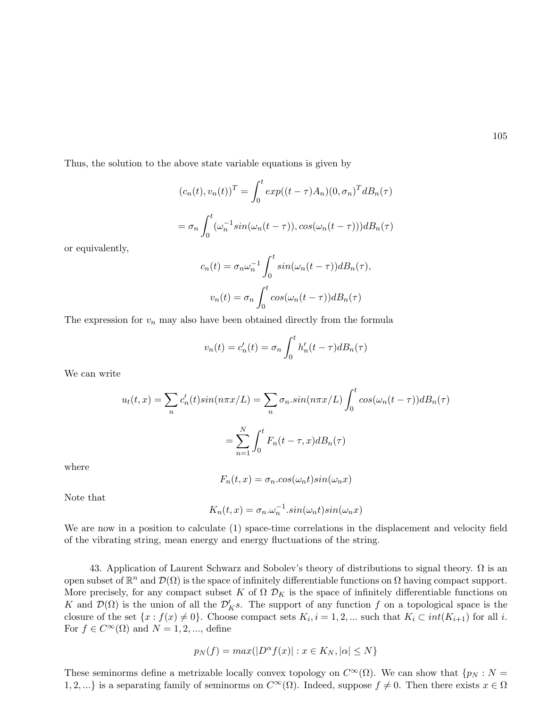Thus, the solution to the above state variable equations is given by

$$
(c_n(t), v_n(t))^T = \int_0^t exp((t-\tau)A_n)(0, \sigma_n)^T dB_n(\tau)
$$

$$
= \sigma_n \int_0^t (\omega_n^{-1} \sin(\omega_n(t-\tau)), \cos(\omega_n(t-\tau))) dB_n(\tau)
$$

or equivalently,

$$
c_n(t) = \sigma_n \omega_n^{-1} \int_0^t \sin(\omega_n(t-\tau)) dB_n(\tau),
$$
  

$$
v_n(t) = \sigma_n \int_0^t \cos(\omega_n(t-\tau)) dB_n(\tau)
$$

The expression for  $v_n$  may also have been obtained directly from the formula

$$
v_n(t) = c'_n(t) = \sigma_n \int_0^t h'_n(t - \tau) dB_n(\tau)
$$

We can write

$$
u_t(t,x) = \sum_n c'_n(t)\sin(n\pi x/L) = \sum_n \sigma_n \sin(n\pi x/L) \int_0^t \cos(\omega_n(t-\tau))dB_n(\tau)
$$

$$
= \sum_{n=1}^N \int_0^t F_n(t-\tau,x)dB_n(\tau)
$$

where

$$
F_n(t, x) = \sigma_n \cdot \cos(\omega_n t) \sin(\omega_n x)
$$

Note that

$$
K_n(t, x) = \sigma_n \omega_n^{-1} \cdot \sin(\omega_n t) \sin(\omega_n x)
$$

We are now in a position to calculate (1) space-time correlations in the displacement and velocity field of the vibrating string, mean energy and energy fluctuations of the string.

43. Application of Laurent Schwarz and Sobolev's theory of distributions to signal theory.  $\Omega$  is an open subset of  $\mathbb{R}^n$  and  $\mathcal{D}(\Omega)$  is the space of infinitely differentiable functions on  $\Omega$  having compact support. More precisely, for any compact subset K of  $\Omega \mathcal{D}_K$  is the space of infinitely differentiable functions on K and  $\mathcal{D}(\Omega)$  is the union of all the  $\mathcal{D}'_K s$ . The support of any function f on a topological space is the closure of the set  $\{x : f(x) \neq 0\}$ . Choose compact sets  $K_i, i = 1, 2, ...$  such that  $K_i \subset int(K_{i+1})$  for all i. For  $f \in C^{\infty}(\Omega)$  and  $N = 1, 2, ...,$  define

$$
p_N(f) = max(|D^{\alpha} f(x)| : x \in K_N, |\alpha| \le N\}
$$

These seminorms define a metrizable locally convex topology on  $C^{\infty}(\Omega)$ . We can show that  $\{p_N : N =$ 1, 2, ...} is a separating family of seminorms on  $C^{\infty}(\Omega)$ . Indeed, suppose  $f \neq 0$ . Then there exists  $x \in \Omega$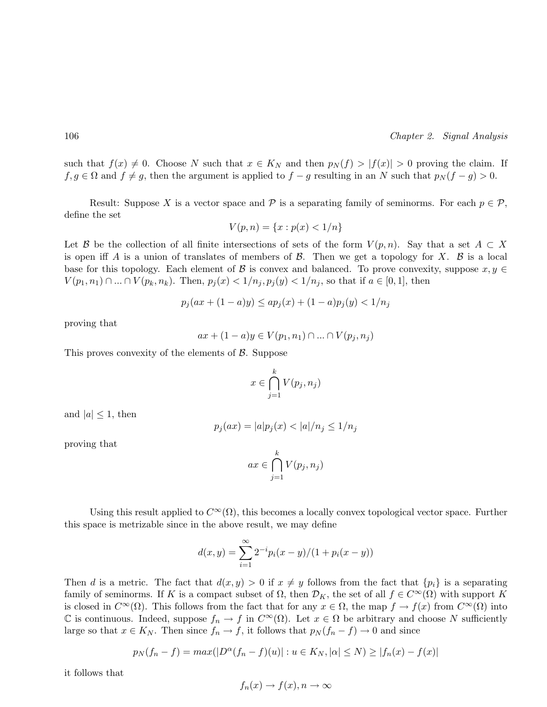such that  $f(x) \neq 0$ . Choose N such that  $x \in K_N$  and then  $p_N(f) > |f(x)| > 0$  proving the claim. If  $f, g \in \Omega$  and  $f \neq g$ , then the argument is applied to  $f - g$  resulting in an N such that  $p_N(f - g) > 0$ .

Result: Suppose X is a vector space and P is a separating family of seminorms. For each  $p \in \mathcal{P}$ , define the set

$$
V(p, n) = \{x : p(x) < 1/n\}
$$

Let B be the collection of all finite intersections of sets of the form  $V(p,n)$ . Say that a set  $A \subset X$ is open iff A is a union of translates of members of  $\beta$ . Then we get a topology for X.  $\beta$  is a local base for this topology. Each element of B is convex and balanced. To prove convexity, suppose  $x, y \in$  $V(p_1, n_1) \cap ... \cap V(p_k, n_k)$ . Then,  $p_i(x) < 1/n_i$ ,  $p_i(y) < 1/n_i$ , so that if  $a \in [0, 1]$ , then

$$
p_j(ax + (1 - a)y) \le ap_j(x) + (1 - a)p_j(y) < 1/n_j
$$

proving that

$$
ax + (1 - a)y \in V(p_1, n_1) \cap \dots \cap V(p_j, n_j)
$$

This proves convexity of the elements of  $\beta$ . Suppose

$$
x \in \bigcap_{j=1}^{k} V(p_j, n_j)
$$

and  $|a| \leq 1$ , then

$$
p_j(ax) = |a|p_j(x) < |a|/n_j \le 1/n_j
$$

proving that

$$
ax \in \bigcap_{j=1}^{k} V(p_j, n_j)
$$

Using this result applied to  $C^{\infty}(\Omega)$ , this becomes a locally convex topological vector space. Further this space is metrizable since in the above result, we may define

$$
d(x,y) = \sum_{i=1}^{\infty} 2^{-i} p_i(x-y)/(1+p_i(x-y))
$$

Then d is a metric. The fact that  $d(x, y) > 0$  if  $x \neq y$  follows from the fact that  $\{p_i\}$  is a separating family of seminorms. If K is a compact subset of  $\Omega$ , then  $\mathcal{D}_K$ , the set of all  $f \in C^{\infty}(\Omega)$  with support K is closed in  $C^{\infty}(\Omega)$ . This follows from the fact that for any  $x \in \Omega$ , the map  $f \to f(x)$  from  $C^{\infty}(\Omega)$  into C is continuous. Indeed, suppose  $f_n \to f$  in  $C^{\infty}(\Omega)$ . Let  $x \in \Omega$  be arbitrary and choose N sufficiently large so that  $x \in K_N$ . Then since  $f_n \to f$ , it follows that  $p_N(f_n - f) \to 0$  and since

$$
p_N(f_n - f) = max(|D^{\alpha}(f_n - f)(u)| : u \in K_N, |\alpha| \le N) \ge |f_n(x) - f(x)|
$$

it follows that

$$
f_n(x) \to f(x), n \to \infty
$$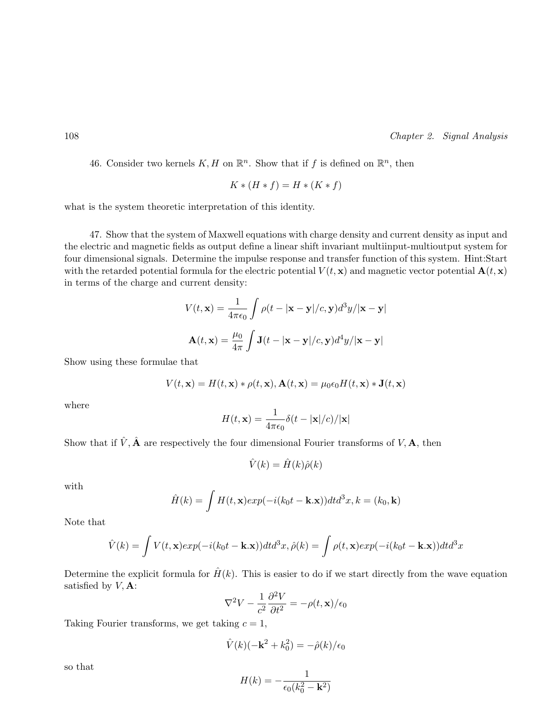46. Consider two kernels  $K, H$  on  $\mathbb{R}^n$ . Show that if f is defined on  $\mathbb{R}^n$ , then

$$
K * (H * f) = H * (K * f)
$$

what is the system theoretic interpretation of this identity.

47. Show that the system of Maxwell equations with charge density and current density as input and the electric and magnetic fields as output define a linear shift invariant multiinput-multioutput system for four dimensional signals. Determine the impulse response and transfer function of this system. Hint:Start with the retarded potential formula for the electric potential  $V(t, \mathbf{x})$  and magnetic vector potential  $\mathbf{A}(t, \mathbf{x})$ in terms of the charge and current density:

$$
V(t, \mathbf{x}) = \frac{1}{4\pi\epsilon_0} \int \rho(t - |\mathbf{x} - \mathbf{y}|/c, \mathbf{y}) d^3y / |\mathbf{x} - \mathbf{y}|
$$

$$
\mathbf{A}(t, \mathbf{x}) = \frac{\mu_0}{4\pi} \int \mathbf{J}(t - |\mathbf{x} - \mathbf{y}|/c, \mathbf{y}) d^4y / |\mathbf{x} - \mathbf{y}|
$$

Show using these formulae that

$$
V(t, \mathbf{x}) = H(t, \mathbf{x}) * \rho(t, \mathbf{x}), \mathbf{A}(t, \mathbf{x}) = \mu_0 \epsilon_0 H(t, \mathbf{x}) * \mathbf{J}(t, \mathbf{x})
$$

where

$$
H(t, \mathbf{x}) = \frac{1}{4\pi\epsilon_0} \delta(t - |\mathbf{x}|/c) / |\mathbf{x}|
$$

Show that if  $\hat{V}$ ,  $\hat{A}$  are respectively the four dimensional Fourier transforms of  $V$ ,  $A$ , then

$$
\hat{V}(k) = \hat{H}(k)\hat{\rho}(k)
$$

with

$$
\hat{H}(k) = \int H(t, \mathbf{x}) exp(-i(k_0 t - \mathbf{k}.\mathbf{x})) dt d^3x, k = (k_0, \mathbf{k})
$$

Note that

$$
\hat{V}(k) = \int V(t, \mathbf{x}) exp(-i(k_0 t - \mathbf{k}.\mathbf{x})) dt d^3x, \hat{\rho}(k) = \int \rho(t, \mathbf{x}) exp(-i(k_0 t - \mathbf{k}.\mathbf{x})) dt d^3x
$$

Determine the explicit formula for  $\hat{H}(k)$ . This is easier to do if we start directly from the wave equation satisfied by  $V$ . **A**:

$$
\nabla^2 V - \frac{1}{c^2} \frac{\partial^2 V}{\partial t^2} = -\rho(t, \mathbf{x})/\epsilon_0
$$

Taking Fourier transforms, we get taking  $c = 1$ ,

$$
\hat{V}(k)(-\mathbf{k}^2+k_0^2) = -\hat{\rho}(k)/\epsilon_0
$$

so that

$$
H(k) = -\frac{1}{\epsilon_0 (k_0^2 - \mathbf{k}^2)}
$$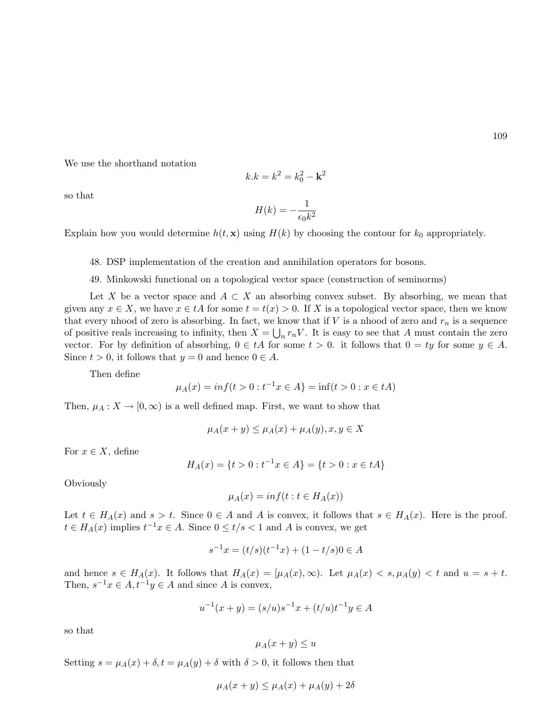We use the shorthand notation

$$
k.k = k^2 = k_0^2 - \mathbf{k}^2
$$

so that

$$
H(k)=-\frac{1}{\epsilon_0 k^2}
$$

Explain how you would determine  $h(t, \mathbf{x})$  using  $H(k)$  by choosing the contour for  $k_0$  appropriately.

- 48. DSP implementation of the creation and annihilation operators for bosons.
- 49. Minkowski functional on a topological vector space (construction of seminorms)

Let X be a vector space and  $A \subset X$  an absorbing convex subset. By absorbing, we mean that given any  $x \in X$ , we have  $x \in tA$  for some  $t = t(x) > 0$ . If X is a topological vector space, then we know that every nhood of zero is absorbing. In fact, we know that if V is a nhood of zero and  $r_n$  is a sequence of positive reals increasing to infinity, then  $X = \bigcup_n r_n V$ . It is easy to see that A must contain the zero vector. For by definition of absorbing,  $0 \in tA$  for some  $t > 0$ . it follows that  $0 = ty$  for some  $y \in A$ . Since  $t > 0$ , it follows that  $y = 0$  and hence  $0 \in A$ .

Then define

$$
\mu_A(x) = \inf\{t > 0 : t^{-1}x \in A\} = \inf\{t > 0 : x \in tA\}
$$

Then,  $\mu_A: X \to [0, \infty)$  is a well defined map. First, we want to show that

$$
\mu_A(x+y) \le \mu_A(x) + \mu_A(y), x, y \in X
$$

For  $x \in X$ , define

$$
H_A(x) = \{t > 0 : t^{-1}x \in A\} = \{t > 0 : x \in tA\}
$$

**Obviously** 

$$
\mu_A(x) = \inf(t : t \in H_A(x))
$$

Let  $t \in H_A(x)$  and  $s > t$ . Since  $0 \in A$  and A is convex, it follows that  $s \in H_A(x)$ . Here is the proof.  $t \in H_A(x)$  implies  $t^{-1}x \in A$ . Since  $0 \le t/s < 1$  and A is convex, we get

$$
s^{-1}x = (t/s)(t^{-1}x) + (1 - t/s)0 \in A
$$

and hence  $s \in H_A(x)$ . It follows that  $H_A(x) = [\mu_A(x), \infty)$ . Let  $\mu_A(x) < s, \mu_A(y) < t$  and  $u = s + t$ . Then,  $s^{-1}x \in A$ ,  $t^{-1}y \in A$  and since A is convex,

$$
u^{-1}(x+y) = (s/u)s^{-1}x + (t/u)t^{-1}y \in A
$$

so that

$$
\mu_A(x+y) \le u
$$

Setting  $s = \mu_A(x) + \delta$ ,  $t = \mu_A(y) + \delta$  with  $\delta > 0$ , it follows then that

$$
\mu_A(x+y) \le \mu_A(x) + \mu_A(y) + 2\delta
$$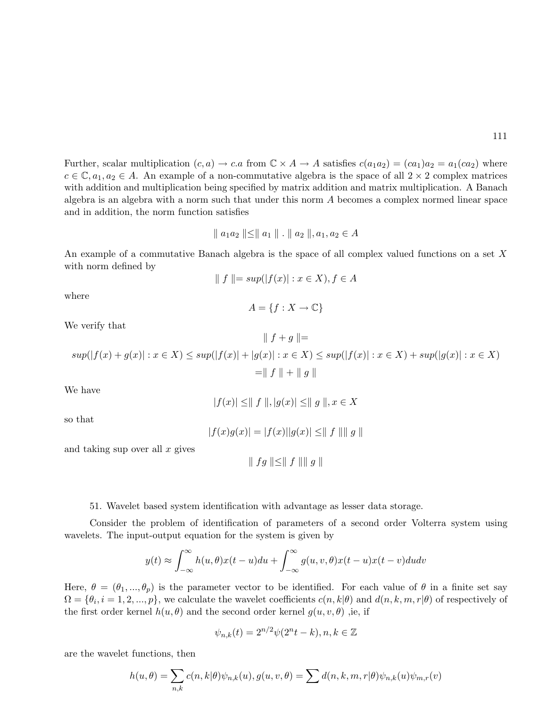Further, scalar multiplication  $(c, a) \rightarrow c.a$  from  $\mathbb{C} \times A \rightarrow A$  satisfies  $c(a_1a_2) = (ca_1)a_2 = a_1(ca_2)$  where  $c \in \mathbb{C}, a_1, a_2 \in A$ . An example of a non-commutative algebra is the space of all  $2 \times 2$  complex matrices with addition and multiplication being specified by matrix addition and matrix multiplication. A Banach algebra is an algebra with a norm such that under this norm A becomes a complex normed linear space and in addition, the norm function satisfies

$$
\| a_1 a_2 \| \le \| a_1 \| \cdot \| a_2 \|, a_1, a_2 \in A
$$

An example of a commutative Banach algebra is the space of all complex valued functions on a set X with norm defined by

$$
\parallel f \parallel = \sup(|f(x)| : x \in X), f \in A
$$

where

$$
A = \{ f : X \to \mathbb{C} \}
$$

We verify that

$$
sup(|f(x) + g(x)| : x \in X) \le sup(|f(x)| + |g(x)| : x \in X) \le sup(|f(x)| : x \in X) + sup(|g(x)| : x \in X)
$$
  
=  $|| f || + || g ||$ 

 $|| f + q || =$ 

We have

$$
|f(x)| \leq ||f||, |g(x)| \leq ||g||, x \in X
$$

so that

$$
|f(x)g(x)| = |f(x)||g(x)| \le ||f|| ||g||
$$

and taking sup over all  $x$  gives

$$
\parallel fg \parallel \leq \parallel f \parallel \parallel g \parallel
$$

#### 51. Wavelet based system identification with advantage as lesser data storage.

Consider the problem of identification of parameters of a second order Volterra system using wavelets. The input-output equation for the system is given by

$$
y(t) \approx \int_{-\infty}^{\infty} h(u,\theta)x(t-u)du + \int_{-\infty}^{\infty} g(u,v,\theta)x(t-u)x(t-v)dudv
$$

Here,  $\theta = (\theta_1, ..., \theta_p)$  is the parameter vector to be identified. For each value of  $\theta$  in a finite set say  $\Omega = \{\theta_i, i = 1, 2, ..., p\}$ , we calculate the wavelet coefficients  $c(n, k|\theta)$  and  $d(n, k, m, r|\theta)$  of respectively of the first order kernel  $h(u, \theta)$  and the second order kernel  $g(u, v, \theta)$ , ie, if

$$
\psi_{n,k}(t) = 2^{n/2}\psi(2^n t - k), n, k \in \mathbb{Z}
$$

are the wavelet functions, then

$$
h(u, \theta) = \sum_{n,k} c(n,k|\theta) \psi_{n,k}(u), g(u, v, \theta) = \sum d(n,k,m,r|\theta) \psi_{n,k}(u) \psi_{m,r}(v)
$$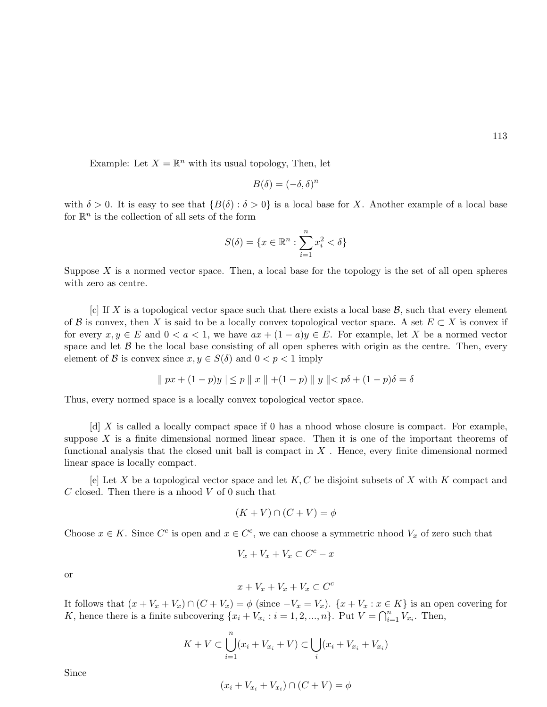Example: Let  $X = \mathbb{R}^n$  with its usual topology, Then, let

$$
B(\delta) = (-\delta, \delta)^n
$$

with  $\delta > 0$ . It is easy to see that  $\{B(\delta) : \delta > 0\}$  is a local base for X. Another example of a local base for  $\mathbb{R}^n$  is the collection of all sets of the form

$$
S(\delta) = \{x \in \mathbb{R}^n : \sum_{i=1}^n x_i^2 < \delta\}
$$

Suppose  $X$  is a normed vector space. Then, a local base for the topology is the set of all open spheres with zero as centre.

[c] If X is a topological vector space such that there exists a local base  $\mathcal{B}$ , such that every element of B is convex, then X is said to be a locally convex topological vector space. A set  $E \subset X$  is convex if for every  $x, y \in E$  and  $0 < a < 1$ , we have  $ax + (1 - a)y \in E$ . For example, let X be a normed vector space and let  $\beta$  be the local base consisting of all open spheres with origin as the centre. Then, every element of B is convex since  $x, y \in S(\delta)$  and  $0 < p < 1$  imply

$$
\| px + (1 - p)y \| \le p \| x \| + (1 - p) \| y \| < p\delta + (1 - p)\delta = \delta
$$

Thus, every normed space is a locally convex topological vector space.

 $\lbrack d \rbrack X$  is called a locally compact space if 0 has a nhood whose closure is compact. For example, suppose  $X$  is a finite dimensional normed linear space. Then it is one of the important theorems of functional analysis that the closed unit ball is compact in  $X$ . Hence, every finite dimensional normed linear space is locally compact.

[e] Let X be a topological vector space and let  $K, C$  be disjoint subsets of X with K compact and  $C$  closed. Then there is a nhood  $V$  of 0 such that

$$
(K + V) \cap (C + V) = \phi
$$

Choose  $x \in K$ . Since  $C^c$  is open and  $x \in C^c$ , we can choose a symmetric nhood  $V_x$  of zero such that

$$
V_x + V_x + V_x \subset C^c - x
$$

or

$$
x + V_x + V_x + V_x \subset C^c
$$

It follows that  $(x + V_x + V_x) \cap (C + V_x) = \phi$  (since  $-V_x = V_x$ ).  $\{x + V_x : x \in K\}$  is an open covering for It hollows that  $(x + v_x + v_x) \cap (C + v_x) = \varphi$  (since  $-v_x - v_x$ ).  $\{x + v_x : x \in K$ , hence there is a finite subcovering  $\{x_i + V_{x_i} : i = 1, 2, ..., n\}$ . Put  $V = \bigcap_{i=1}^{n}$  $_{i=1}^n V_{x_i}$ . Then,

$$
K + V \subset \bigcup_{i=1}^{n} (x_i + V_{x_i} + V) \subset \bigcup_{i} (x_i + V_{x_i} + V_{x_i})
$$

Since

$$
(x_i + V_{x_i} + V_{x_i}) \cap (C + V) = \phi
$$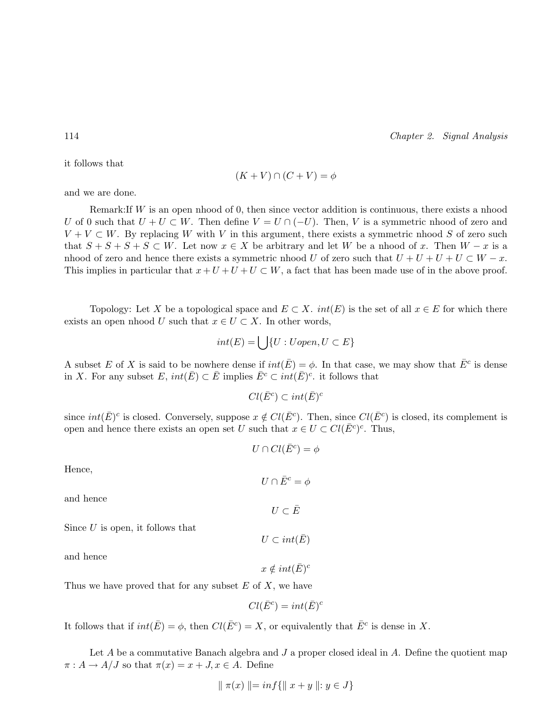it follows that

$$
(K + V) \cap (C + V) = \phi
$$

and we are done.

Remark:If  $W$  is an open nhood of 0, then since vector addition is continuous, there exists a nhood U of 0 such that  $U + U \subset W$ . Then define  $V = U \cap (-U)$ . Then, V is a symmetric nhood of zero and  $V + V \subset W$ . By replacing W with V in this argument, there exists a symmetric nhood S of zero such that  $S + S + S + S \subset W$ . Let now  $x \in X$  be arbitrary and let W be a nhood of x. Then  $W - x$  is a nhood of zero and hence there exists a symmetric nhood U of zero such that  $U + U + U + U \subset W - x$ . This implies in particular that  $x + U + U + U \subset W$ , a fact that has been made use of in the above proof.

Topology: Let X be a topological space and  $E \subset X$ .  $int(E)$  is the set of all  $x \in E$  for which there exists an open nhood U such that  $x \in U \subset X$ . In other words,

$$
int(E) = \bigcup \{ U : Uopen, U \subset E \}
$$

A subset E of X is said to be nowhere dense if  $int(\bar{E}) = \phi$ . In that case, we may show that  $\bar{E}^c$  is dense in X. For any subset  $E$ ,  $int(\overline{E}) \subset \overline{E}$  implies  $\overline{E}^c \subset int(\overline{E})^c$  it follows that

$$
Cl(\bar{E}^c) \subset int(\bar{E})^c
$$

since  $int(\bar{E})^c$  is closed. Conversely, suppose  $x \notin Cl(\bar{E}^c)$ . Then, since  $Cl(\bar{E}^c)$  is closed, its complement is open and hence there exists an open set U such that  $x \in U \subset Cl(\overline{E}^c)^c$ . Thus,

$$
U \cap Cl(\bar{E}^c) = \phi
$$

 $U \cap \overline{E}^c = \phi$ 

Hence,

and hence

Since  $U$  is open, it follows that

and hence

Thus we have proved that for any subset  $E$  of  $X$ , we have

$$
Cl(\bar{E}^c) = int(\bar{E})^c
$$

It follows that if  $int(\bar{E}) = \phi$ , then  $Cl(\bar{E}^c) = X$ , or equivalently that  $\bar{E}^c$  is dense in X.

Let A be a commutative Banach algebra and  $J$  a proper closed ideal in  $A$ . Define the quotient map  $\pi: A \to A/J$  so that  $\pi(x) = x + J, x \in A$ . Define

$$
\| \pi(x) \| = \inf \{ \| \ x + y \ \| : y \in J \}
$$

$$
U\subset \bar{E}
$$

 $U\sub{int}(\bar{E})$ 

 $x \notin int(\bar{E})^c$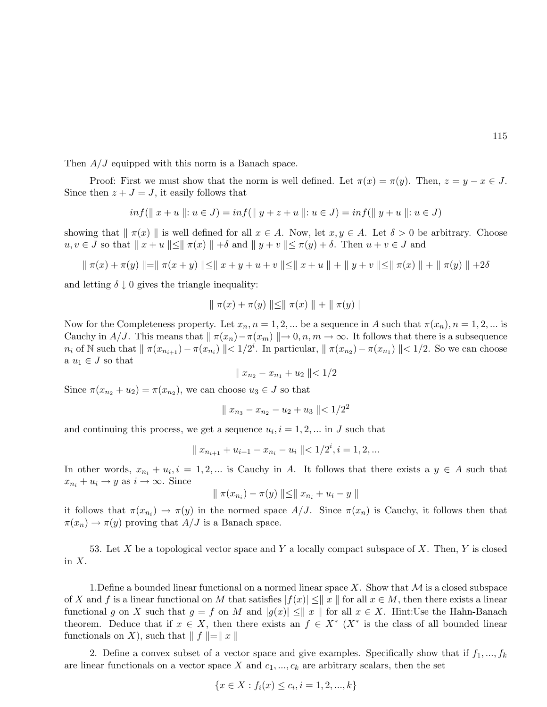Then  $A/J$  equipped with this norm is a Banach space.

Proof: First we must show that the norm is well defined. Let  $\pi(x) = \pi(y)$ . Then,  $z = y - x \in J$ . Since then  $z + J = J$ , it easily follows that

$$
inf(\parallel x + u \parallel: u \in J) = inf(\parallel y + z + u \parallel: u \in J) = inf(\parallel y + u \parallel: u \in J)
$$

showing that  $\|\pi(x)\|$  is well defined for all  $x \in A$ . Now, let  $x, y \in A$ . Let  $\delta > 0$  be arbitrary. Choose  $u, v \in J$  so that  $||x + u|| \le ||\pi(x)|| + \delta$  and  $||y + v|| \le \pi(y) + \delta$ . Then  $u + v \in J$  and

$$
\| \pi(x) + \pi(y) \| = \| \pi(x + y) \| \le \| x + y + u + v \| \le \| x + u \| + \| y + v \| \le \| \pi(x) \| + \| \pi(y) \| + 2\delta
$$

and letting  $\delta \downarrow 0$  gives the triangle inequality:

$$
\|\pi(x) + \pi(y)\| \le \|\pi(x)\| + \|\pi(y)\|
$$

Now for the Completeness property. Let  $x_n$ ,  $n = 1, 2, ...$  be a sequence in A such that  $\pi(x_n)$ ,  $n = 1, 2, ...$  is Cauchy in A/J. This means that  $\|\pi(x_n)-\pi(x_m)\|\to 0, n, m\to \infty$ . It follows that there is a subsequence  $n_i$  of N such that  $\|\pi(x_{n_{i+1}}) - \pi(x_{n_i})\| < 1/2^i$ . In particular,  $\|\pi(x_{n_2}) - \pi(x_{n_1})\| < 1/2$ . So we can choose a  $u_1 \in J$  so that

$$
\|x_{n_2} - x_{n_1} + u_2\| < 1/2
$$

Since  $\pi(x_{n_2} + u_2) = \pi(x_{n_2})$ , we can choose  $u_3 \in J$  so that

$$
\|x_{n_3} - x_{n_2} - u_2 + u_3\| < 1/2^2
$$

and continuing this process, we get a sequence  $u_i, i = 1, 2, \dots$  in J such that

$$
\parallel x_{n_{i+1}} + u_{i+1} - x_{n_i} - u_i \parallel < 1/2^i, i = 1, 2, ...
$$

In other words,  $x_{n_i} + u_i$ ,  $i = 1, 2, ...$  is Cauchy in A. It follows that there exists a  $y \in A$  such that  $x_{n_i} + u_i \rightarrow y$  as  $i \rightarrow \infty$ . Since

$$
\| \pi(x_{n_i}) - \pi(y) \| \leq \| x_{n_i} + u_i - y \|
$$

it follows that  $\pi(x_{n_i}) \to \pi(y)$  in the normed space  $A/J$ . Since  $\pi(x_n)$  is Cauchy, it follows then that  $\pi(x_n) \to \pi(y)$  proving that  $A/J$  is a Banach space.

53. Let X be a topological vector space and Y a locally compact subspace of X. Then, Y is closed in  $X$ .

1. Define a bounded linear functional on a normed linear space X. Show that  $\mathcal M$  is a closed subspace of X and f is a linear functional on M that satisfies  $|f(x)| \leq ||x||$  for all  $x \in M$ , then there exists a linear functional g on X such that  $g = f$  on M and  $|g(x)| \leq ||x||$  for all  $x \in X$ . Hint:Use the Hahn-Banach theorem. Deduce that if  $x \in X$ , then there exists an  $f \in X^*$  ( $X^*$  is the class of all bounded linear functionals on X), such that  $\| f \| = \| x \|$ 

2. Define a convex subset of a vector space and give examples. Specifically show that if  $f_1, ..., f_k$ are linear functionals on a vector space X and  $c_1, ..., c_k$  are arbitrary scalars, then the set

$$
\{x \in X : f_i(x) \le c_i, i = 1, 2, ..., k\}
$$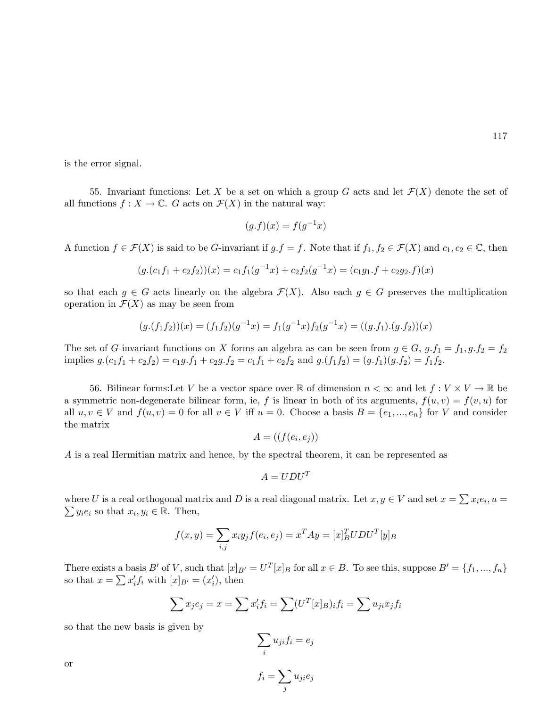is the error signal.

55. Invariant functions: Let X be a set on which a group G acts and let  $\mathcal{F}(X)$  denote the set of all functions  $f: X \to \mathbb{C}$ . G acts on  $\mathcal{F}(X)$  in the natural way:

$$
(g.f)(x) = f(g^{-1}x)
$$

A function  $f \in \mathcal{F}(X)$  is said to be G-invariant if  $g.f = f$ . Note that if  $f_1, f_2 \in \mathcal{F}(X)$  and  $c_1, c_2 \in \mathbb{C}$ , then

$$
(g.(c_1f_1 + c_2f_2))(x) = c_1f_1(g^{-1}x) + c_2f_2(g^{-1}x) = (c_1g_1 \cdot f + c_2g_2 \cdot f)(x)
$$

so that each  $q \in G$  acts linearly on the algebra  $\mathcal{F}(X)$ . Also each  $q \in G$  preserves the multiplication operation in  $\mathcal{F}(X)$  as may be seen from

$$
(g.(f_1f_2))(x) = (f_1f_2)(g^{-1}x) = f_1(g^{-1}x)f_2(g^{-1}x) = ((g.f_1).(g.f_2))(x)
$$

The set of G-invariant functions on X forms an algebra as can be seen from  $g \in G$ ,  $g.f_1 = f_1$ ,  $g.f_2 = f_2$ implies  $g.(c_1f_1 + c_2f_2) = c_1g.f_1 + c_2g.f_2 = c_1f_1 + c_2f_2$  and  $g.(f_1f_2) = (g.f_1)(g.f_2) = f_1f_2$ .

56. Bilinear forms: Let V be a vector space over R of dimension  $n < \infty$  and let  $f: V \times V \to \mathbb{R}$  be a symmetric non-degenerate bilinear form, ie, f is linear in both of its arguments,  $f(u, v) = f(v, u)$  for all  $u, v \in V$  and  $f(u, v) = 0$  for all  $v \in V$  iff  $u = 0$ . Choose a basis  $B = \{e_1, ..., e_n\}$  for V and consider the matrix

$$
A = ((f(e_i, e_j))
$$

A is a real Hermitian matrix and hence, by the spectral theorem, it can be represented as

$$
A = UDU^T
$$

where U is a real orthogonal matrix and D is a real diagonal matrix. Let  $x, y \in V$  and set  $x = \sum x_i e_i, u = \sum x_i e_i$  $y_i e_i$  so that  $x_i, y_i \in \mathbb{R}$ . Then,

$$
f(x,y) = \sum_{i,j} x_i y_j f(e_i, e_j) = x^T A y = [x]_B^T U D U^T [y]_B
$$

There exists a basis B' of V, such that  $[x]_{B'} = U^T[x]_B$  for all  $x \in B$ . To see this, suppose  $B' = \{f_1, ..., f_n\}$ There exists a basis  $D$  or  $V$ , such that  $[x]_B$ <br>so that  $x = \sum x'_i f_i$  with  $[x]_{B'} = (x'_i)$ , then

$$
\sum x_j e_j = x = \sum x'_i f_i = \sum (U^T[x]_B)_i f_i = \sum u_{ji} x_j f_i
$$

so that the new basis is given by

$$
\sum_i u_{ji} f_i = e_j
$$

or

$$
f_i = \sum_j u_{ji} e_j
$$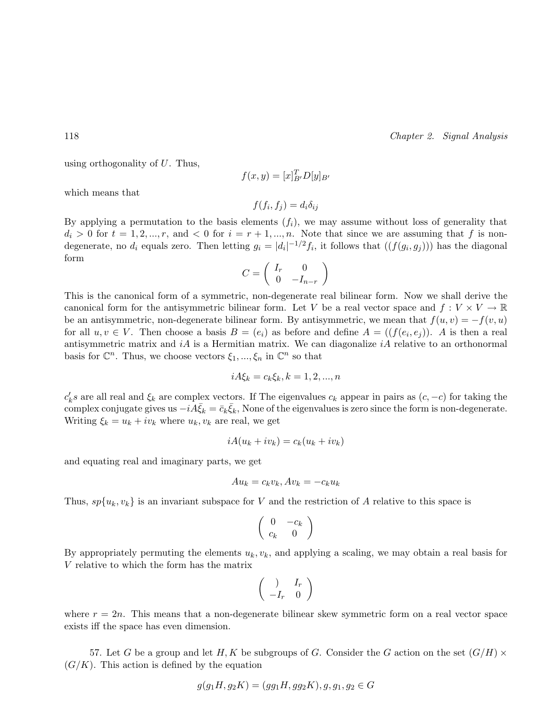using orthogonality of  $U$ . Thus,

$$
f(x,y) = [x]_{B'}^T D[y]_{B'}
$$

which means that

$$
f(f_i, f_j) = d_i \delta_{ij}
$$

By applying a permutation to the basis elements  $(f_i)$ , we may assume without loss of generality that  $d_i > 0$  for  $t = 1, 2, ..., r$ , and  $< 0$  for  $i = r + 1, ..., n$ . Note that since we are assuming that f is nondegenerate, no  $d_i$  equals zero. Then letting  $g_i = |d_i|^{-1/2} f_i$ , it follows that  $((f(g_i, g_j)))$  has the diagonal form  $\overline{a}$  $\mathbf{r}$ 

$$
C = \left(\begin{array}{cc} I_r & 0\\ 0 & -I_{n-r} \end{array}\right)
$$

This is the canonical form of a symmetric, non-degenerate real bilinear form. Now we shall derive the canonical form for the antisymmetric bilinear form. Let V be a real vector space and  $f: V \times V \to \mathbb{R}$ be an antisymmetric, non-degenerate bilinear form. By antisymmetric, we mean that  $f(u, v) = -f(v, u)$ for all  $u, v \in V$ . Then choose a basis  $B = (e_i)$  as before and define  $A = ((f(e_i, e_j))$ . A is then a real antisymmetric matrix and  $i\hat{A}$  is a Hermitian matrix. We can diagonalize  $i\hat{A}$  relative to an orthonormal basis for  $\mathbb{C}^n$ . Thus, we choose vectors  $\xi_1, ..., \xi_n$  in  $\mathbb{C}^n$  so that

$$
iA\xi_k = c_k \xi_k, k = 1, 2, ..., n
$$

 $c'_k s$  are all real and  $\xi_k$  are complex vectors. If The eigenvalues  $c_k$  appear in pairs as  $(c, -c)$  for taking the complex conjugate gives us  $-i\bar{A}\bar{\xi}_k = \bar{c}_k\bar{\xi}_k$ , None of the eigenvalues is zero since the form is non-degenerate. Writing  $\xi_k = u_k + iv_k$  where  $u_k, v_k$  are real, we get

$$
iA(u_k + iv_k) = c_k(u_k + iv_k)
$$

and equating real and imaginary parts, we get

$$
Au_k = c_k v_k, Av_k = -c_k u_k
$$

Thus,  $sp{u_k, v_k}$  is an invariant subspace for V and the restriction of A relative to this space is

$$
\left(\begin{array}{cc} 0 & -c_k \\ c_k & 0 \end{array}\right)
$$

By appropriately permuting the elements  $u_k, v_k$ , and applying a scaling, we may obtain a real basis for V relative to which the form has the matrix

$$
\left(\begin{array}{cc} \cdot & I_r \\ -I_r & 0 \end{array}\right)
$$

where  $r = 2n$ . This means that a non-degenerate bilinear skew symmetric form on a real vector space exists iff the space has even dimension.

57. Let G be a group and let H, K be subgroups of G. Consider the G action on the set  $(G/H) \times$  $(G/K)$ . This action is defined by the equation

$$
g(g_1H, g_2K) = (gg_1H, gg_2K), g, g_1, g_2 \in G
$$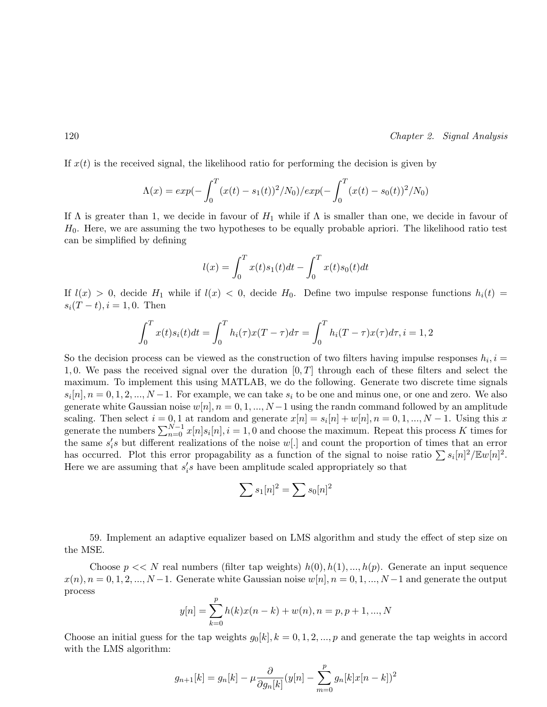If  $x(t)$  is the received signal, the likelihood ratio for performing the decision is given by

$$
\Lambda(x) = exp(-\int_0^T (x(t) - s_1(t))^2 / N_0) / exp(-\int_0^T (x(t) - s_0(t))^2 / N_0)
$$

If  $\Lambda$  is greater than 1, we decide in favour of  $H_1$  while if  $\Lambda$  is smaller than one, we decide in favour of  $H<sub>0</sub>$ . Here, we are assuming the two hypotheses to be equally probable apriori. The likelihood ratio test can be simplified by defining

$$
l(x) = \int_0^T x(t)s_1(t)dt - \int_0^T x(t)s_0(t)dt
$$

If  $l(x) > 0$ , decide  $H_1$  while if  $l(x) < 0$ , decide  $H_0$ . Define two impulse response functions  $h_i(t) =$  $s_i(T-t), i=1,0.$  Then

$$
\int_0^T x(t)s_i(t)dt = \int_0^T h_i(\tau)x(T-\tau)d\tau = \int_0^T h_i(T-\tau)x(\tau)d\tau, i = 1, 2
$$

So the decision process can be viewed as the construction of two filters having impulse responses  $h_i, i =$ 1, 0. We pass the received signal over the duration  $[0, T]$  through each of these filters and select the maximum. To implement this using MATLAB, we do the following. Generate two discrete time signals  $s_i[n], n = 0, 1, 2, ..., N-1$ . For example, we can take  $s_i$  to be one and minus one, or one and zero. We also generate white Gaussian noise  $w[n], n = 0, 1, ..., N-1$  using the randn command followed by an amplitude scaling. Then select  $i = 0, 1$  at random and generate  $x[n] = s_i[n] + w[n], n = 0, 1, ..., N - 1$ . Using this x scanng. Then select  $i = 0, 1$  at random and generate  $x[n] = s_i[n] + w[n], n = 0, 1, ..., N - 1$ . Using this x generate the numbers  $\sum_{n=0}^{N-1} x[n]s_i[n], i = 1, 0$  and choose the maximum. Repeat this process K times for the same  $s_i$ 's but different realizations of the noise  $w$ [.] and count the proportion of times that an error the same  $s_i$  but different realizations of the noise  $w_i$ . and count the proportion of threes that an error<br>has occurred. Plot this error propagability as a function of the signal to noise ratio  $\sum s_i[n]^2/\mathbb{E}w[n]^2$ . Here we are assuming that  $s_i$ 's have been amplitude scaled appropriately so that

$$
\sum s_1[n]^2 = \sum s_0[n]^2
$$

59. Implement an adaptive equalizer based on LMS algorithm and study the effect of step size on the MSE.

Choose  $p \ll N$  real numbers (filter tap weights)  $h(0), h(1), ..., h(p)$ . Generate an input sequence  $x(n), n = 0, 1, 2, ..., N-1$ . Generate white Gaussian noise  $w[n], n = 0, 1, ..., N-1$  and generate the output process  $\boldsymbol{p}$ 

$$
y[n] = \sum_{k=0}^{p} h(k)x(n-k) + w(n), n = p, p+1, ..., N
$$

Choose an initial guess for the tap weights  $g_0[k], k = 0, 1, 2, ..., p$  and generate the tap weights in accord with the LMS algorithm:

$$
g_{n+1}[k] = g_n[k] - \mu \frac{\partial}{\partial g_n[k]}(y[n] - \sum_{m=0}^p g_n[k]x[n-k])^2
$$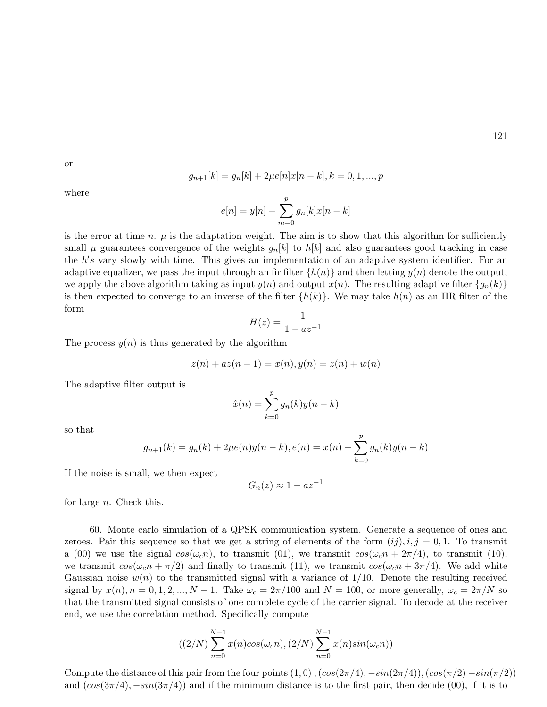or

$$
g_{n+1}[k] = g_n[k] + 2\mu e[n]x[n-k], k = 0, 1, ..., p
$$

where

$$
e[n] = y[n] - \sum_{m=0}^{p} g_n[k]x[n-k]
$$

is the error at time n.  $\mu$  is the adaptation weight. The aim is to show that this algorithm for sufficiently small  $\mu$  guarantees convergence of the weights  $g_n[k]$  to  $h[k]$  and also guarantees good tracking in case the  $h$ 's vary slowly with time. This gives an implementation of an adaptive system identifier. For an adaptive equalizer, we pass the input through an fir filter  $\{h(n)\}\$  and then letting  $y(n)$  denote the output, we apply the above algorithm taking as input  $y(n)$  and output  $x(n)$ . The resulting adaptive filter  $\{g_n(k)\}\$ is then expected to converge to an inverse of the filter  $\{h(k)\}\$ . We may take  $h(n)$  as an IIR filter of the form

$$
H(z) = \frac{1}{1 - az^{-1}}
$$

The process  $y(n)$  is thus generated by the algorithm

$$
z(n) + az(n-1) = x(n), y(n) = z(n) + w(n)
$$

The adaptive filter output is

$$
\hat{x}(n) = \sum_{k=0}^{p} g_n(k)y(n-k)
$$

so that

$$
g_{n+1}(k) = g_n(k) + 2\mu e(n)y(n-k), e(n) = x(n) - \sum_{k=0}^{p} g_n(k)y(n-k)
$$

If the noise is small, we then expect

$$
G_n(z) \approx 1 - az^{-1}
$$

for large n. Check this.

60. Monte carlo simulation of a QPSK communication system. Generate a sequence of ones and zeroes. Pair this sequence so that we get a string of elements of the form  $(ij), i, j = 0, 1$ . To transmit a (00) we use the signal  $cos(\omega_c n)$ , to transmit (01), we transmit  $cos(\omega_c n + 2\pi/4)$ , to transmit (10), we transmit  $\cos(\omega_c n + \pi/2)$  and finally to transmit (11), we transmit  $\cos(\omega_c n + 3\pi/4)$ . We add white Gaussian noise  $w(n)$  to the transmitted signal with a variance of  $1/10$ . Denote the resulting received signal by  $x(n)$ ,  $n = 0, 1, 2, ..., N - 1$ . Take  $\omega_c = 2\pi/100$  and  $N = 100$ , or more generally,  $\omega_c = 2\pi/N$  so that the transmitted signal consists of one complete cycle of the carrier signal. To decode at the receiver end, we use the correlation method. Specifically compute

$$
((2/N)\sum_{n=0}^{N-1} x(n)\cos(\omega_c n), (2/N)\sum_{n=0}^{N-1} x(n)\sin(\omega_c n))
$$

Compute the distance of this pair from the four points  $(1,0)$ ,  $(cos(2\pi/4), -sin(2\pi/4))$ ,  $(cos(\pi/2) -sin(\pi/2))$ and  $(cos(3\pi/4), -sin(3\pi/4))$  and if the minimum distance is to the first pair, then decide (00), if it is to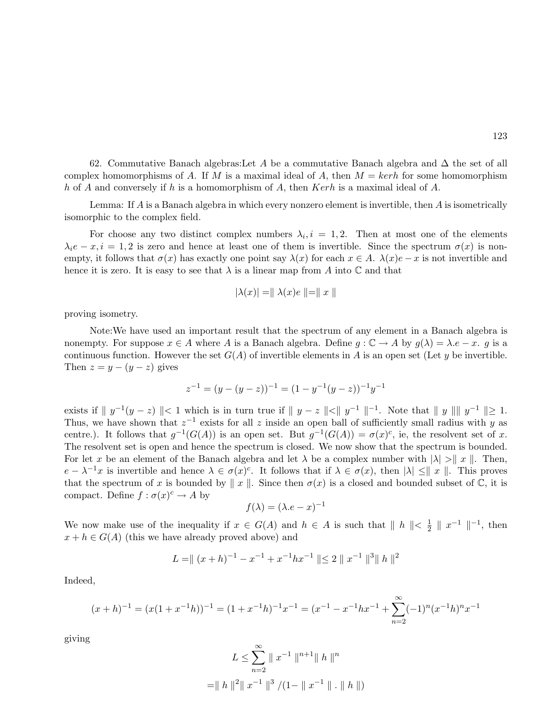62. Commutative Banach algebras:Let A be a commutative Banach algebra and  $\Delta$  the set of all complex homomorphisms of A. If M is a maximal ideal of A, then  $M = \text{ker } h$  for some homomorphism h of A and conversely if h is a homomorphism of A, then Kerh is a maximal ideal of A.

Lemma: If A is a Banach algebra in which every nonzero element is invertible, then A is isometrically isomorphic to the complex field.

For choose any two distinct complex numbers  $\lambda_i, i = 1, 2$ . Then at most one of the elements  $\lambda_i e - x, i = 1, 2$  is zero and hence at least one of them is invertible. Since the spectrum  $\sigma(x)$  is nonempty, it follows that  $\sigma(x)$  has exactly one point say  $\lambda(x)$  for each  $x \in A$ .  $\lambda(x)e - x$  is not invertible and hence it is zero. It is easy to see that  $\lambda$  is a linear map from A into  $\mathbb C$  and that

$$
|\lambda(x)| = ||\lambda(x)e|| = ||x||
$$

proving isometry.

Note:We have used an important result that the spectrum of any element in a Banach algebra is nonempty. For suppose  $x \in A$  where A is a Banach algebra. Define  $g: \mathbb{C} \to A$  by  $g(\lambda) = \lambda \cdot e - x$ . g is a continuous function. However the set  $G(A)$  of invertible elements in A is an open set (Let y be invertible. Then  $z = y - (y - z)$  gives

$$
z^{-1} = (y - (y - z))^{-1} = (1 - y^{-1}(y - z))^{-1}y^{-1}
$$

exists if  $||y^{-1}(y-z)|| < 1$  which is in turn true if  $||y-z|| < ||y^{-1}||^{-1}$ . Note that  $||y|| ||y^{-1}|| \ge 1$ . Thus, we have shown that  $z^{-1}$  exists for all z inside an open ball of sufficiently small radius with y as centre.). It follows that  $g^{-1}(G(A))$  is an open set. But  $g^{-1}(G(A)) = \sigma(x)^c$ , ie, the resolvent set of x. The resolvent set is open and hence the spectrum is closed. We now show that the spectrum is bounded. For let x be an element of the Banach algebra and let  $\lambda$  be a complex number with  $|\lambda| > \|x\|$ . Then,  $e - \lambda^{-1}x$  is invertible and hence  $\lambda \in \sigma(x)^c$ . It follows that if  $\lambda \in \sigma(x)$ , then  $|\lambda| \leq ||x||$ . This proves that the spectrum of x is bounded by  $\|x\|$ . Since then  $\sigma(x)$  is a closed and bounded subset of C, it is compact. Define  $f : \sigma(x)^c \to A$  by

$$
f(\lambda) = (\lambda \cdot e - x)^{-1}
$$

We now make use of the inequality if  $x \in G(A)$  and  $h \in A$  is such that  $||h|| < \frac{1}{2}$  $\frac{1}{2} \parallel x^{-1} \parallel^{-1}$ , then  $x + h \in G(A)$  (this we have already proved above) and

$$
L = || (x+h)^{-1} - x^{-1} + x^{-1}hx^{-1} || \le 2 || x^{-1} ||^3 || h ||^2
$$

Indeed,

$$
(x+h)^{-1} = (x(1+x^{-1}h))^{-1} = (1+x^{-1}h)^{-1}x^{-1} = (x^{-1} - x^{-1}hx^{-1} + \sum_{n=2}^{\infty} (-1)^n (x^{-1}h)^n x^{-1}
$$

giving

$$
L \le \sum_{n=2}^{\infty} \|x^{-1}\|^{n+1} \|h\|^{n}
$$
  
= \|h\|^2 \|x^{-1}\|^3 / (1 - \|x^{-1}\| \cdot \|h\|)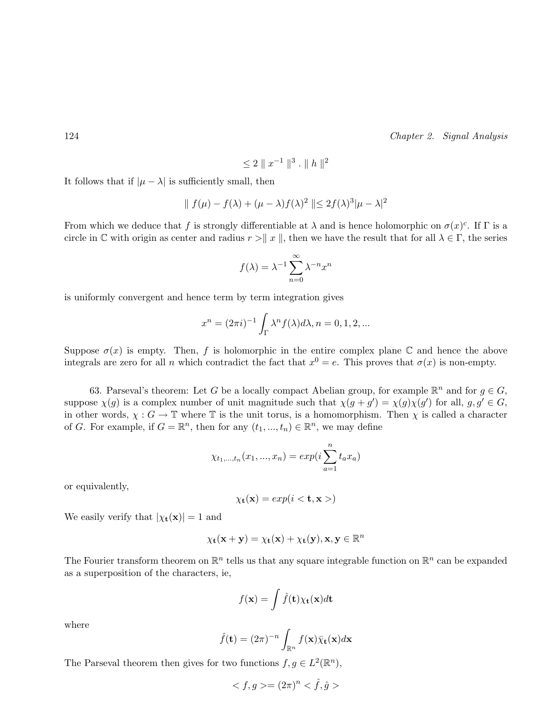$$
\leq 2 \parallel x^{-1} \parallel^3 . \parallel h \parallel^2
$$

It follows that if  $|\mu - \lambda|$  is sufficiently small, then

$$
\| f(\mu) - f(\lambda) + (\mu - \lambda)f(\lambda)^2 \| \le 2f(\lambda)^3 |\mu - \lambda|^2
$$

From which we deduce that f is strongly differentiable at  $\lambda$  and is hence holomorphic on  $\sigma(x)^c$ . If  $\Gamma$  is a circle in C with origin as center and radius  $r > k x \, \parallel x$ , then we have the result that for all  $\lambda \in \Gamma$ , the series

$$
f(\lambda) = \lambda^{-1} \sum_{n=0}^{\infty} \lambda^{-n} x^n
$$

is uniformly convergent and hence term by term integration gives

$$
x^{n} = (2\pi i)^{-1} \int_{\Gamma} \lambda^{n} f(\lambda) d\lambda, n = 0, 1, 2, \dots
$$

Suppose  $\sigma(x)$  is empty. Then, f is holomorphic in the entire complex plane C and hence the above integrals are zero for all n which contradict the fact that  $x^0 = e$ . This proves that  $\sigma(x)$  is non-empty.

63. Parseval's theorem: Let G be a locally compact Abelian group, for example  $\mathbb{R}^n$  and for  $g \in G$ , suppose  $\chi(g)$  is a complex number of unit magnitude such that  $\chi(g + g') = \chi(g)\chi(g')$  for all,  $g, g' \in G$ , in other words,  $\chi : G \to \mathbb{T}$  where  $\mathbb{T}$  is the unit torus, is a homomorphism. Then  $\chi$  is called a character of G. For example, if  $G = \mathbb{R}^n$ , then for any  $(t_1, ..., t_n) \in \mathbb{R}^n$ , we may define

$$
\chi_{t_1,\dots,t_n}(x_1,...,x_n) = exp(i\sum_{a=1}^n t_a x_a)
$$

or equivalently,

$$
\chi_{\mathbf{t}}(\mathbf{x}) = exp(i < \mathbf{t}, \mathbf{x})
$$

We easily verify that  $|\chi_{\mathbf{t}}(\mathbf{x})| = 1$  and

$$
\chi_{\mathbf{t}}(\mathbf{x} + \mathbf{y}) = \chi_{\mathbf{t}}(\mathbf{x}) + \chi_{\mathbf{t}}(\mathbf{y}), \mathbf{x}, \mathbf{y} \in \mathbb{R}^{n}
$$

The Fourier transform theorem on  $\mathbb{R}^n$  tells us that any square integrable function on  $\mathbb{R}^n$  can be expanded as a superposition of the characters, ie,

$$
f(\mathbf{x}) = \int \hat{f}(\mathbf{t}) \chi_{\mathbf{t}}(\mathbf{x}) d\mathbf{t}
$$

where

$$
\hat{f}(\mathbf{t}) = (2\pi)^{-n} \int_{\mathbb{R}^n} f(\mathbf{x}) \bar{\chi}_{\mathbf{t}}(\mathbf{x}) d\mathbf{x}
$$

The Parseval theorem then gives for two functions  $f, g \in L^2(\mathbb{R}^n)$ ,

$$
\langle f, g \rangle = (2\pi)^n \langle \hat{f}, \hat{g} \rangle
$$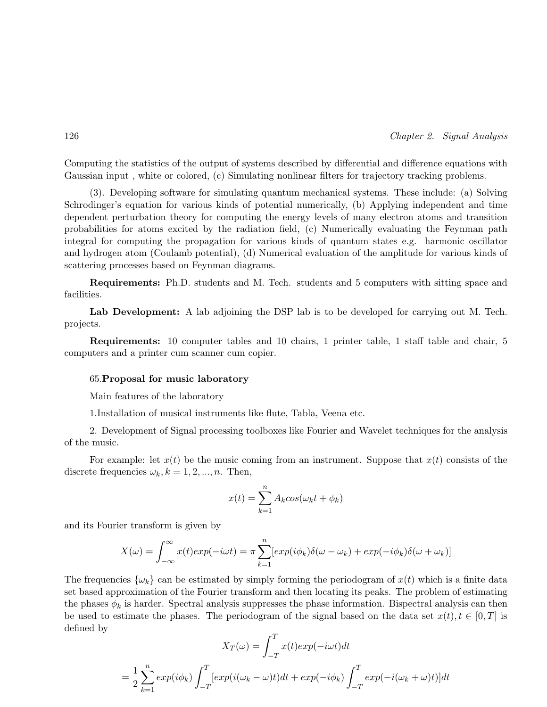Computing the statistics of the output of systems described by differential and difference equations with Gaussian input , white or colored, (c) Simulating nonlinear filters for trajectory tracking problems.

(3). Developing software for simulating quantum mechanical systems. These include: (a) Solving Schrodinger's equation for various kinds of potential numerically, (b) Applying independent and time dependent perturbation theory for computing the energy levels of many electron atoms and transition probabilities for atoms excited by the radiation field, (c) Numerically evaluating the Feynman path integral for computing the propagation for various kinds of quantum states e.g. harmonic oscillator and hydrogen atom (Coulamb potential), (d) Numerical evaluation of the amplitude for various kinds of scattering processes based on Feynman diagrams.

Requirements: Ph.D. students and M. Tech. students and 5 computers with sitting space and facilities.

Lab Development: A lab adjoining the DSP lab is to be developed for carrying out M. Tech. projects.

Requirements: 10 computer tables and 10 chairs, 1 printer table, 1 staff table and chair, 5 computers and a printer cum scanner cum copier.

#### 65.Proposal for music laboratory

Main features of the laboratory

1.Installation of musical instruments like flute, Tabla, Veena etc.

2. Development of Signal processing toolboxes like Fourier and Wavelet techniques for the analysis of the music.

For example: let  $x(t)$  be the music coming from an instrument. Suppose that  $x(t)$  consists of the discrete frequencies  $\omega_k, k = 1, 2, ..., n$ . Then,

$$
x(t) = \sum_{k=1}^{n} A_k \cos(\omega_k t + \phi_k)
$$

and its Fourier transform is given by

$$
X(\omega) = \int_{-\infty}^{\infty} x(t)exp(-i\omega t) = \pi \sum_{k=1}^{n} [exp(i\phi_k)\delta(\omega - \omega_k) + exp(-i\phi_k)\delta(\omega + \omega_k)]
$$

The frequencies  $\{\omega_k\}$  can be estimated by simply forming the periodogram of  $x(t)$  which is a finite data set based approximation of the Fourier transform and then locating its peaks. The problem of estimating the phases  $\phi_k$  is harder. Spectral analysis suppresses the phase information. Bispectral analysis can then be used to estimate the phases. The periodogram of the signal based on the data set  $x(t), t \in [0, T]$  is defined by

$$
X_T(\omega) = \int_{-T}^T x(t)exp(-i\omega t)dt
$$
  
=  $\frac{1}{2} \sum_{k=1}^n exp(i\phi_k) \int_{-T}^T [exp(i(\omega_k - \omega)t)dt + exp(-i\phi_k) \int_{-T}^T exp(-i(\omega_k + \omega)t)]dt$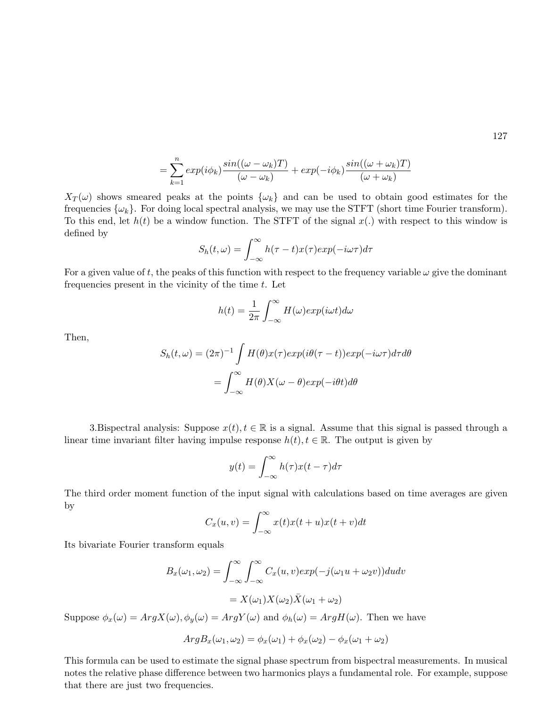$$
= \sum_{k=1}^{n} exp(i\phi_k) \frac{\sin((\omega - \omega_k)T)}{(\omega - \omega_k)} + exp(-i\phi_k) \frac{\sin((\omega + \omega_k)T)}{(\omega + \omega_k)}
$$

 $X_T(\omega)$  shows smeared peaks at the points  $\{\omega_k\}$  and can be used to obtain good estimates for the frequencies  $\{\omega_k\}$ . For doing local spectral analysis, we may use the STFT (short time Fourier transform). To this end, let  $h(t)$  be a window function. The STFT of the signal  $x(.)$  with respect to this window is defined by

$$
S_h(t,\omega) = \int_{-\infty}^{\infty} h(\tau - t)x(\tau)exp(-i\omega\tau)d\tau
$$

For a given value of t, the peaks of this function with respect to the frequency variable  $\omega$  give the dominant frequencies present in the vicinity of the time  $t$ . Let

$$
h(t) = \frac{1}{2\pi} \int_{-\infty}^{\infty} H(\omega) exp(i\omega t) d\omega
$$

Then,

$$
S_h(t,\omega) = (2\pi)^{-1} \int H(\theta)x(\tau)exp(i\theta(\tau - t))exp(-i\omega\tau)d\tau d\theta
$$

$$
= \int_{-\infty}^{\infty} H(\theta)X(\omega - \theta)exp(-i\theta t)d\theta
$$

3.Bispectral analysis: Suppose  $x(t)$ ,  $t \in \mathbb{R}$  is a signal. Assume that this signal is passed through a linear time invariant filter having impulse response  $h(t), t \in \mathbb{R}$ . The output is given by

$$
y(t) = \int_{-\infty}^{\infty} h(\tau)x(t-\tau)d\tau
$$

The third order moment function of the input signal with calculations based on time averages are given by

$$
C_x(u,v) = \int_{-\infty}^{\infty} x(t)x(t+u)x(t+v)dt
$$

Its bivariate Fourier transform equals

$$
B_x(\omega_1, \omega_2) = \int_{-\infty}^{\infty} \int_{-\infty}^{\infty} C_x(u, v) exp(-j(\omega_1 u + \omega_2 v)) du dv
$$
  
=  $X(\omega_1) X(\omega_2) \overline{X}(\omega_1 + \omega_2)$ 

Suppose  $\phi_x(\omega) = ArgX(\omega), \phi_y(\omega) = ArgY(\omega)$  and  $\phi_h(\omega) = ArgH(\omega)$ . Then we have

$$
ArgB_x(\omega_1, \omega_2) = \phi_x(\omega_1) + \phi_x(\omega_2) - \phi_x(\omega_1 + \omega_2)
$$

This formula can be used to estimate the signal phase spectrum from bispectral measurements. In musical notes the relative phase difference between two harmonics plays a fundamental role. For example, suppose that there are just two frequencies.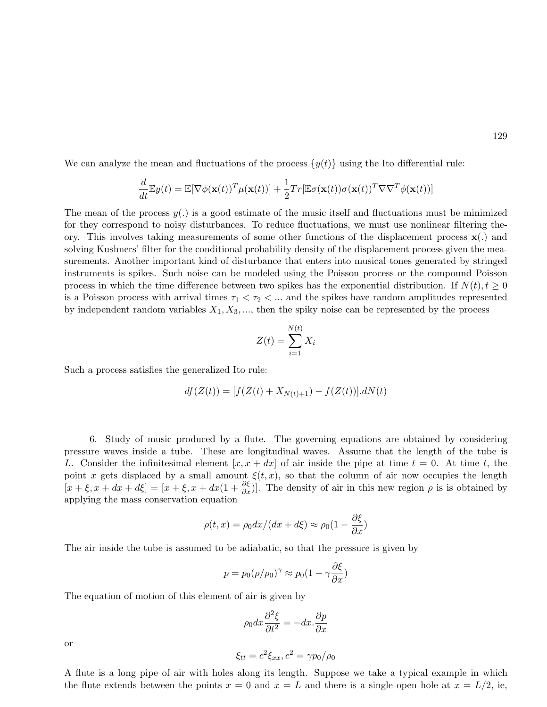We can analyze the mean and fluctuations of the process  $\{y(t)\}\$ using the Ito differential rule:

$$
\frac{d}{dt} \mathbb{E} y(t) = \mathbb{E} [\nabla \phi(\mathbf{x}(t))^T \mu(\mathbf{x}(t))] + \frac{1}{2} Tr[\mathbb{E} \sigma(\mathbf{x}(t)) \sigma(\mathbf{x}(t))^T \nabla \nabla^T \phi(\mathbf{x}(t))]
$$

The mean of the process  $y(.)$  is a good estimate of the music itself and fluctuations must be minimized for they correspond to noisy disturbances. To reduce fluctuations, we must use nonlinear filtering theory. This involves taking measurements of some other functions of the displacement process  $\mathbf{x}(\cdot)$  and solving Kushners' filter for the conditional probability density of the displacement process given the measurements. Another important kind of disturbance that enters into musical tones generated by stringed instruments is spikes. Such noise can be modeled using the Poisson process or the compound Poisson process in which the time difference between two spikes has the exponential distribution. If  $N(t)$ ,  $t > 0$ is a Poisson process with arrival times  $\tau_1 < \tau_2 < ...$  and the spikes have random amplitudes represented by independent random variables  $X_1, X_3, \ldots$ , then the spiky noise can be represented by the process

$$
Z(t) = \sum_{i=1}^{N(t)} X_i
$$

Such a process satisfies the generalized Ito rule:

$$
df(Z(t)) = [f(Z(t) + X_{N(t)+1}) - f(Z(t))].dN(t)
$$

6. Study of music produced by a flute. The governing equations are obtained by considering pressure waves inside a tube. These are longitudinal waves. Assume that the length of the tube is L. Consider the infinitesimal element  $x, x + dx$  of air inside the pipe at time  $t = 0$ . At time t, the point x gets displaced by a small amount  $\xi(t, x)$ , so that the column of air now occupies the length  $[x + \xi, x + dx + d\xi] = [x + \xi, x + dx(1 + \frac{\partial \xi}{\partial x})]$ . The density of air in this new region  $\rho$  is is obtained by applying the mass conservation equation

$$
\rho(t,x) = \rho_0 dx / (dx + d\xi) \approx \rho_0 (1 - \frac{\partial \xi}{\partial x})
$$

The air inside the tube is assumed to be adiabatic, so that the pressure is given by

$$
p = p_0(\rho/\rho_0)^{\gamma} \approx p_0(1 - \gamma \frac{\partial \xi}{\partial x})
$$

The equation of motion of this element of air is given by

$$
\rho_0 dx \frac{\partial^2 \xi}{\partial t^2} = -dx \cdot \frac{\partial p}{\partial x}
$$

or

$$
\xi_{tt} = c^2 \xi_{xx}, c^2 = \gamma p_0 / \rho_0
$$

A flute is a long pipe of air with holes along its length. Suppose we take a typical example in which the flute extends between the points  $x = 0$  and  $x = L$  and there is a single open hole at  $x = L/2$ , ie,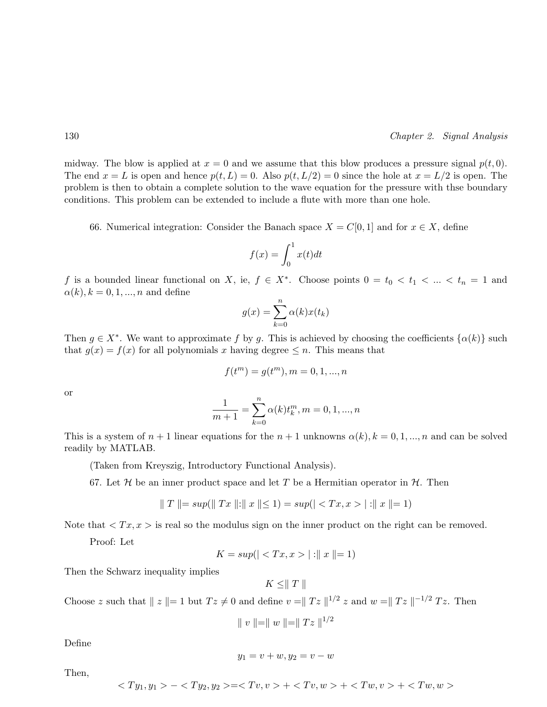midway. The blow is applied at  $x = 0$  and we assume that this blow produces a pressure signal  $p(t, 0)$ . The end  $x = L$  is open and hence  $p(t, L) = 0$ . Also  $p(t, L/2) = 0$  since the hole at  $x = L/2$  is open. The problem is then to obtain a complete solution to the wave equation for the pressure with thse boundary conditions. This problem can be extended to include a flute with more than one hole.

66. Numerical integration: Consider the Banach space  $X = C[0, 1]$  and for  $x \in X$ , define

$$
f(x) = \int_0^1 x(t)dt
$$

f is a bounded linear functional on X, ie,  $f \in X^*$ . Choose points  $0 = t_0 < t_1 < ... < t_n = 1$  and  $\alpha(k), k = 0, 1, ..., n$  and define

$$
g(x) = \sum_{k=0}^{n} \alpha(k)x(t_k)
$$

Then  $g \in X^*$ . We want to approximate f by g. This is achieved by choosing the coefficients  $\{\alpha(k)\}\$  such that  $q(x) = f(x)$  for all polynomials x having degree  $\leq n$ . This means that

$$
f(t^{m}) = g(t^{m}), m = 0, 1, ..., n
$$

or

$$
\frac{1}{m+1} = \sum_{k=0}^{n} \alpha(k) t_k^m, m = 0, 1, ..., n
$$

This is a system of  $n+1$  linear equations for the  $n+1$  unknowns  $\alpha(k)$ ,  $k = 0, 1, ..., n$  and can be solved readily by MATLAB.

(Taken from Kreyszig, Introductory Functional Analysis).

67. Let H be an inner product space and let T be a Hermitian operator in  $H$ . Then

$$
\| T \| = \sup(\| Tx \| : \| x \| \le 1) = \sup(|\langle Tx, x \rangle | : \| x \| = 1)
$$

Note that  $\langle Tx, x \rangle$  is real so the modulus sign on the inner product on the right can be removed.

Proof: Let

$$
K = \sup(||:||x|| = 1)
$$

Then the Schwarz inequality implies

 $K \leq ||T||$ 

Choose z such that  $||z|| = 1$  but  $Tz \neq 0$  and define  $v = ||Tz||^{1/2} z$  and  $w = ||Tz||^{-1/2} Tz$ . Then

$$
\parallel v \parallel = \parallel w \parallel = \parallel Tz \parallel^{1/2}
$$

Define

$$
y_1 = v + w, y_2 = v - w
$$

Then,

$$
- = + + +
$$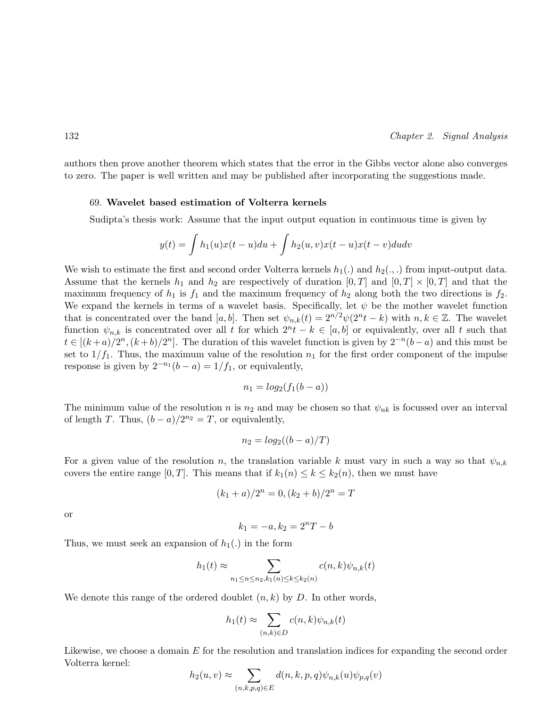authors then prove another theorem which states that the error in the Gibbs vector alone also converges to zero. The paper is well written and may be published after incorporating the suggestions made.

#### 69. Wavelet based estimation of Volterra kernels

Sudipta's thesis work: Assume that the input output equation in continuous time is given by

$$
y(t) = \int h_1(u)x(t-u)du + \int h_2(u,v)x(t-u)x(t-v)dudv
$$

We wish to estimate the first and second order Volterra kernels  $h_1(.)$  and  $h_2(.,.)$  from input-output data. Assume that the kernels  $h_1$  and  $h_2$  are respectively of duration  $[0, T]$  and  $[0, T] \times [0, T]$  and that the maximum frequency of  $h_1$  is  $f_1$  and the maximum frequency of  $h_2$  along both the two directions is  $f_2$ . We expand the kernels in terms of a wavelet basis. Specifically, let  $\psi$  be the mother wavelet function that is concentrated over the band [a, b]. Then set  $\psi_{n,k}(t) = 2^{n/2} \psi(2^n t - k)$  with  $n, k \in \mathbb{Z}$ . The wavelet function  $\psi_{n,k}$  is concentrated over all t for which  $2^n t - k \in [a, b]$  or equivalently, over all t such that  $t \in [(k+a)/2^n, (k+b)/2^n]$ . The duration of this wavelet function is given by  $2^{-n}(b-a)$  and this must be set to  $1/f_1$ . Thus, the maximum value of the resolution  $n_1$  for the first order component of the impulse response is given by  $2^{-n_1}(b-a) = 1/f_1$ , or equivalently,

$$
n_1 = log_2(f_1(b-a))
$$

The minimum value of the resolution n is  $n_2$  and may be chosen so that  $\psi_{nk}$  is focussed over an interval of length T. Thus,  $(b-a)/2^{n_2} = T$ , or equivalently,

$$
n_2 = \log_2((b-a)/T)
$$

For a given value of the resolution n, the translation variable k must vary in such a way so that  $\psi_{n,k}$ covers the entire range [0, T]. This means that if  $k_1(n) \leq k \leq k_2(n)$ , then we must have

$$
(k_1 + a)/2^n = 0, (k_2 + b)/2^n = T
$$

or

$$
k_1 = -a, k_2 = 2^nT - b
$$

Thus, we must seek an expansion of  $h_1(.)$  in the form

$$
h_1(t) \approx \sum_{n_1 \le n \le n_2, k_1(n) \le k \le k_2(n)} c(n,k)\psi_{n,k}(t)
$$

We denote this range of the ordered doublet  $(n, k)$  by D. In other words,

$$
h_1(t) \approx \sum_{(n,k)\in D} c(n,k)\psi_{n,k}(t)
$$

Likewise, we choose a domain E for the resolution and translation indices for expanding the second order Volterra kernel:  $\overline{\phantom{a}}$ 

$$
h_2(u,v) \approx \sum_{(n,k,p,q)\in E} d(n,k,p,q)\psi_{n,k}(u)\psi_{p,q}(v)
$$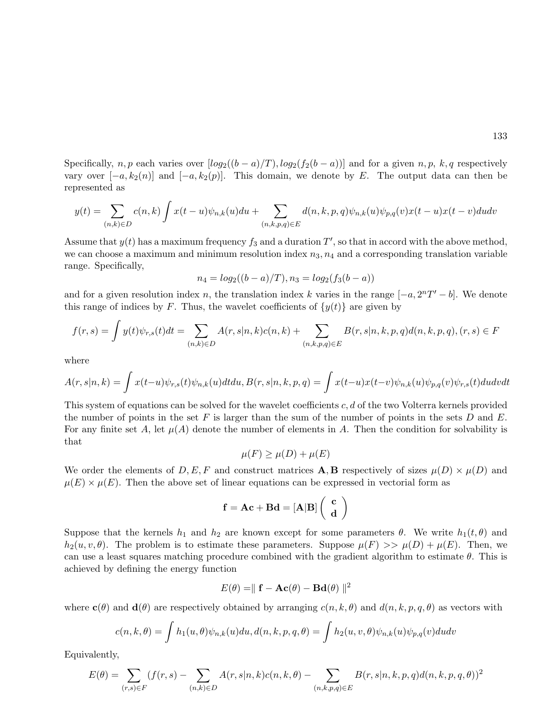Specifically, n, p each varies over  $[log_2((b-a)/T), log_2(f_2(b-a))]$  and for a given n, p, k, q respectively vary over  $[-a, k_2(n)]$  and  $[-a, k_2(p)]$ . This domain, we denote by E. The output data can then be represented as

$$
y(t) = \sum_{(n,k)\in D} c(n,k) \int x(t-u)\psi_{n,k}(u)du + \sum_{(n,k,p,q)\in E} d(n,k,p,q)\psi_{n,k}(u)\psi_{p,q}(v)x(t-u)x(t-v)dudv
$$

Assume that  $y(t)$  has a maximum frequency  $f_3$  and a duration  $T'$ , so that in accord with the above method, we can choose a maximum and minimum resolution index  $n_3$ ,  $n_4$  and a corresponding translation variable range. Specifically,

$$
n_4 = log_2((b - a)/T), n_3 = log_2(f_3(b - a))
$$

and for a given resolution index n, the translation index k varies in the range  $[-a, 2<sup>n</sup>T' - b]$ . We denote this range of indices by F. Thus, the wavelet coefficients of  $\{y(t)\}\$ are given by

$$
f(r,s) = \int y(t)\psi_{r,s}(t)dt = \sum_{(n,k)\in D} A(r,s|n,k)c(n,k) + \sum_{(n,k,p,q)\in E} B(r,s|n,k,p,q)d(n,k,p,q), (r,s) \in F
$$

where

$$
A(r,s|n,k) = \int x(t-u)\psi_{r,s}(t)\psi_{n,k}(u)dtdu, B(r,s|n,k,p,q) = \int x(t-u)x(t-v)\psi_{n,k}(u)\psi_{p,q}(v)\psi_{r,s}(t)dudvdt
$$

This system of equations can be solved for the wavelet coefficients c, d of the two Volterra kernels provided the number of points in the set F is larger than the sum of the number of points in the sets D and E. For any finite set A, let  $\mu(A)$  denote the number of elements in A. Then the condition for solvability is that

$$
\mu(F) \ge \mu(D) + \mu(E)
$$

We order the elements of  $D, E, F$  and construct matrices **A, B** respectively of sizes  $\mu(D) \times \mu(D)$  and  $\mu(E) \times \mu(E)$ . Then the above set of linear equations can be expressed in vectorial form as

$$
f = Ac + Bd = [A|B]\left(\begin{array}{c} c \\ d \end{array}\right)
$$

Suppose that the kernels  $h_1$  and  $h_2$  are known except for some parameters  $\theta$ . We write  $h_1(t, \theta)$  and  $h_2(u, v, \theta)$ . The problem is to estimate these parameters. Suppose  $\mu(F) >> \mu(D) + \mu(E)$ . Then, we can use a least squares matching procedure combined with the gradient algorithm to estimate  $\theta$ . This is achieved by defining the energy function

$$
E(\theta) = ||\mathbf{f} - \mathbf{Ac}(\theta) - \mathbf{Bd}(\theta)||^2
$$

where  $c(\theta)$  and  $d(\theta)$  are respectively obtained by arranging  $c(n, k, \theta)$  and  $d(n, k, p, q, \theta)$  as vectors with

$$
c(n,k,\theta) = \int h_1(u,\theta)\psi_{n,k}(u)du, d(n,k,p,q,\theta) = \int h_2(u,v,\theta)\psi_{n,k}(u)\psi_{p,q}(v)dudv
$$

Equivalently,

$$
E(\theta) = \sum_{(r,s)\in F} (f(r,s) - \sum_{(n,k)\in D} A(r,s|n,k)c(n,k,\theta) - \sum_{(n,k,p,q)\in E} B(r,s|n,k,p,q)d(n,k,p,q,\theta))^2
$$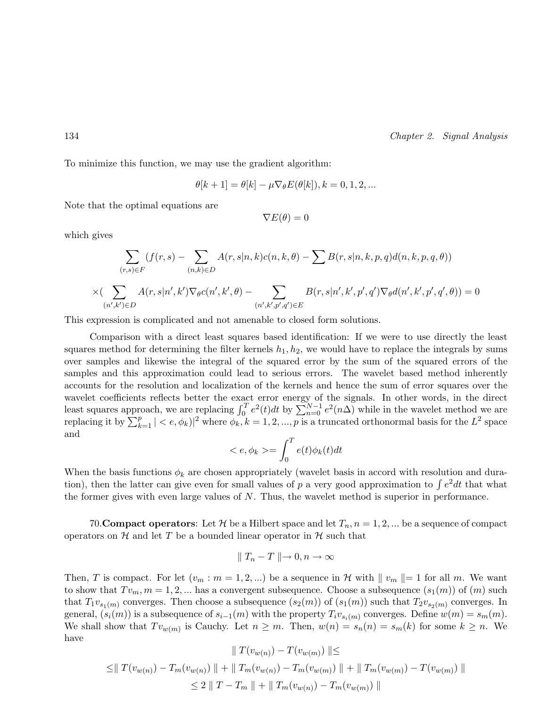To minimize this function, we may use the gradient algorithm:

$$
\theta[k+1] = \theta[k] - \mu \nabla_{\theta} E(\theta[k]), k = 0, 1, 2, \dots
$$

Note that the optimal equations are

$$
\nabla E(\theta) = 0
$$

which gives

$$
\sum_{(r,s)\in F} (f(r,s) - \sum_{(n,k)\in D} A(r,s|n,k)c(n,k,\theta) - \sum B(r,s|n,k,p,q)d(n,k,p,q,\theta))
$$
  

$$
\times (\sum_{(n',k')\in D} A(r,s|n',k')\nabla_{\theta}c(n',k',\theta) - \sum_{(n',k',p',q')\in E} B(r,s|n',k',p',q')\nabla_{\theta}d(n',k',p',q',\theta)) = 0
$$

This expression is complicated and not amenable to closed form solutions.

Comparison with a direct least squares based identification: If we were to use directly the least squares method for determining the filter kernels  $h_1, h_2$ , we would have to replace the integrals by sums over samples and likewise the integral of the squared error by the sum of the squared errors of the samples and this approximation could lead to serious errors. The wavelet based method inherently accounts for the resolution and localization of the kernels and hence the sum of error squares over the wavelet coefficients reflects better the exact error energy of the signals. In other words, in the direct least squares approach, we are replacing  $\int_0^T e^2(t)dt$  by  $\sum_{n=0}^{N-1} e^2(n\Delta)$  while in the wavelet method we are replacing it by  $\sum_{k=1}^{p} | where  $\phi_k$ ,  $k = 1, 2, ..., p$  is a truncated orthonormal basis for the  $L^2$  space$ and  $\mathbf{r}^T$ 

$$
\langle e, \phi_k \rangle = \int_0^T e(t)\phi_k(t)dt
$$

When the basis functions  $\phi_k$  are chosen appropriately (wavelet basis in accord with resolution and durawhen the basis functions  $\varphi_k$  are chosen appropriately (wavelet basis in accord with resolution and duration), then the latter can give even for small values of p a very good approximation to  $\int e^2 dt$  that what the former gives with even large values of N. Thus, the wavelet method is superior in performance.

70. **Compact operators**: Let H be a Hilbert space and let  $T_n$ ,  $n = 1, 2, ...$  be a sequence of compact operators on  $H$  and let T be a bounded linear operator in  $H$  such that

$$
\parallel T_n - T \parallel \rightarrow 0, n \rightarrow \infty
$$

Then, T is compact. For let  $(v_m : m = 1, 2, ...)$  be a sequence in H with  $||v_m|| = 1$  for all m. We want to show that  $Tv_m, m = 1, 2, ...$  has a convergent subsequence. Choose a subsequence  $(s_1(m))$  of  $(m)$  such that  $T_1v_{s_1(m)}$  converges. Then choose a subsequence  $(s_2(m))$  of  $(s_1(m))$  such that  $T_2v_{s_2(m)}$  converges. In general,  $(s_i(m))$  is a subsequence of  $s_{i-1}(m)$  with the property  $T_i v_{s_i(m)}$  converges. Define  $w(m) = s_m(m)$ . We shall show that  $Tv_{w(m)}$  is Cauchy. Let  $n \geq m$ . Then,  $w(n) = s_n(n) = s_m(k)$  for some  $k \geq n$ . We have

$$
|| T(v_{w(n)}) - T(v_{w(m)}) || \le
$$
  
\n
$$
\le || T(v_{w(n)}) - T_m(v_{w(n)}) || + || T_m(v_{w(n)}) - T_m(v_{w(m)}) || + || T_m(v_{w(m)}) - T(v_{w(m)}) ||
$$
  
\n
$$
\le 2 || T - T_m || + || T_m(v_{w(n)}) - T_m(v_{w(m)}) ||
$$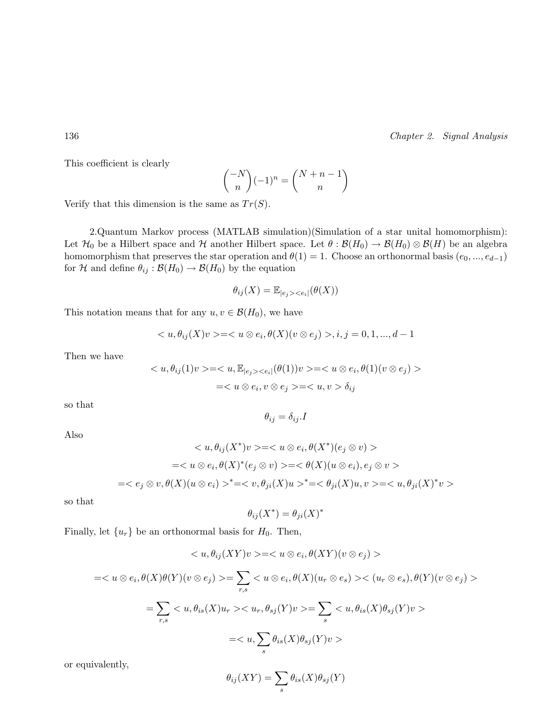This coefficient is clearly

$$
\binom{-N}{n}(-1)^n = \binom{N+n-1}{n}
$$

Verify that this dimension is the same as  $Tr(S)$ .

2.Quantum Markov process (MATLAB simulation)(Simulation of a star unital homomorphism): Let  $\mathcal{H}_0$  be a Hilbert space and  $\mathcal H$  another Hilbert space. Let  $\theta : \mathcal{B}(H_0) \to \mathcal{B}(H_0) \otimes \mathcal{B}(H)$  be an algebra homomorphism that preserves the star operation and  $\theta(1) = 1$ . Choose an orthonormal basis  $(e_0, ..., e_{d-1})$ for H and define  $\theta_{ij} : \mathcal{B}(H_0) \to \mathcal{B}(H_0)$  by the equation

$$
\theta_{ij}(X) = \mathbb{E}_{|e_j| < e_i|}(\theta(X))
$$

This notation means that for any  $u, v \in \mathcal{B}(H_0)$ , we have

$$
\langle u, \theta_{ij}(X)v \rangle = \langle u \otimes e_i, \theta(X)(v \otimes e_j) \rangle, i, j = 0, 1, ..., d - 1
$$

Then we have

$$
\langle u, \theta_{ij}(1)v \rangle = \langle u, \mathbb{E}_{|e_j\rangle \langle e_i|}(\theta(1))v \rangle = \langle u \otimes e_i, \theta(1)(v \otimes e_j) \rangle
$$
  
=
$$
\langle u \otimes e_i, v \otimes e_j \rangle = \langle u, v \rangle \delta_{ij}
$$

so that

$$
\theta_{ij} = \delta_{ij}.I
$$

Also

$$
\langle u, \theta_{ij}(X^*)v \rangle = \langle u \otimes e_i, \theta(X^*)(e_j \otimes v) \rangle
$$
  

$$
= \langle u \otimes e_i, \theta(X)^*(e_j \otimes v) \rangle = \langle \theta(X)(u \otimes e_i), e_j \otimes v \rangle
$$
  

$$
= \langle e_j \otimes v, \theta(X)(u \otimes e_i) \rangle^* = \langle v, \theta_{ji}(X)u \rangle^* = \langle \theta_{ji}(X)u, v \rangle = \langle u, \theta_{ji}(X)^*v \rangle
$$

so that

$$
\theta_{ij}(X^*) = \theta_{ji}(X)^*
$$

Finally, let  $\{u_r\}$  be an orthonormal basis for  $H_0$ . Then,

$$
\langle u, \theta_{ij}(XY)v \rangle = \langle u \otimes e_i, \theta(XY)(v \otimes e_j) \rangle
$$
  

$$
= \langle u \otimes e_i, \theta(X)\theta(Y)(v \otimes e_j) \rangle = \sum_{r,s} \langle u \otimes e_i, \theta(X)(u_r \otimes e_s) \rangle \langle (u_r \otimes e_s), \theta(Y)(v \otimes e_j) \rangle
$$
  

$$
= \sum_{r,s} \langle u, \theta_{is}(X)u_r \rangle \langle u_r, \theta_{sj}(Y)v \rangle = \sum_s \langle u, \theta_{is}(X)\theta_{sj}(Y)v \rangle
$$
  

$$
= \langle u, \sum_s \theta_{is}(X)\theta_{sj}(Y)v \rangle
$$

or equivalently,

$$
\theta_{ij}(XY) = \sum_{s} \theta_{is}(X)\theta_{sj}(Y)
$$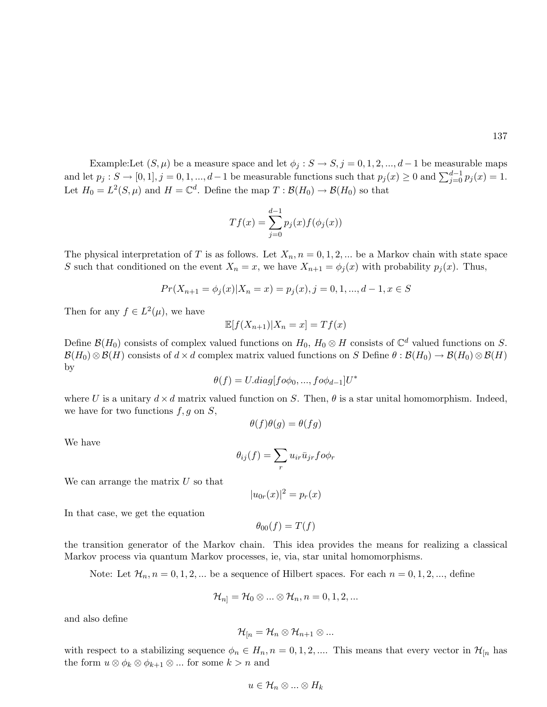Example:Let  $(S, \mu)$  be a measure space and let  $\phi_j : S \to S, j = 0, 1, 2, ..., d-1$  be measurable maps LAMPRESSING ( $S, \mu$ ) be a measure space and for  $\varphi_j : S \to S, j = 0, 1, 2, ..., d-1$  be measurable functions such that  $p_j(x) \ge 0$  and  $\sum_{j=0}^{d-1} p_j(x) = 1$ . Let  $H_0 = L^2(S, \mu)$  and  $H = \mathbb{C}^d$ . Define the map  $T : \mathcal{B}(H_0) \to \mathcal{B}(H_0)$  so that

$$
Tf(x) = \sum_{j=0}^{d-1} p_j(x) f(\phi_j(x))
$$

The physical interpretation of T is as follows. Let  $X_n$ ,  $n = 0, 1, 2, ...$  be a Markov chain with state space S such that conditioned on the event  $X_n = x$ , we have  $X_{n+1} = \phi_i(x)$  with probability  $p_i(x)$ . Thus,

$$
Pr(X_{n+1} = \phi_j(x)|X_n = x) = p_j(x), j = 0, 1, ..., d - 1, x \in S
$$

Then for any  $f \in L^2(\mu)$ , we have

$$
\mathbb{E}[f(X_{n+1})|X_n = x] = Tf(x)
$$

Define  $\mathcal{B}(H_0)$  consists of complex valued functions on  $H_0$ ,  $H_0 \otimes H$  consists of  $\mathbb{C}^d$  valued functions on S.  $\mathcal{B}(H_0) \otimes \mathcal{B}(H)$  consists of  $d \times d$  complex matrix valued functions on S Define  $\theta : \mathcal{B}(H_0) \to \mathcal{B}(H_0) \otimes \mathcal{B}(H)$ by

$$
\theta(f) = U \cdot diag[f \circ \phi_0, ..., f \circ \phi_{d-1}]U^*
$$

where U is a unitary  $d \times d$  matrix valued function on S. Then,  $\theta$  is a star unital homomorphism. Indeed, we have for two functions  $f, g$  on  $S$ ,

$$
\theta(f)\theta(g) = \theta(fg)
$$

We have

$$
\theta_{ij}(f) = \sum_r u_{ir} \bar{u}_{jr} f o \phi_r
$$

We can arrange the matrix  $U$  so that

$$
|u_{0r}(x)|^2 = p_r(x)
$$

In that case, we get the equation

 $\theta_{00}(f) = T(f)$ 

the transition generator of the Markov chain. This idea provides the means for realizing a classical Markov process via quantum Markov processes, ie, via, star unital homomorphisms.

Note: Let  $\mathcal{H}_n$ ,  $n = 0, 1, 2, \dots$  be a sequence of Hilbert spaces. For each  $n = 0, 1, 2, \dots$ , define

$$
\mathcal{H}_{n]} = \mathcal{H}_{0} \otimes ... \otimes \mathcal{H}_{n}, n = 0, 1, 2, ...
$$

and also define

$$
\mathcal{H}_{[n]}=\mathcal{H}_{n}\otimes \mathcal{H}_{n+1}\otimes...
$$

with respect to a stabilizing sequence  $\phi_n \in H_n$ ,  $n = 0, 1, 2, \dots$ . This means that every vector in  $\mathcal{H}_{[n]}$  has the form  $u \otimes \phi_k \otimes \phi_{k+1} \otimes \dots$  for some  $k > n$  and

$$
u\in\mathcal{H}_n\otimes...\otimes H_k
$$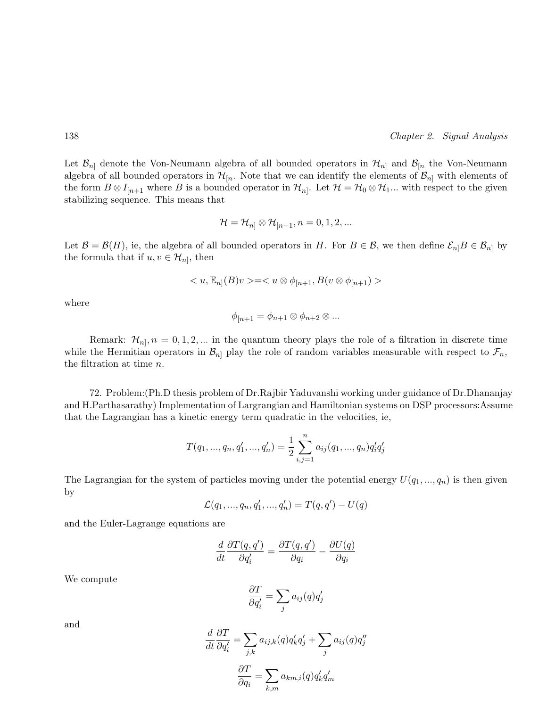Let  $\mathcal{B}_{n}$  denote the Von-Neumann algebra of all bounded operators in  $\mathcal{H}_{n}$  and  $\mathcal{B}_{n}$  the Von-Neumann algebra of all bounded operators in  $\mathcal{H}_{n}$ . Note that we can identify the elements of  $\mathcal{B}_{n}$  with elements of the form  $B \otimes I_{[n+1]}$  where B is a bounded operator in  $\mathcal{H}_{n]}$ . Let  $\mathcal{H} = \mathcal{H}_0 \otimes \mathcal{H}_1...$  with respect to the given stabilizing sequence. This means that

$$
\mathcal{H}=\mathcal{H}_{n]}\otimes\mathcal{H}_{[n+1},n=0,1,2,...
$$

Let  $\mathcal{B} = \mathcal{B}(H)$ , ie, the algebra of all bounded operators in H. For  $B \in \mathcal{B}$ , we then define  $\mathcal{E}_{n|}B \in \mathcal{B}_{n|}$  by the formula that if  $u, v \in \mathcal{H}_{n}$ , then

$$
\langle u, \mathbb{E}_{n} | (B) v \rangle = \langle u \otimes \phi_{[n+1)} , B(v \otimes \phi_{[n+1}) \rangle
$$

where

$$
\phi_{[n+1} = \phi_{n+1} \otimes \phi_{n+2} \otimes \dots
$$

Remark:  $\mathcal{H}_{n}, n = 0, 1, 2, ...$  in the quantum theory plays the role of a filtration in discrete time while the Hermitian operators in  $\mathcal{B}_{n}$  play the role of random variables measurable with respect to  $\mathcal{F}_{n}$ , the filtration at time n.

72. Problem:(Ph.D thesis problem of Dr.Rajbir Yaduvanshi working under guidance of Dr.Dhananjay and H.Parthasarathy) Implementation of Largrangian and Hamiltonian systems on DSP processors:Assume that the Lagrangian has a kinetic energy term quadratic in the velocities, ie,

$$
T(q_1, ..., q_n, q'_1, ..., q'_n) = \frac{1}{2} \sum_{i,j=1}^n a_{ij}(q_1, ..., q_n) q'_i q'_j
$$

The Lagrangian for the system of particles moving under the potential energy  $U(q_1, ..., q_n)$  is then given by

$$
\mathcal{L}(q_1, ..., q_n, q'_1, ..., q'_n) = T(q, q') - U(q)
$$

and the Euler-Lagrange equations are

$$
\frac{d}{dt}\frac{\partial T(q,q')}{\partial q'_i} = \frac{\partial T(q,q')}{\partial q_i} - \frac{\partial U(q)}{\partial q_i}
$$

We compute

$$
\frac{\partial T}{\partial q_{i}^{\prime}}=\sum_{j}a_{ij}(q)q_{j}^{\prime}
$$

and

$$
\frac{d}{dt}\frac{\partial T}{\partial q'_i} = \sum_{j,k} a_{ij,k}(q)q'_k q'_j + \sum_j a_{ij}(q)q''_j
$$

$$
\frac{\partial T}{\partial q_i} = \sum_{k,m} a_{km,i}(q)q'_k q'_m
$$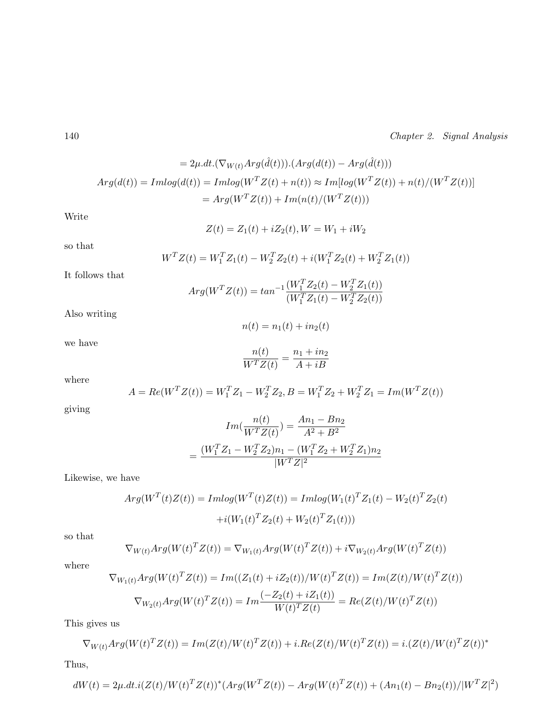$$
= 2\mu \cdot dt \cdot (\nabla_{W(t)} Arg(\hat{d}(t))) \cdot (Arg(d(t)) - Arg(\hat{d}(t)))
$$
  
 
$$
Arg(d(t)) = Imlog(d(t)) = Imlog(W^{T}Z(t) + n(t)) \approx Im[log(W^{T}Z(t)) + n(t)/(W^{T}Z(t))]
$$
  

$$
= Arg(W^{T}Z(t)) + Im(n(t)/(W^{T}Z(t)))
$$

Write

$$
Z(t) = Z_1(t) + iZ_2(t), W = W_1 + iW_2
$$

so that

$$
W^{T}Z(t) = W_{1}^{T}Z_{1}(t) - W_{2}^{T}Z_{2}(t) + i(W_{1}^{T}Z_{2}(t) + W_{2}^{T}Z_{1}(t))
$$

It follows that

$$
Arg(W^TZ(t)) = tan^{-1}\frac{(W_1^TZ_2(t) - W_2^TZ_1(t))}{(W_1^TZ_1(t) - W_2^TZ_2(t))}
$$

Also writing

$$
n(t) = n_1(t) + in_2(t)
$$

we have

$$
\frac{n(t)}{W^TZ(t)} = \frac{n_1 + in_2}{A + iB}
$$

where

$$
A = Re(W^T Z(t)) = W_1^T Z_1 - W_2^T Z_2, B = W_1^T Z_2 + W_2^T Z_1 = Im(W^T Z(t))
$$

giving

$$
Im(\frac{n(t)}{W^{T}Z(t)}) = \frac{An_1 - Bn_2}{A^2 + B^2}
$$

$$
= \frac{(W_1^{T}Z_1 - W_2^{T}Z_2)n_1 - (W_1^{T}Z_2 + W_2^{T}Z_1)n_2}{|W^{T}Z|^2}
$$

Likewise, we have

$$
Arg(W^T(t)Z(t)) = Imlog(W^T(t)Z(t)) = Imlog(W_1(t)^T Z_1(t) - W_2(t)^T Z_2(t)
$$

$$
+ i(W_1(t)^T Z_2(t) + W_2(t)^T Z_1(t)))
$$

so that

$$
\nabla_{W(t)} Arg(W(t)^{T}Z(t)) = \nabla_{W_1(t)} Arg(W(t)^{T}Z(t)) + i\nabla_{W_2(t)} Arg(W(t)^{T}Z(t))
$$

where

$$
\nabla_{W_1(t)} Arg(W(t)^T Z(t)) = Im((Z_1(t) + iZ_2(t))/W(t)^T Z(t)) = Im(Z(t)/W(t)^T Z(t))
$$
  

$$
\nabla_{W_2(t)} Arg(W(t)^T Z(t)) = Im\frac{(-Z_2(t) + iZ_1(t))}{W(t)^T Z(t)} = Re(Z(t)/W(t)^T Z(t))
$$

This gives us

$$
\nabla_{W(t)} Arg(W(t)^{T} Z(t)) = Im(Z(t)/W(t)^{T} Z(t)) + i \cdot Re(Z(t)/W(t)^{T} Z(t)) = i \cdot (Z(t)/W(t)^{T} Z(t))^{*}
$$

Thus,

$$
dW(t) = 2\mu \cdot dt \cdot i(Z(t)/W(t)^T Z(t))^* (Arg(W^T Z(t)) - Arg(W(t)^T Z(t)) + (An_1(t) - Bn_2(t))/|W^T Z|^2)
$$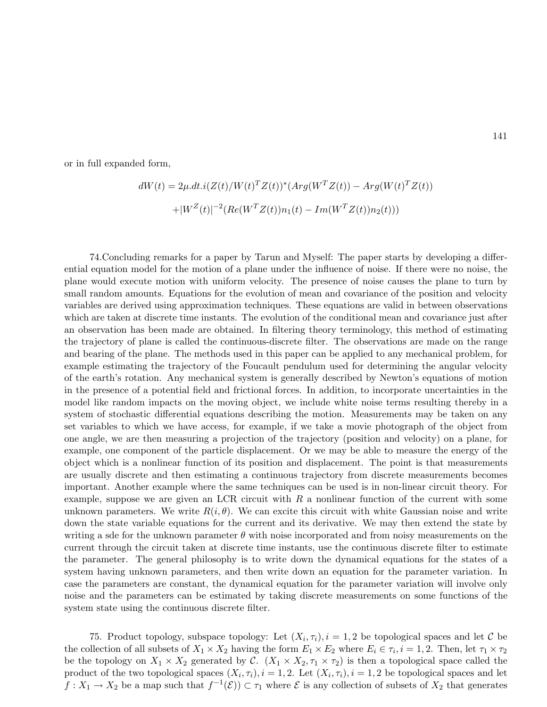or in full expanded form,

$$
dW(t) = 2\mu \cdot dt \cdot i(Z(t)/W(t)^T Z(t))^* (Arg(W^T Z(t)) - Arg(W(t)^T Z(t))
$$

$$
+ |W^Z(t)|^{-2} (Re(W^T Z(t)) n_1(t) - Im(W^T Z(t)) n_2(t)))
$$

74.Concluding remarks for a paper by Tarun and Myself: The paper starts by developing a differential equation model for the motion of a plane under the influence of noise. If there were no noise, the plane would execute motion with uniform velocity. The presence of noise causes the plane to turn by small random amounts. Equations for the evolution of mean and covariance of the position and velocity variables are derived using approximation techniques. These equations are valid in between observations which are taken at discrete time instants. The evolution of the conditional mean and covariance just after an observation has been made are obtained. In filtering theory terminology, this method of estimating the trajectory of plane is called the continuous-discrete filter. The observations are made on the range and bearing of the plane. The methods used in this paper can be applied to any mechanical problem, for example estimating the trajectory of the Foucault pendulum used for determining the angular velocity of the earth's rotation. Any mechanical system is generally described by Newton's equations of motion in the presence of a potential field and frictional forces. In addition, to incorporate uncertainties in the model like random impacts on the moving object, we include white noise terms resulting thereby in a system of stochastic differential equations describing the motion. Measurements may be taken on any set variables to which we have access, for example, if we take a movie photograph of the object from one angle, we are then measuring a projection of the trajectory (position and velocity) on a plane, for example, one component of the particle displacement. Or we may be able to measure the energy of the object which is a nonlinear function of its position and displacement. The point is that measurements are usually discrete and then estimating a continuous trajectory from discrete measurements becomes important. Another example where the same techniques can be used is in non-linear circuit theory. For example, suppose we are given an LCR circuit with  $R$  a nonlinear function of the current with some unknown parameters. We write  $R(i, \theta)$ . We can excite this circuit with white Gaussian noise and write down the state variable equations for the current and its derivative. We may then extend the state by writing a sde for the unknown parameter  $\theta$  with noise incorporated and from noisy measurements on the current through the circuit taken at discrete time instants, use the continuous discrete filter to estimate the parameter. The general philosophy is to write down the dynamical equations for the states of a system having unknown parameters, and then write down an equation for the parameter variation. In case the parameters are constant, the dynamical equation for the parameter variation will involve only noise and the parameters can be estimated by taking discrete measurements on some functions of the system state using the continuous discrete filter.

75. Product topology, subspace topology: Let  $(X_i, \tau_i), i = 1, 2$  be topological spaces and let C be the collection of all subsets of  $X_1 \times X_2$  having the form  $E_1 \times E_2$  where  $E_i \in \tau_i$ ,  $i = 1, 2$ . Then, let  $\tau_1 \times \tau_2$ be the topology on  $X_1 \times X_2$  generated by C.  $(X_1 \times X_2, \tau_1 \times \tau_2)$  is then a topological space called the product of the two topological spaces  $(X_i, \tau_i), i = 1, 2$ . Let  $(X_i, \tau_i), i = 1, 2$  be topological spaces and let  $f: X_1 \to X_2$  be a map such that  $f^{-1}(\mathcal{E}) \subset \tau_1$  where  $\mathcal E$  is any collection of subsets of  $X_2$  that generates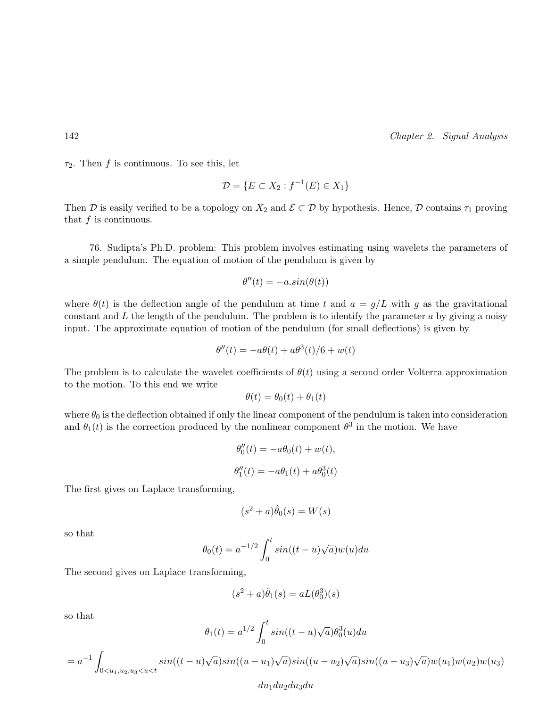$\tau_2$ . Then f is continuous. To see this, let

$$
\mathcal{D} = \{ E \subset X_2 : f^{-1}(E) \in X_1 \}
$$

Then D is easily verified to be a topology on  $X_2$  and  $\mathcal{E} \subset \mathcal{D}$  by hypothesis. Hence, D contains  $\tau_1$  proving that f is continuous.

76. Sudipta's Ph.D. problem: This problem involves estimating using wavelets the parameters of a simple pendulum. The equation of motion of the pendulum is given by

$$
\theta''(t) = -a \sin(\theta(t))
$$

where  $\theta(t)$  is the deflection angle of the pendulum at time t and  $a = q/L$  with q as the gravitational constant and  $L$  the length of the pendulum. The problem is to identify the parameter  $a$  by giving a noisy input. The approximate equation of motion of the pendulum (for small deflections) is given by

$$
\theta''(t) = -a\theta(t) + a\theta^{3}(t)/6 + w(t)
$$

The problem is to calculate the wavelet coefficients of  $\theta(t)$  using a second order Volterra approximation to the motion. To this end we write

$$
\theta(t) = \theta_0(t) + \theta_1(t)
$$

where  $\theta_0$  is the deflection obtained if only the linear component of the pendulum is taken into consideration and  $\theta_1(t)$  is the correction produced by the nonlinear component  $\theta^3$  in the motion. We have

$$
\theta_0''(t) = -a\theta_0(t) + w(t),
$$
  

$$
\theta_1''(t) = -a\theta_1(t) + a\theta_0^3(t)
$$

The first gives on Laplace transforming,

$$
(s^2 + a)\hat{\theta}_0(s) = W(s)
$$

so that

$$
\theta_0(t) = a^{-1/2} \int_0^t \sin((t-u)\sqrt{a})w(u)du
$$

The second gives on Laplace transforming,

$$
(s^2+a)\hat{\theta}_1(s)=aL(\theta_0^3)(s)
$$

so that

$$
\theta_1(t) = a^{1/2} \int_0^t \sin((t-u)\sqrt{a})\theta_0^3(u)du
$$

 $= a^{-1}$  $0 < u_1, u_2, u_3 < u < t$  $sin((t-u))$ √  $\overline{a})sin((u-u_1)$ √  $\overline{a})sin((u-u_2)$ √  $\overline{a})sin((u-u_3))$ √  $\overline{a})w(u_1)w(u_2)w(u_3)$ 

### $du_1du_2du_3du$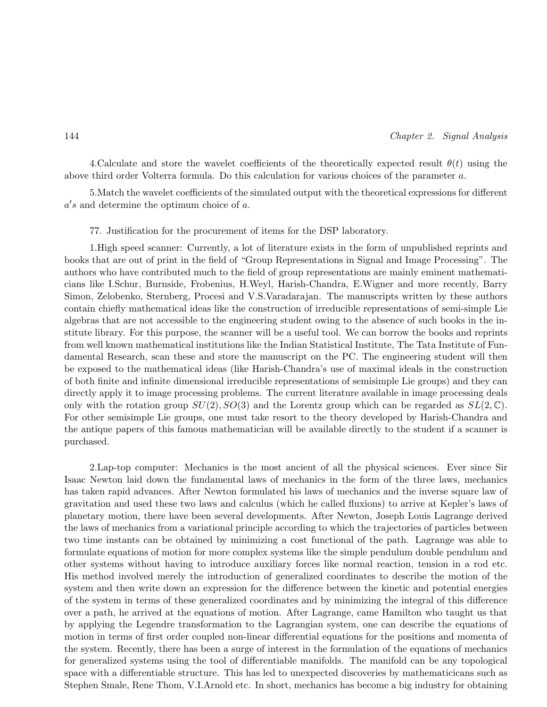4. Calculate and store the wavelet coefficients of the theoretically expected result  $\theta(t)$  using the above third order Volterra formula. Do this calculation for various choices of the parameter a.

5.Match the wavelet coefficients of the simulated output with the theoretical expressions for different  $a's$  and determine the optimum choice of  $a$ .

77. Justification for the procurement of items for the DSP laboratory.

1.High speed scanner: Currently, a lot of literature exists in the form of unpublished reprints and books that are out of print in the field of "Group Representations in Signal and Image Processing". The authors who have contributed much to the field of group representations are mainly eminent mathematicians like I.Schur, Burnside, Frobenius, H.Weyl, Harish-Chandra, E.Wigner and more recently, Barry Simon, Zelobenko, Sternberg, Procesi and V.S.Varadarajan. The manuscripts written by these authors contain chiefly mathematical ideas like the construction of irreducible representations of semi-simple Lie algebras that are not accessible to the engineering student owing to the absence of such books in the institute library. For this purpose, the scanner will be a useful tool. We can borrow the books and reprints from well known mathematical institutions like the Indian Statistical Institute, The Tata Institute of Fundamental Research, scan these and store the manuscript on the PC. The engineering student will then be exposed to the mathematical ideas (like Harish-Chandra's use of maximal ideals in the construction of both finite and infinite dimensional irreducible representations of semisimple Lie groups) and they can directly apply it to image processing problems. The current literature available in image processing deals only with the rotation group  $SU(2), SO(3)$  and the Lorentz group which can be regarded as  $SL(2, \mathbb{C})$ . For other semisimple Lie groups, one must take resort to the theory developed by Harish-Chandra and the antique papers of this famous mathematician will be available directly to the student if a scanner is purchased.

2.Lap-top computer: Mechanics is the most ancient of all the physical sciences. Ever since Sir Isaac Newton laid down the fundamental laws of mechanics in the form of the three laws, mechanics has taken rapid advances. After Newton formulated his laws of mechanics and the inverse square law of gravitation and used these two laws and calculus (which he called fluxions) to arrive at Kepler's laws of planetary motion, there have been several developments. After Newton, Joseph Louis Lagrange derived the laws of mechanics from a variational principle according to which the trajectories of particles between two time instants can be obtained by minimizing a cost functional of the path. Lagrange was able to formulate equations of motion for more complex systems like the simple pendulum double pendulum and other systems without having to introduce auxiliary forces like normal reaction, tension in a rod etc. His method involved merely the introduction of generalized coordinates to describe the motion of the system and then write down an expression for the difference between the kinetic and potential energies of the system in terms of these generalized coordinates and by minimizing the integral of this difference over a path, he arrived at the equations of motion. After Lagrange, came Hamilton who taught us that by applying the Legendre transformation to the Lagrangian system, one can describe the equations of motion in terms of first order coupled non-linear differential equations for the positions and momenta of the system. Recently, there has been a surge of interest in the formulation of the equations of mechanics for generalized systems using the tool of differentiable manifolds. The manifold can be any topological space with a differentiable structure. This has led to unexpected discoveries by mathematicicans such as Stephen Smale, Rene Thom, V.I.Arnold etc. In short, mechanics has become a big industry for obtaining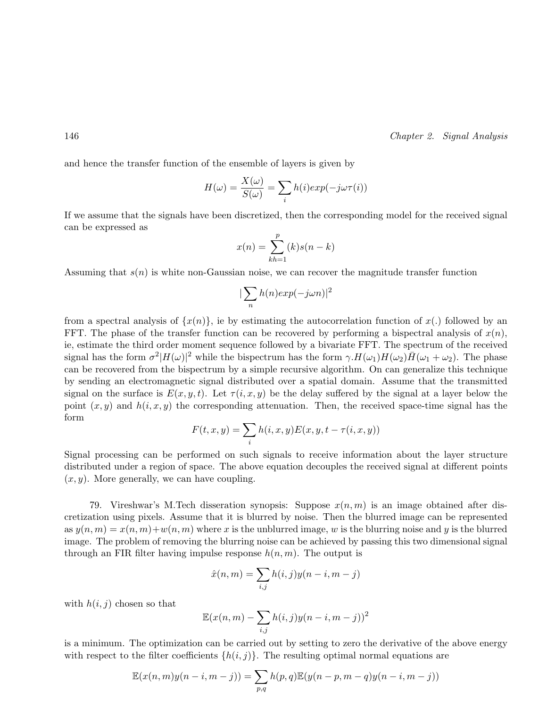and hence the transfer function of the ensemble of layers is given by

$$
H(\omega) = \frac{X(\omega)}{S(\omega)} = \sum_{i} h(i) exp(-j\omega \tau(i))
$$

If we assume that the signals have been discretized, then the corresponding model for the received signal can be expressed as

$$
x(n) = \sum_{kh=1}^{p} (k)s(n-k)
$$

Assuming that  $s(n)$  is white non-Gaussian noise, we can recover the magnitude transfer function

$$
|\sum_n h(n)exp(-j\omega n)|^2
$$

from a spectral analysis of  $\{x(n)\}\$ , ie by estimating the autocorrelation function of  $x(.)$  followed by an FFT. The phase of the transfer function can be recovered by performing a bispectral analysis of  $x(n)$ , ie, estimate the third order moment sequence followed by a bivariate FFT. The spectrum of the received signal has the form  $\sigma^2|H(\omega)|^2$  while the bispectrum has the form  $\gamma.H(\omega_1)H(\omega_2)\overline{H}(\omega_1+\omega_2)$ . The phase can be recovered from the bispectrum by a simple recursive algorithm. On can generalize this technique by sending an electromagnetic signal distributed over a spatial domain. Assume that the transmitted signal on the surface is  $E(x, y, t)$ . Let  $\tau(i, x, y)$  be the delay suffered by the signal at a layer below the point  $(x, y)$  and  $h(i, x, y)$  the corresponding attenuation. Then, the received space-time signal has the form

$$
F(t, x, y) = \sum_{i} h(i, x, y) E(x, y, t - \tau(i, x, y))
$$

Signal processing can be performed on such signals to receive information about the layer structure distributed under a region of space. The above equation decouples the received signal at different points  $(x, y)$ . More generally, we can have coupling.

79. Vireshwar's M.Tech disseration synopsis: Suppose  $x(n, m)$  is an image obtained after discretization using pixels. Assume that it is blurred by noise. Then the blurred image can be represented as  $y(n,m) = x(n,m)+w(n,m)$  where x is the unblurred image, w is the blurring noise and y is the blurred image. The problem of removing the blurring noise can be achieved by passing this two dimensional signal through an FIR filter having impulse response  $h(n, m)$ . The output is

$$
\hat{x}(n,m) = \sum_{i,j} h(i,j)y(n-i,m-j)
$$

with  $h(i, j)$  chosen so that

$$
\mathbb{E}(x(n,m) - \sum_{i,j} h(i,j)y(n-i,m-j))^2
$$

is a minimum. The optimization can be carried out by setting to zero the derivative of the above energy with respect to the filter coefficients  $\{h(i, j)\}\$ . The resulting optimal normal equations are

$$
\mathbb{E}(x(n,m)y(n-i,m-j)) = \sum_{p,q} h(p,q)\mathbb{E}(y(n-p,m-q)y(n-i,m-j))
$$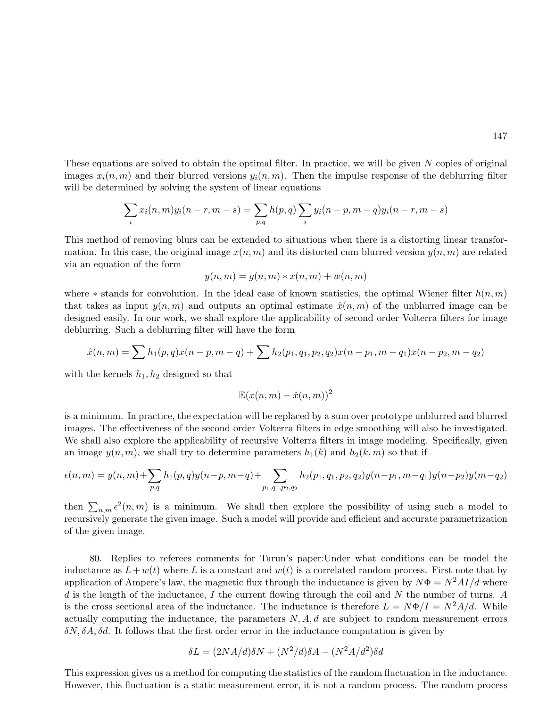These equations are solved to obtain the optimal filter. In practice, we will be given N copies of original images  $x_i(n, m)$  and their blurred versions  $y_i(n, m)$ . Then the impulse response of the deblurring filter will be determined by solving the system of linear equations

$$
\sum_{i} x_i(n, m) y_i(n-r, m-s) = \sum_{p, q} h(p, q) \sum_{i} y_i(n-p, m-q) y_i(n-r, m-s)
$$

This method of removing blurs can be extended to situations when there is a distorting linear transformation. In this case, the original image  $x(n, m)$  and its distorted cum blurred version  $y(n, m)$  are related via an equation of the form

$$
y(n,m) = g(n,m) * x(n,m) + w(n,m)
$$

where  $*$  stands for convolution. In the ideal case of known statistics, the optimal Wiener filter  $h(n, m)$ that takes as input  $y(n, m)$  and outputs an optimal estimate  $\hat{x}(n, m)$  of the unblurred image can be designed easily. In our work, we shall explore the applicability of second order Volterra filters for image deblurring. Such a deblurring filter will have the form

$$
\hat{x}(n,m) = \sum h_1(p,q)x(n-p,m-q) + \sum h_2(p_1,q_1,p_2,q_2)x(n-p_1,m-q_1)x(n-p_2,m-q_2)
$$

with the kernels  $h_1, h_2$  designed so that

$$
\mathbb{E}(x(n,m) - \hat{x}(n,m))^2
$$

is a minimum. In practice, the expectation will be replaced by a sum over prototype unblurred and blurred images. The effectiveness of the second order Volterra filters in edge smoothing will also be investigated. We shall also explore the applicability of recursive Volterra filters in image modeling. Specifically, given an image  $y(n, m)$ , we shall try to determine parameters  $h_1(k)$  and  $h_2(k, m)$  so that if

$$
\epsilon(n,m) = y(n,m) + \sum_{p,q} h_1(p,q)y(n-p,m-q) + \sum_{p_1,q_1,p_2,q_2} h_2(p_1,q_1,p_2,q_2)y(n-p_1,m-q_1)y(n-p_2)y(m-q_2)
$$

then  $\sum_{n,m} \epsilon^2(n,m)$  is a minimum. We shall then explore the possibility of using such a model to recursively generate the given image. Such a model will provide and efficient and accurate parametrization of the given image.

80. Replies to referees comments for Tarun's paper:Under what conditions can be model the inductance as  $L+w(t)$  where L is a constant and  $w(t)$  is a correlated random process. First note that by application of Ampere's law, the magnetic flux through the inductance is given by  $N\Phi = N^2 A I/d$  where  $d$  is the length of the inductance,  $I$  the current flowing through the coil and  $N$  the number of turns.  $A$ is the cross sectional area of the inductance. The inductance is therefore  $L = N\Phi/I = N^2A/d$ . While actually computing the inductance, the parameters  $N, A, d$  are subject to random measurement errors  $\delta N$ ,  $\delta A$ ,  $\delta d$ . It follows that the first order error in the inductance computation is given by

$$
\delta L = (2NA/d)\delta N + (N^2/d)\delta A - (N^2A/d^2)\delta d
$$

This expression gives us a method for computing the statistics of the random fluctuation in the inductance. However, this fluctuation is a static measurement error, it is not a random process. The random process